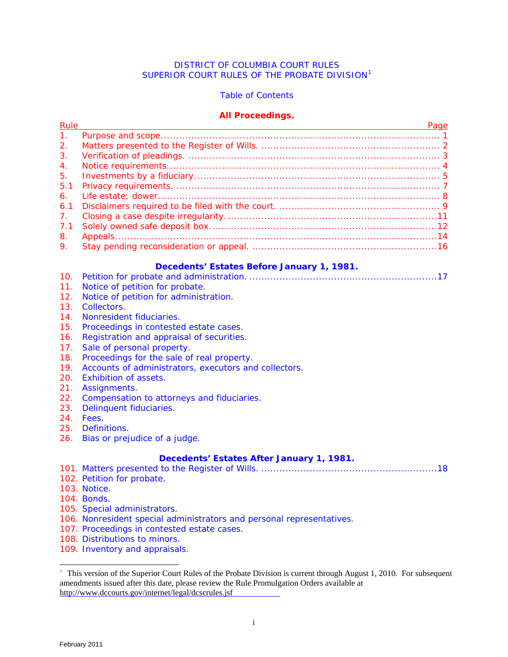# DISTRICT OF COLUMBIA COURT RULES SUPERIOR COURT RULES OF THE PROBATE DIVISION<sup>[1](#page-0-0)</sup>

# Table of Contents

## **All Proceedings.**

<span id="page-0-1"></span>

| Rule           | Page |
|----------------|------|
| 1 <sub>1</sub> |      |
| 2.             |      |
| 3.             |      |
| $\mathbf{4}$ . |      |
| 5.             |      |
| 5.1            |      |
| 6.             |      |
| 6.1            |      |
| $7_{\odot}$    |      |
| 7.1            |      |
| 8.             |      |
| 9.             |      |

# **Decedents' Estates Before January 1, 1981.**

|--|--|--|--|--|--|

- 11. Notice of petition for probate.
- 12. Notice of petition for administration.
- 13. Collectors.
- 14. Nonresident fiduciaries.
- 15. Proceedings in contested estate cases.
- 16. Registration and appraisal of securities.
- 17. Sale of personal property.
- 18. Proceedings for the sale of real property.
- 19. Accounts of administrators, executors and collectors.
- 20. Exhibition of assets.
- 21. Assignments.
- 22. Compensation to attorneys and fiduciaries.
- 23. Delinquent fiduciaries.
- 24. Fees.
- 25. Definitions.
- 26. Bias or prejudice of a judge.

# **Decedents' Estates After January 1, 1981.**

101. [Matters presented to the Register of Wills. .......................................................... 18](#page-22-0) 

- 102. Petition for probate.
- 103. Notice.
- 104. Bonds.
- 105. Special administrators.
- 106. Nonresident special administrators and personal representatives.
- 107. Proceedings in contested estate cases.
- 108. Distributions to minors.
- 109. Inventory and appraisals.

÷,

<span id="page-0-0"></span><sup>&</sup>lt;sup>1</sup> This version of the Superior Court Rules of the Probate Division is current through August 1, 2010. For subsequent amendments issued after this date, please review the Rule Promulgation Orders available at <http://www.dccourts.gov/internet/legal/dcscrules.jsf>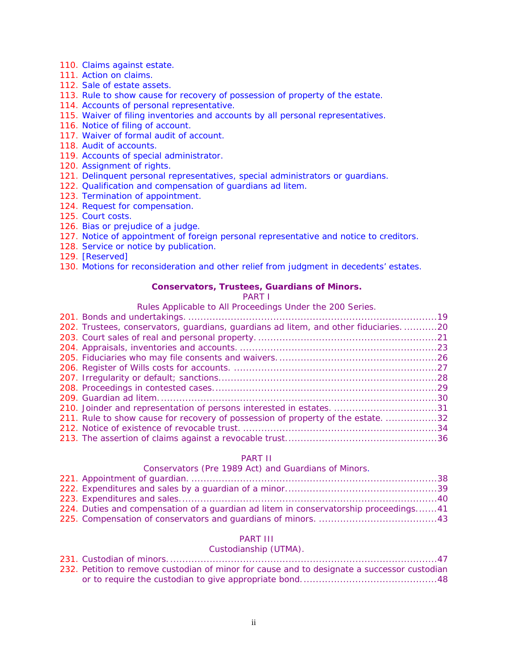- <span id="page-1-0"></span>110. Claims against estate.
- 111. Action on claims.
- 112. Sale of estate assets.
- 113. Rule to show cause for recovery of possession of property of the estate.
- 114. Accounts of personal representative.
- 115. Waiver of filing inventories and accounts by all personal representatives.
- 116. Notice of filing of account.
- 117. Waiver of formal audit of account.
- 118. Audit of accounts.
- 119. Accounts of special administrator.
- 120. Assignment of rights.
- 121. Delinquent personal representatives, special administrators or guardians.
- 122. Qualification and compensation of guardians ad litem.
- 123. Termination of appointment.
- 124. Request for compensation.
- 125. Court costs.
- 126. Bias or prejudice of a judge.
- 127. Notice of appointment of foreign personal representative and notice to creditors.
- 128. Service or notice by publication.
- 129. [Reserved]

130. Motions for reconsideration and other relief from judgment in decedents' estates.

# **Conservators, Trustees, Guardians of Minors.**

PART I

# Rules Applicable to All Proceedings Under the 200 Series.

| 202. Trustees, conservators, guardians, guardians ad litem, and other fiduciaries20 |  |
|-------------------------------------------------------------------------------------|--|
|                                                                                     |  |
|                                                                                     |  |
|                                                                                     |  |
|                                                                                     |  |
|                                                                                     |  |
|                                                                                     |  |
|                                                                                     |  |
| 210. Joinder and representation of persons interested in estates. 31                |  |
| 211. Rule to show cause for recovery of possession of property of the estate32      |  |
|                                                                                     |  |
|                                                                                     |  |

# PART II

#### Conservators (Pre 1989 Act) and Guardians of Minors.

| 224. Duties and compensation of a guardian <i>ad litem</i> in conservatorship proceedings41 |  |
|---------------------------------------------------------------------------------------------|--|
|                                                                                             |  |

# PART III

# Custodianship (UTMA).

| 232. Petition to remove custodian of minor for cause and to designate a successor custodian |  |
|---------------------------------------------------------------------------------------------|--|
|                                                                                             |  |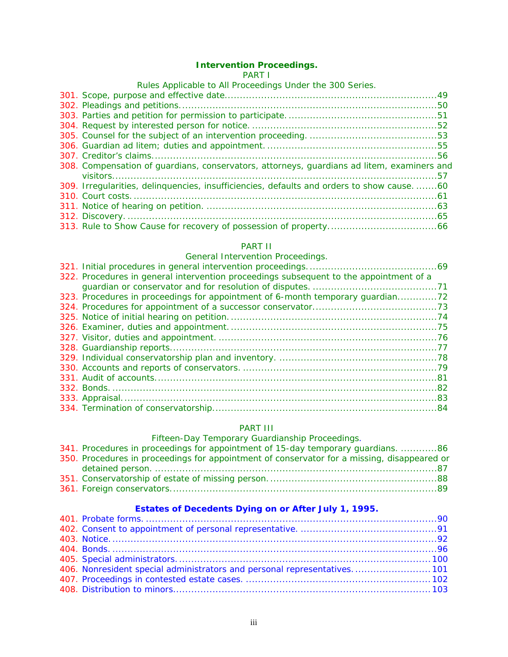#### **Intervention Proceedings.**

#### PART I

| Rules Applicable to All Proceedings Under the 300 Series.                                  |  |
|--------------------------------------------------------------------------------------------|--|
|                                                                                            |  |
|                                                                                            |  |
|                                                                                            |  |
|                                                                                            |  |
|                                                                                            |  |
|                                                                                            |  |
|                                                                                            |  |
| 308. Compensation of guardians, conservators, attorneys, guardians ad litem, examiners and |  |
|                                                                                            |  |
| 309. Irregularities, delinquencies, insufficiencies, defaults and orders to show cause60   |  |
|                                                                                            |  |
|                                                                                            |  |
|                                                                                            |  |
|                                                                                            |  |

# PART II

# General Intervention Proceedings.

| 322. Procedures in general intervention proceedings subsequent to the appointment of a |  |
|----------------------------------------------------------------------------------------|--|
|                                                                                        |  |
| 323. Procedures in proceedings for appointment of 6-month temporary guardian72         |  |
|                                                                                        |  |
|                                                                                        |  |
|                                                                                        |  |
|                                                                                        |  |
|                                                                                        |  |
|                                                                                        |  |
|                                                                                        |  |
|                                                                                        |  |
|                                                                                        |  |
|                                                                                        |  |
|                                                                                        |  |

# PART III

# Fifteen-Day Temporary Guardianship Proceedings.

| 341. Procedures in proceedings for appointment of 15-day temporary guardians. 86            |  |
|---------------------------------------------------------------------------------------------|--|
| 350. Procedures in proceedings for appointment of conservator for a missing, disappeared or |  |
|                                                                                             |  |
|                                                                                             |  |
|                                                                                             |  |

# **Estates of Decedents Dying on or After July 1, 1995.**

| 406. Nonresident special administrators and personal representatives 101 |  |
|--------------------------------------------------------------------------|--|
|                                                                          |  |
|                                                                          |  |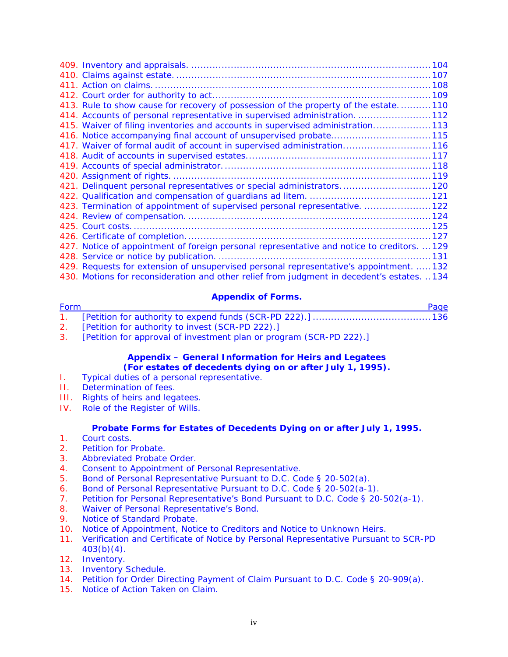| 413. Rule to show cause for recovery of possession of the property of the estate110         |  |
|---------------------------------------------------------------------------------------------|--|
| 414. Accounts of personal representative in supervised administration. 112                  |  |
| 415. Waiver of filing inventories and accounts in supervised administration113              |  |
| 416. Notice accompanying final account of unsupervised probate115                           |  |
| 417. Waiver of formal audit of account in supervised administration116                      |  |
|                                                                                             |  |
|                                                                                             |  |
|                                                                                             |  |
| 421. Delinquent personal representatives or special administrators.  120                    |  |
|                                                                                             |  |
| 423. Termination of appointment of supervised personal representative.  122                 |  |
|                                                                                             |  |
|                                                                                             |  |
|                                                                                             |  |
| 427. Notice of appointment of foreign personal representative and notice to creditors.  129 |  |
|                                                                                             |  |
| 429. Requests for extension of unsupervised personal representative's appointment.  132     |  |
| 430. Motions for reconsideration and other relief from judgment in decedent's estates. 134  |  |

# **Appendix of Forms.**

| Form | Page |
|------|------|
|      |      |
|      |      |

- 2. [Petition for authority to invest (SCR-PD 222).]
- 3. [Petition for approval of investment plan or program (SCR-PD 222).]

# **Appendix – General Information for Heirs and Legatees (For estates of decedents dying on or after July 1, 1995).**

- I. Typical duties of a personal representative.
- II. Determination of fees.
- III. Rights of heirs and legatees.
- IV. Role of the Register of Wills.

### **Probate Forms for Estates of Decedents Dying on or after July 1, 1995.**

- 1. Court costs.
- 2. Petition for Probate.
- 3. Abbreviated Probate Order.
- 4. Consent to Appointment of Personal Representative.
- 5. Bond of Personal Representative Pursuant to D.C. Code § 20-502(a).
- 6. Bond of Personal Representative Pursuant to D.C. Code § 20-502(a-1).
- 7. Petition for Personal Representative's Bond Pursuant to D.C. Code § 20-502(a-1).
- 8. Waiver of Personal Representative's Bond.
- 9. Notice of Standard Probate.
- 10. Notice of Appointment, Notice to Creditors and Notice to Unknown Heirs.
- 11. Verification and Certificate of Notice by Personal Representative Pursuant to SCR-PD  $403(b)(4)$ .
- 12. Inventory.
- 13. Inventory Schedule.
- 14. Petition for Order Directing Payment of Claim Pursuant to D.C. Code § 20-909(a).
- 15. Notice of Action Taken on Claim.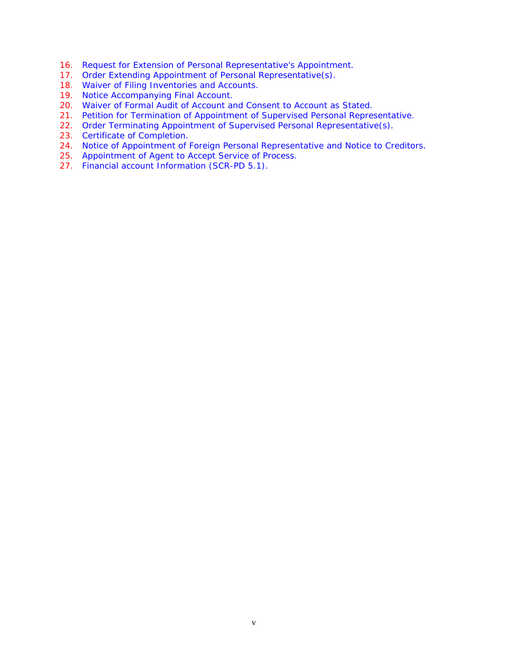- 16. Request for Extension of Personal Representative's Appointment.
- 17. Order Extending Appointment of Personal Representative(s).
- 18. Waiver of Filing Inventories and Accounts.
- 19. Notice Accompanying Final Account.
- 20. Waiver of Formal Audit of Account and Consent to Account as Stated.
- 21. Petition for Termination of Appointment of Supervised Personal Representative.
- 22. Order Terminating Appointment of Supervised Personal Representative(s).
- 23. Certificate of Completion.
- 24. Notice of Appointment of Foreign Personal Representative and Notice to Creditors.
- 25. Appointment of Agent to Accept Service of Process.
- 27. Financial account Information (SCR-PD 5.1).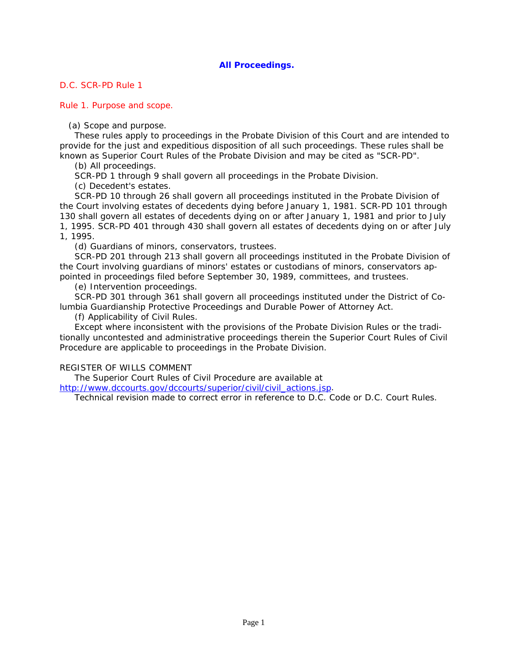# **All Proceedings.**

## <span id="page-5-0"></span>*D.C. SCR-PD Rule 1*

Rule 1. Purpose and scope.

(a) Scope and purpose.

These rules apply to proceedings in the Probate Division of this Court and are intended to provide for the just and expeditious disposition of all such proceedings. These rules shall be known as Superior Court Rules of the Probate Division and may be cited as "SCR-PD".

(b) All proceedings.

SCR-PD 1 through 9 shall govern all proceedings in the Probate Division.

(c) Decedent's estates.

SCR-PD 10 through 26 shall govern all proceedings instituted in the Probate Division of the Court involving estates of decedents dying before January 1, 1981. SCR-PD 101 through 130 shall govern all estates of decedents dying on or after January 1, 1981 and prior to July

[1, 1995. SCR-PD 401 through 430 shall govern all estates of decedents dying on or after July](#page-0-1)  1, 1995.

(d) Guardians of minors, conservators, trustees.

SCR-PD 201 through 213 shall govern all proceedings instituted in the Probate Division of the Court involving guardians of minors' estates or custodians of minors, conservators appointed in proceedings filed before September 30, 1989, committees, and trustees.

(e) Intervention proceedings.

SCR-PD 301 through 361 shall govern all proceedings instituted under the District of Columbia Guardianship Protective Proceedings and Durable Power of Attorney Act.

(f) Applicability of Civil Rules.

Except where inconsistent with the provisions of the Probate Division Rules or the traditionally uncontested and administrative proceedings therein the Superior Court Rules of Civil Procedure are applicable to proceedings in the Probate Division.

### REGISTER OF WILLS COMMENT

The Superior Court Rules of Civil Procedure are available at

[http://www.dccourts.gov/dccourts/superior/civil/civil\\_actions.jsp](http://www.dccourts.gov/dccourts/superior/civil/civil_actions.jsp).

Technical revision made to correct error in reference to D.C. Code or D.C. Court Rules.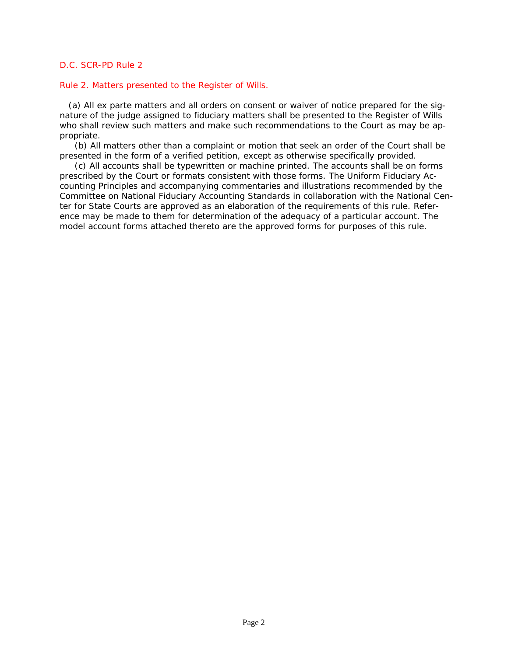#### <span id="page-6-0"></span>Rule 2. Matters presented to the Register of Wills.

 (a) All ex parte matters and all orders on consent or waiver of notice prepared for the signature of the judge assigned to fiduciary matters shall be presented to the Register of Wills who shall review such matters and make such recommendations to the Court as may be appropriate.

(b) All matters other than a complaint or motion that seek an order of the Court shall be presented in the form of a verified petition, except as otherwise specifically provided.

(c) All accounts shall be typewritten or machine printed. The accounts shall be on forms prescribed by the Court or formats consistent with those forms. The Uniform Fiduciary Accounting Principles and accompanying commentaries and illustrations recommended by the [Committee on National Fiduciary Accounting Standards in collaboration with the National Cen](#page-0-1)ter for State Courts are approved as an elaboration of the requirements of this rule. Reference may be made to them for determination of the adequacy of a particular account. The model account forms attached thereto are the approved forms for purposes of this rule.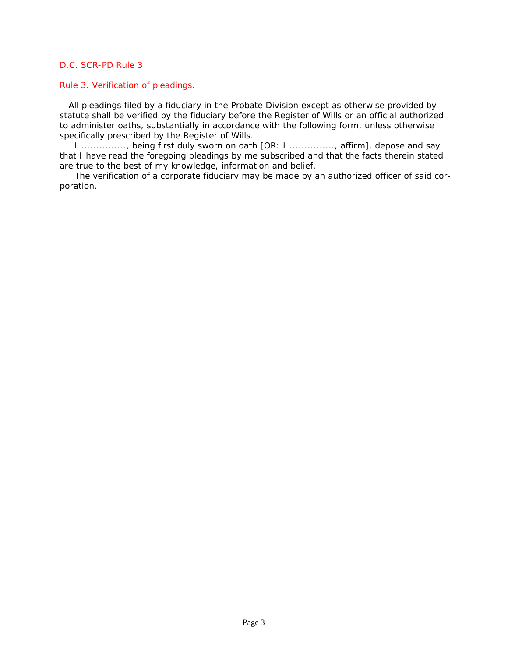### <span id="page-7-0"></span>Rule 3. Verification of pleadings.

 All pleadings filed by a fiduciary in the Probate Division except as otherwise provided by [statute shall be verified by the fiduciary before the Register of Wills or an official authorized](#page-0-1)  to administer oaths, substantially in accordance with the following form, unless otherwise specifically prescribed by the Register of Wills.

I ..............., being first duly sworn on oath [OR: I ..............., affirm], depose and say that I have read the foregoing pleadings by me subscribed and that the facts therein stated are true to the best of my knowledge, information and belief.

The verification of a corporate fiduciary may be made by an authorized officer of said corporation.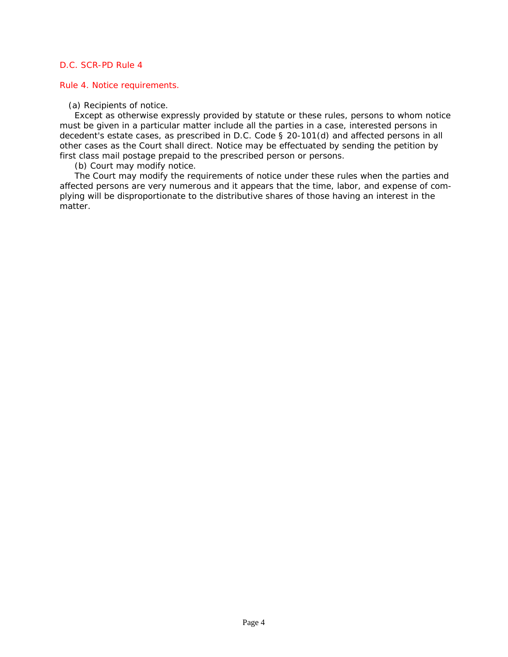#### <span id="page-8-0"></span>Rule 4. Notice requirements.

(a) Recipients of notice.

Except as otherwise expressly provided by statute or these rules, persons to whom notice must be given in a particular matter include all the parties in a case, interested persons in decedent's estate cases, as prescribed in *D.C. Code § 20-101(d)* and affected persons in all other cases as the Court shall direct. Notice may be effectuated by sending the petition by first class mail postage prepaid to the prescribed person or persons.

(b) Court may modify notice.

The Court may modify the requirements of notice under these rules when the parties and [affected persons are very numerous and it appears that the time, labor, and expense of com](#page-0-1)plying will be disproportionate to the distributive shares of those having an interest in the matter.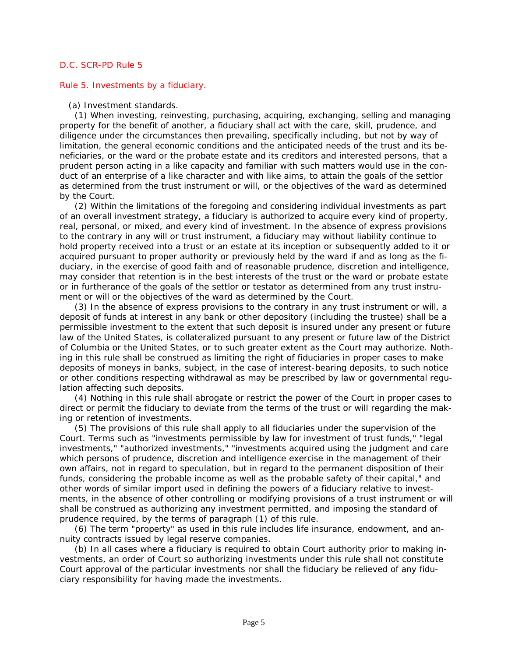#### <span id="page-9-0"></span>Rule 5. Investments by a fiduciary.

#### (a) Investment standards.

(1) When investing, reinvesting, purchasing, acquiring, exchanging, selling and managing property for the benefit of another, a fiduciary shall act with the care, skill, prudence, and diligence under the circumstances then prevailing, specifically including, but not by way of limitation, the general economic conditions and the anticipated needs of the trust and its beneficiaries, or the ward or the probate estate and its creditors and interested persons, that a prudent person acting in a like capacity and familiar with such matters would use in the conduct of an enterprise of a like character and with like aims, to attain the goals of the settlor as determined from the trust instrument or will, or the objectives of the ward as determined by the Court.

(2) Within the limitations of the foregoing and considering individual investments as part of an overall investment strategy, a fiduciary is authorized to acquire every kind of property, real, personal, or mixed, and every kind of investment. In the absence of express provisions to the contrary in any will or trust instrument, a fiduciary may without liability continue to hold property received into a trust or an estate at its inception or subsequently added to it or acquired pursuant to proper authority or previously held by the ward if and as long as the fiduciary, in the exercise of good faith and of reasonable prudence, discretion and intelligence, may consider that retention is in the best interests of the trust or the ward or probate estate or in furtherance of the goals of the settlor or testator as determined from any trust instrument or will or the objectives of the ward as determined by the Court.

(3) In the absence of express provisions to the contrary in any trust instrument or will, a deposit of funds at interest in any bank or other depository (including the trustee) shall be a permissible investment to the extent that such deposit is insured under any present or future law of the United States, is collateralized pursuant to any present or future law of the District of Columbia or the United States, or to such greater extent as the Court may authorize. Nothing in this rule shall be construed as limiting the right of fiduciaries in proper cases to make deposits of moneys in banks, subject, in the case of interest-bearing deposits, to such notice or other conditions respecting withdrawal as may be prescribed by law or governmental regulation affecting such deposits.

(4) Nothing in this rule shall abrogate or restrict the power of the Court in proper cases to direct or permit the fiduciary to deviate from the terms of the trust or will regarding the making or retention of investments.

(5) The provisions of this rule shall apply to all fiduciaries under the supervision of the Court. Terms such as "investments permissible by law for investment of trust funds," "legal investments," "authorized investments," "investments acquired using the judgment and care which persons of prudence, discretion and intelligence exercise in the management of their own affairs, not in regard to speculation, but in regard to the permanent disposition of their funds, considering the probable income as well as the probable safety of their capital," and other words of similar import used in defining the powers of a fiduciary relative to invest[ments, in the absence of other controlling or modifying provisions of a trust instrument or will](#page-0-1)  shall be construed as authorizing any investment permitted, and imposing the standard of prudence required, by the terms of paragraph (1) of this rule.

(6) The term "property" as used in this rule includes life insurance, endowment, and annuity contracts issued by legal reserve companies.

(b) In all cases where a fiduciary is required to obtain Court authority prior to making investments, an order of Court so authorizing investments under this rule shall not constitute Court approval of the particular investments nor shall the fiduciary be relieved of any fiduciary responsibility for having made the investments.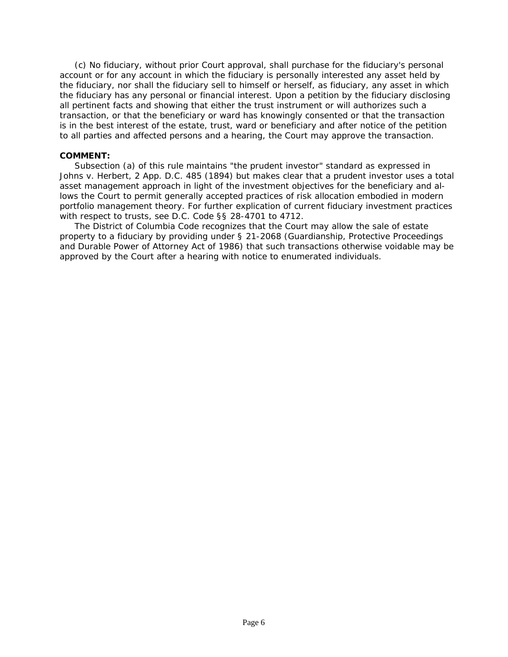(c) No fiduciary, without prior Court approval, shall purchase for the fiduciary's personal account or for any account in which the fiduciary is personally interested any asset held by the fiduciary, nor shall the fiduciary sell to himself or herself, as fiduciary, any asset in which the fiduciary has any personal or financial interest. Upon a petition by the fiduciary disclosing all pertinent facts and showing that either the trust instrument or will authorizes such a transaction, or that the beneficiary or ward has knowingly consented or that the transaction is in the best interest of the estate, trust, ward or beneficiary and after notice of the petition to all parties and affected persons and a hearing, the Court may approve the transaction.

## **COMMENT:**

Subsection (a) of this rule maintains "the prudent investor" standard as expressed in *Johns v. Herbert, 2 App. D.C. 485 (1894)* but makes clear that a prudent investor uses a total asset management approach in light of the investment objectives for the beneficiary and allows the Court to permit generally accepted practices of risk allocation embodied in modern portfolio management theory. For further explication of current fiduciary investment practices with respect to trusts, see *D.C. Code §§ 28-4701 to 4712*.

The District of Columbia Code recognizes that the Court may allow the sale of estate property to a fiduciary by providing under *§ 21-2068* (Guardianship, Protective Proceedings [and Durable Power of Attorney Act of 1986\) that such transactions otherwise voidable may be](#page-0-1)  approved by the Court after a hearing with notice to enumerated individuals.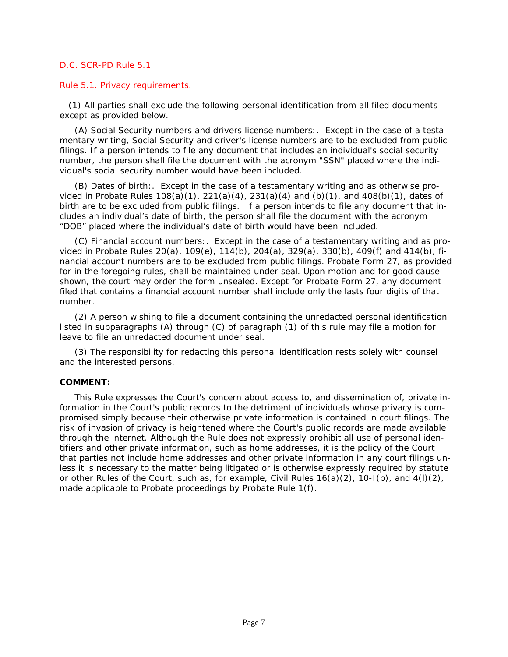## <span id="page-11-0"></span>Rule 5.1. Privacy requirements.

 (1) All parties shall exclude the following personal identification from all filed documents except as provided below.

(A) Social Security numbers and drivers license numbers:. Except in the case of a testamentary writing, Social Security and driver's license numbers are to be excluded from public filings. If a person intends to file any document that includes an individual's social security number, the person shall file the document with the acronym "SSN" placed where the individual's social security number would have been included.

(B) Dates of birth:. Except in the case of a testamentary writing and as otherwise provided in Probate Rules 108(a)(1), 221(a)(4), 231(a)(4) and (b)(1), and 408(b)(1), dates of birth are to be excluded from public filings. If a person intends to file any document that includes an individual's date of birth, the person shall file the document with the acronym "DOB" placed where the individual's date of birth would have been included.

(C) Financial account numbers:. Except in the case of a testamentary writing and as provided in Probate Rules 20(a), 109(e), 114(b), 204(a), 329(a), 330(b), 409(f) and 414(b), fi[nancial account numbers are to be excluded from public filings. Probate Form 27, as provided](#page-0-1)  for in the foregoing rules, shall be maintained under seal. Upon motion and for good cause shown, the court may order the form unsealed. Except for Probate Form 27, any document filed that contains a financial account number shall include only the lasts four digits of that number.

(2) A person wishing to file a document containing the unredacted personal identification listed in subparagraphs (A) through (C) of paragraph (1) of this rule may file a motion for leave to file an unredacted document under seal.

(3) The responsibility for redacting this personal identification rests solely with counsel and the interested persons.

# **COMMENT:**

This Rule expresses the Court's concern about access to, and dissemination of, private information in the Court's public records to the detriment of individuals whose privacy is compromised simply because their otherwise private information is contained in court filings. The risk of invasion of privacy is heightened where the Court's public records are made available through the internet. Although the Rule does not expressly prohibit all use of personal identifiers and other private information, such as home addresses, it is the policy of the Court that parties not include home addresses and other private information in any court filings unless it is necessary to the matter being litigated or is otherwise expressly required by statute or other Rules of the Court, such as, for example, Civil Rules 16(a)(2), 10-I(b), and 4(l)(2), made applicable to Probate proceedings by Probate Rule 1(f).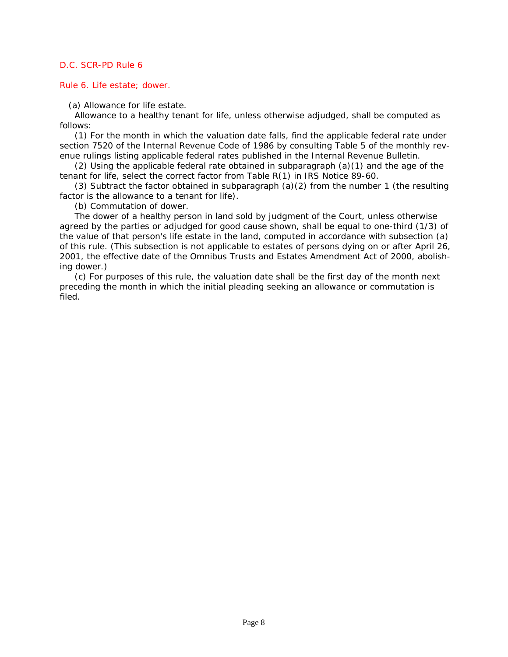#### <span id="page-12-0"></span>Rule 6. Life estate; dower.

(a) Allowance for life estate.

Allowance to a healthy tenant for life, unless otherwise adjudged, shall be computed as follows:

(1) For the month in which the valuation date falls, find the applicable federal rate under *section 7520 of the Internal Revenue Code of 1986* by consulting Table 5 of the monthly revenue rulings listing applicable federal rates published in the Internal Revenue Bulletin.

(2) Using the applicable federal rate obtained in subparagraph  $(a)(1)$  and the age of the tenant for life, select the correct factor from Table R(1) in *IRS Notice 89-60.*

(3) Subtract the factor obtained in subparagraph (a)(2) from the number 1 (the resulting factor is the allowance to a tenant for life).

(b) Commutation of dower.

The dower of a healthy person in land sold by judgment of the Court, unless otherwise agreed by the parties or adjudged for good cause shown, shall be equal to one-third (1/3) of the value of that person's life estate in the land, computed in accordance with subsection (a) [of this rule. \(This subsection is not applicable to estates of persons dying on or after April 26,](#page-0-1)  2001, the effective date of the Omnibus Trusts and Estates Amendment Act of 2000, abolishing dower.)

(c) For purposes of this rule, the valuation date shall be the first day of the month next preceding the month in which the initial pleading seeking an allowance or commutation is filed.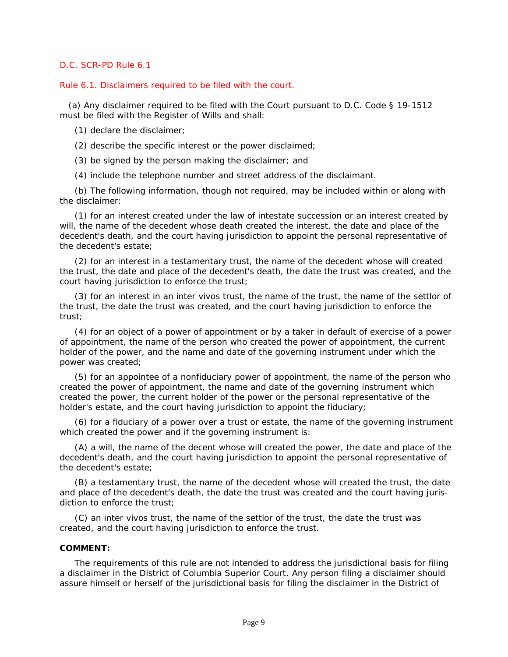## <span id="page-13-0"></span>Rule 6.1. Disclaimers required to be filed with the court.

 (a) Any disclaimer required to be filed with the Court pursuant to *D.C. Code § 19-1512* must be filed with the Register of Wills and shall:

(1) declare the disclaimer;

- (2) describe the specific interest or the power disclaimed;
- (3) be signed by the person making the disclaimer; and
- (4) include the telephone number and street address of the disclaimant.

(b) The following information, though not required, may be included within or along with the disclaimer:

(1) for an interest created under the law of intestate succession or an interest created by will, the name of the decedent whose death created the interest, the date and place of the decedent's death, and the court having jurisdiction to appoint the personal representative of the decedent's estate;

(2) for an interest in a testamentary trust, the name of the decedent whose will created [the trust, the date and place of the decedent's death, the date the trust was created, and the](#page-0-1)  court having jurisdiction to enforce the trust;

(3) for an interest in an inter vivos trust, the name of the trust, the name of the settlor of the trust, the date the trust was created, and the court having jurisdiction to enforce the trust;

(4) for an object of a power of appointment or by a taker in default of exercise of a power of appointment, the name of the person who created the power of appointment, the current holder of the power, and the name and date of the governing instrument under which the power was created;

(5) for an appointee of a nonfiduciary power of appointment, the name of the person who created the power of appointment, the name and date of the governing instrument which created the power, the current holder of the power or the personal representative of the holder's estate, and the court having jurisdiction to appoint the fiduciary;

(6) for a fiduciary of a power over a trust or estate, the name of the governing instrument which created the power and if the governing instrument is:

(A) a will, the name of the decent whose will created the power, the date and place of the decedent's death, and the court having jurisdiction to appoint the personal representative of the decedent's estate;

(B) a testamentary trust, the name of the decedent whose will created the trust, the date and place of the decedent's death, the date the trust was created and the court having jurisdiction to enforce the trust;

(C) an inter vivos trust, the name of the settlor of the trust, the date the trust was created, and the court having jurisdiction to enforce the trust.

# **COMMENT:**

The requirements of this rule are not intended to address the jurisdictional basis for filing a disclaimer in the District of Columbia Superior Court. Any person filing a disclaimer should assure himself or herself of the jurisdictional basis for filing the disclaimer in the District of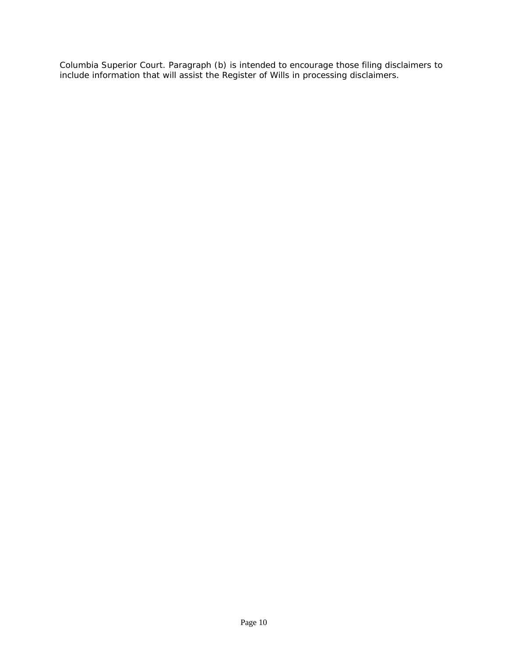[Columbia Superior Court. Paragraph \(b\) is intended to encourage those filing disclaimers to](#page-0-1)  include information that will assist the Register of Wills in processing disclaimers.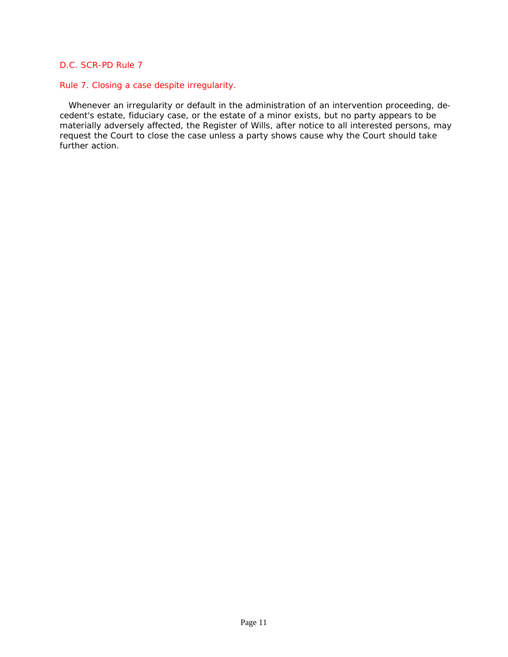## <span id="page-15-0"></span>Rule 7. Closing a case despite irregularity.

 Whenever an irregularity or default in the administration of an intervention proceeding, decedent's estate, fiduciary case, or the estate of a minor exists, but no party appears to be [materially adversely affected, the Register of Wills, after notice to all interested persons, may](#page-0-1)  request the Court to close the case unless a party shows cause why the Court should take further action.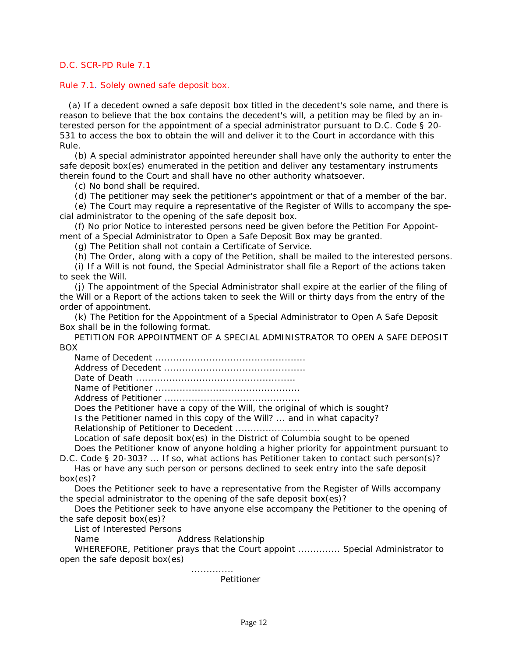### <span id="page-16-0"></span>Rule 7.1. Solely owned safe deposit box.

 [\(a\) If a decedent owned a safe deposit box titled in the decedent's sole name, and there is](#page-0-1)  reason to believe that the box contains the decedent's will, a petition may be filed by an interested person for the appointment of a special administrator pursuant to *D.C. Code § 20- 531* to access the box to obtain the will and deliver it to the Court in accordance with this Rule.

(b) A special administrator appointed hereunder shall have only the authority to enter the safe deposit box(es) enumerated in the petition and deliver any testamentary instruments therein found to the Court and shall have no other authority whatsoever.

(c) No bond shall be required.

(d) The petitioner may seek the petitioner's appointment or that of a member of the bar.

(e) The Court may require a representative of the Register of Wills to accompany the special administrator to the opening of the safe deposit box.

(f) No prior Notice to interested persons need be given before the Petition For Appointment of a Special Administrator to Open a Safe Deposit Box may be granted.

(g) The Petition shall not contain a Certificate of Service.

(h) The Order, along with a copy of the Petition, shall be mailed to the interested persons.

(i) If a Will is not found, the Special Administrator shall file a Report of the actions taken to seek the Will.

(j) The appointment of the Special Administrator shall expire at the earlier of the filing of the Will or a Report of the actions taken to seek the Will or thirty days from the entry of the order of appointment.

(k) The Petition for the Appointment of a Special Administrator to Open A Safe Deposit Box shall be in the following format.

PETITION FOR APPOINTMENT OF A SPECIAL ADMINISTRATOR TO OPEN A SAFE DEPOSIT BOX

| Does the Petitioner have a copy of the Will, the original of which is sought?  |
|--------------------------------------------------------------------------------|
| Is the Petitioner named in this copy of the Will?  and in what capacity?       |
|                                                                                |
| Location of safe deposit box(es) in the District of Columbia sought to be open |

ought to be opened Does the Petitioner know of anyone holding a higher priority for appointment pursuant to

*D.C. Code § 20-303*? ... If so, what actions has Petitioner taken to contact such person(s)? Has or have any such person or persons declined to seek entry into the safe deposit box(es)?

Does the Petitioner seek to have a representative from the Register of Wills accompany the special administrator to the opening of the safe deposit box(es)?

Does the Petitioner seek to have anyone else accompany the Petitioner to the opening of the safe deposit box(es)?

List of Interested Persons

Name Address Relationship

WHEREFORE, Petitioner prays that the Court appoint .............. Special Administrator to open the safe deposit box(es)

Petitioner

..............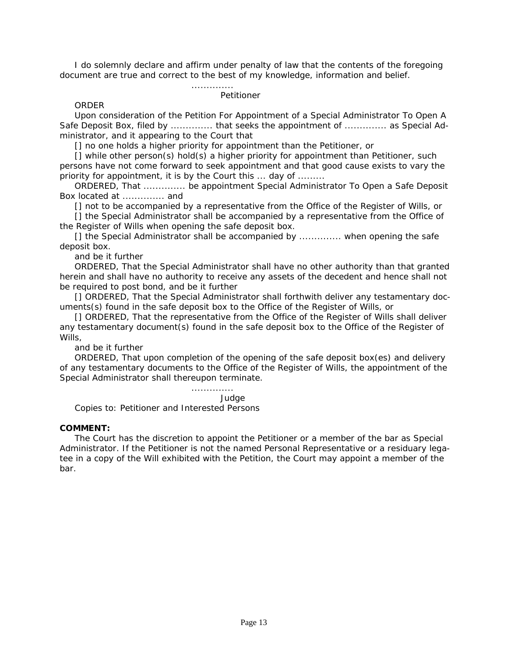I do solemnly declare and affirm under penalty of law that the contents of the foregoing document are true and correct to the best of my knowledge, information and belief.

### Petitioner

..............

#### ORDER

Upon consideration of the Petition For Appointment of a Special Administrator To Open A Safe Deposit Box, filed by ................ that seeks the appointment of ................ as Special Administrator, and it appearing to the Court that

[] no one holds a higher priority for appointment than the Petitioner, or

[] while other person(s) hold(s) a higher priority for appointment than Petitioner, such persons have not come forward to seek appointment and that good cause exists to vary the priority for appointment, it is by the Court this ... day of .........

ORDERED, That .............. be appointment Special Administrator To Open a Safe Deposit Box located at .............. and

[] not to be accompanied by a representative from the Office of the Register of Wills, or

[] the Special Administrator shall be accompanied by a representative from the Office of the Register of Wills when opening the safe deposit box.

[] the Special Administrator shall be accompanied by ............... when opening the safe deposit box.

and be it further

ORDERED, That the Special Administrator shall have no other authority than that granted herein and shall have no authority to receive any assets of the decedent and hence shall not be required to post bond, and be it further

[] ORDERED, That the Special Administrator shall forthwith deliver any testamentary documents(s) found in the safe deposit box to the Office of the Register of Wills, or

[] ORDERED, That the representative from the Office of the Register of Wills shall deliver any testamentary document(s) found in the safe deposit box to the Office of the Register of Wills.

and be it further

ORDERED, That upon completion of the opening of the safe deposit box(es) and delivery of any testamentary documents to the Office of the Register of Wills, the appointment of the Special Administrator shall thereupon terminate.

#### .............. Judge

Copies to: Petitioner and Interested Persons

#### **COMMENT:**

The Court has the discretion to appoint the Petitioner or a member of the bar as Special [Administrator. If the Petitioner is not the named Personal Representative or a residuary lega](#page-0-1)tee in a copy of the Will exhibited with the Petition, the Court may appoint a member of the bar.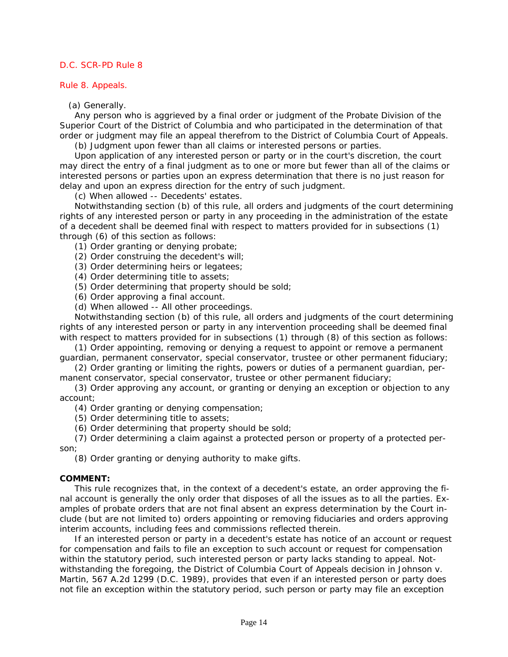## <span id="page-18-0"></span>Rule 8. Appeals.

## (a) Generally.

Any person who is aggrieved by a final order or judgment of the Probate Division of the Superior Court of the District of Columbia and who participated in the determination of that order or judgment may file an appeal therefrom to the District of Columbia Court of Appeals.

(b) Judgment upon fewer than all claims or interested persons or parties.

Upon application of any interested person or party or in the court's discretion, the court [may direct the entry of a final judgment as to one or more but fewer than all of the claims or](#page-0-1)  interested persons or parties upon an express determination that there is no just reason for delay and upon an express direction for the entry of such judgment.

(c) When allowed -- Decedents' estates.

Notwithstanding section (b) of this rule, all orders and judgments of the court determining rights of any interested person or party in any proceeding in the administration of the estate of a decedent shall be deemed final with respect to matters provided for in subsections (1) through (6) of this section as follows:

- (1) Order granting or denying probate;
- (2) Order construing the decedent's will;
- (3) Order determining heirs or legatees;
- (4) Order determining title to assets;
- (5) Order determining that property should be sold;
- (6) Order approving a final account.
- (d) When allowed -- All other proceedings.

Notwithstanding section (b) of this rule, all orders and judgments of the court determining rights of any interested person or party in any intervention proceeding shall be deemed final with respect to matters provided for in subsections (1) through (8) of this section as follows:

(1) Order appointing, removing or denying a request to appoint or remove a permanent guardian, permanent conservator, special conservator, trustee or other permanent fiduciary;

(2) Order granting or limiting the rights, powers or duties of a permanent guardian, permanent conservator, special conservator, trustee or other permanent fiduciary;

(3) Order approving any account, or granting or denying an exception or objection to any account;

(4) Order granting or denying compensation;

- (5) Order determining title to assets;
- (6) Order determining that property should be sold;

(7) Order determining a claim against a protected person or property of a protected person;

(8) Order granting or denying authority to make gifts.

# **COMMENT:**

This rule recognizes that, in the context of a decedent's estate, an order approving the final account is generally the only order that disposes of all the issues as to all the parties. Examples of probate orders that are not final absent an express determination by the Court include (but are not limited to) orders appointing or removing fiduciaries and orders approving interim accounts, including fees and commissions reflected therein.

If an interested person or party in a decedent's estate has notice of an account or request for compensation and fails to file an exception to such account or request for compensation within the statutory period, such interested person or party lacks standing to appeal. Notwithstanding the foregoing, the District of Columbia Court of Appeals decision in *Johnson v. Martin, 567 A.2d 1299 (D.C. 1989),* provides that even if an interested person or party does not file an exception within the statutory period, such person or party may file an exception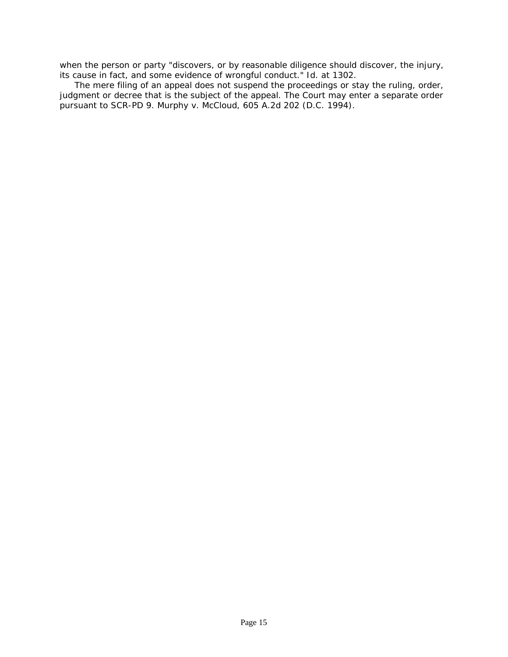[when the person or party "discovers, or by reasonable diligence should discover, the injury,](#page-0-1)  its cause in fact, and some evidence of wrongful conduct." *Id. at 1302.*

The mere filing of an appeal does not suspend the proceedings or stay the ruling, order, judgment or decree that is the subject of the appeal. The Court may enter a separate order pursuant to SCR-PD 9. *Murphy v. McCloud, 605 A.2d 202 (D.C. 1994).*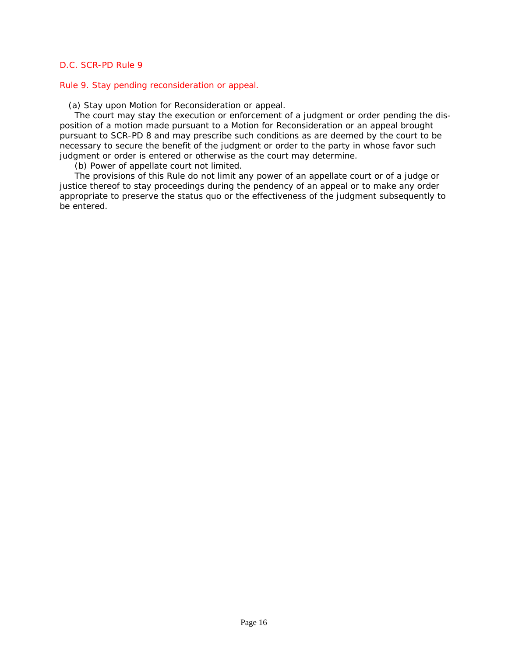### <span id="page-20-0"></span>Rule 9. Stay pending reconsideration or appeal.

(a) Stay upon Motion for Reconsideration or appeal.

The court may stay the execution or enforcement of a judgment or order pending the disposition of a motion made pursuant to a Motion for Reconsideration or an appeal brought pursuant to SCR-PD 8 and may prescribe such conditions as are deemed by the court to be necessary to secure the benefit of the judgment or order to the party in whose favor such judgment or order is entered or otherwise as the court may determine.

(b) Power of appellate court not limited.

The provisions of this Rule do not limit any power of an appellate court or of a judge or justice thereof to stay proceedings during the pendency of an appeal or to make any order [appropriate to preserve the status quo or the effectiveness of the judgment subsequently to](#page-0-1)  be entered.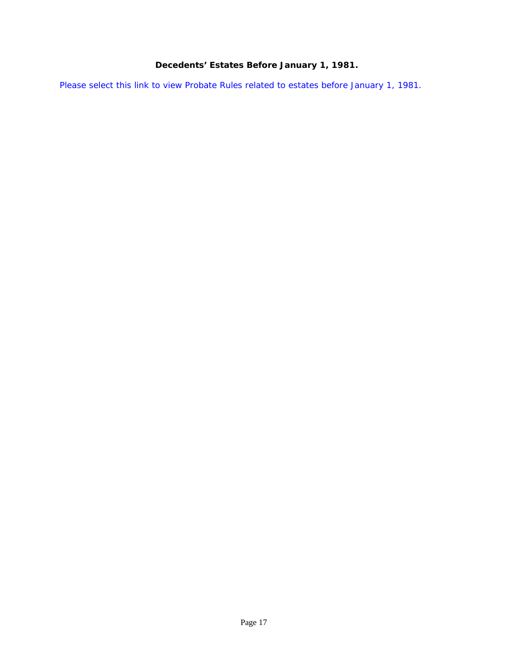# **Decedents' Estates Before January 1, 1981.**

<span id="page-21-0"></span>[Please select this link to view Probate Rules related to estates before January 1, 1981.](http://www.dccourts.gov/internet/documents/SCR-PD_DecedentsEstatesBeforeJanuary1_1981.pdf)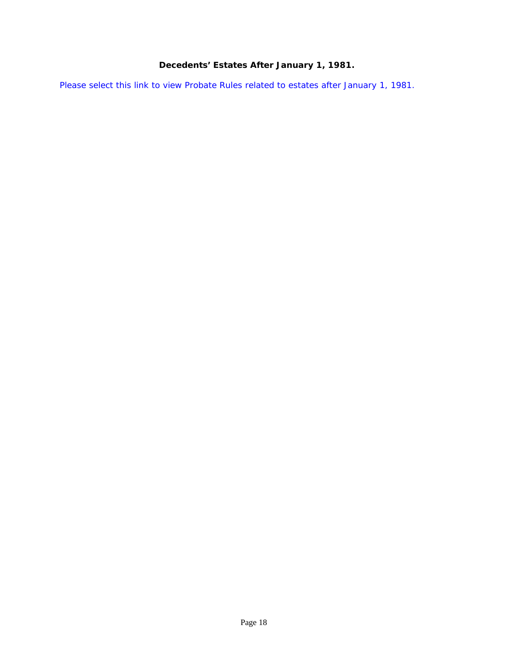# **Decedents' Estates After January 1, 1981.**

<span id="page-22-0"></span>[Please select this link to view Probate Rules related to estates after January 1, 1981.](http://www.dccourts.gov/internet/documents/SCR-PD_DecedentsEstatesAfterJanuary1_1981.pdf)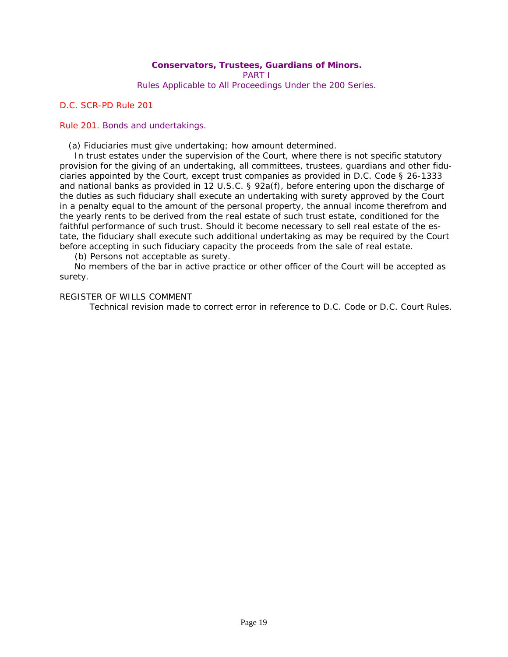# **Conservators, Trustees, Guardians of Minors.**  PART I

Rules Applicable to All Proceedings Under the 200 Series.

# <span id="page-23-0"></span>*D.C. SCR-PD Rule 201*

# Rule 201. Bonds and undertakings.

(a) Fiduciaries must give undertaking; how amount determined.

In trust estates under the supervision of the Court, where there is not specific statutory provision for the giving of an undertaking, all committees, trustees, guardians and other fiduciaries appointed by the Court, except trust companies as provided in D.C. Code § *26-1333* and national banks as provided in *12 U.S.C. § 92a*(f), before entering upon the discharge of the duties as such fiduciary shall execute an undertaking with surety approved by the Court in a penalty equal to the amount of the personal property, the annual income therefrom and the yearly rents to be derived from the real estate of such trust estate, conditioned for the faithful performance of such trust. Should it become necessary to sell real estate of the estate, the fiduciary shall execute such additional undertaking as may be required by the Court before accepting in such fiduciary capacity the proceeds from the sale of real estate.

(b) Persons not acceptable as surety.

No members of the bar in active practice or other officer of the Court will be accepted as surety.

# REGISTER OF WILLS COMMENT

 [Technical revision made to correct error in reference to D.C. Code or D.C. Court Rules.](#page-0-1)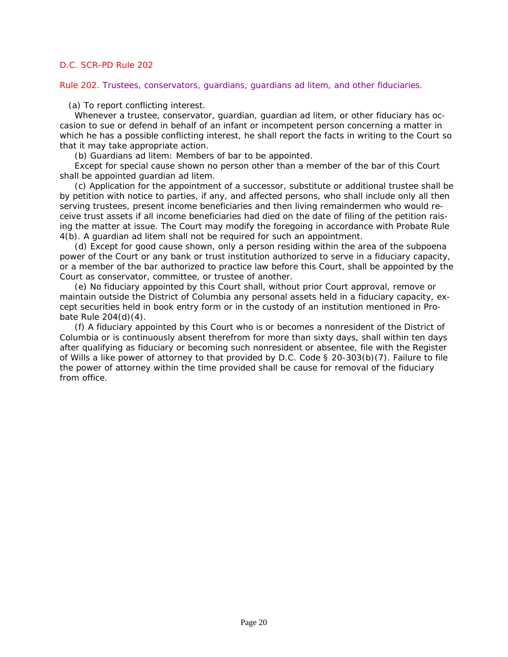<span id="page-24-0"></span>Rule 202. Trustees, conservators, guardians, guardians ad litem, and other fiduciaries.

(a) To report conflicting interest.

Whenever a trustee, conservator, guardian, guardian ad litem, or other fiduciary has occasion to sue or defend in behalf of an infant or incompetent person concerning a matter in which he has a possible conflicting interest, he shall report the facts in writing to the Court so that it may take appropriate action.

(b) Guardians ad litem: Members of bar to be appointed.

Except for special cause shown no person other than a member of the bar of this Court shall be appointed guardian ad litem.

(c) Application for the appointment of a successor, substitute or additional trustee shall be by petition with notice to parties, if any, and affected persons, who shall include only all then serving trustees, present income beneficiaries and then living remaindermen who would receive trust assets if all income beneficiaries had died on the date of filing of the petition raising the matter at issue. The Court may modify the foregoing in accordance with Probate Rule 4(b). A guardian ad litem shall not be required for such an appointment.

(d) Except for good cause shown, only a person residing within the area of the subpoena power of the Court or any bank or trust institution authorized to serve in a fiduciary capacity, [or a member of the bar authorized to practice law before this Court, shall be appointed by the](#page-1-0)  Court as conservator, committee, or trustee of another.

(e) No fiduciary appointed by this Court shall, without prior Court approval, remove or maintain outside the District of Columbia any personal assets held in a fiduciary capacity, except securities held in book entry form or in the custody of an institution mentioned in Probate Rule 204(d)(4).

(f) A fiduciary appointed by this Court who is or becomes a nonresident of the District of Columbia or is continuously absent therefrom for more than sixty days, shall within ten days after qualifying as fiduciary or becoming such nonresident or absentee, file with the Register of Wills a like power of attorney to that provided by *D.C. Code § 20-303(b)(7)*. Failure to file the power of attorney within the time provided shall be cause for removal of the fiduciary from office.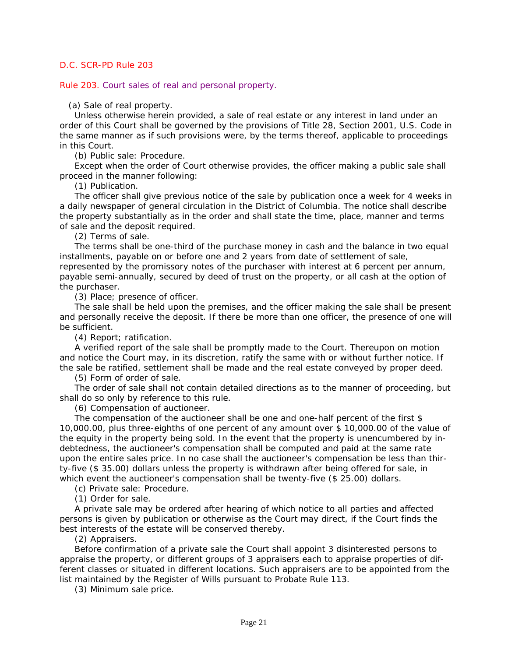<span id="page-25-0"></span>Rule 203. Court sales of real and personal property.

(a) Sale of real property.

Unless otherwise herein provided, a sale of real estate or any interest in land under an [order of this Court shall be governed by the provisions of Title 28, Section 2001, U.S. Code in](#page-1-0)  the same manner as if such provisions were, by the terms thereof, applicable to proceedings in this Court.

(b) Public sale: Procedure.

Except when the order of Court otherwise provides, the officer making a public sale shall proceed in the manner following:

(1) Publication.

The officer shall give previous notice of the sale by publication once a week for 4 weeks in a daily newspaper of general circulation in the District of Columbia. The notice shall describe the property substantially as in the order and shall state the time, place, manner and terms of sale and the deposit required.

(2) Terms of sale.

The terms shall be one-third of the purchase money in cash and the balance in two equal installments, payable on or before one and 2 years from date of settlement of sale, represented by the promissory notes of the purchaser with interest at 6 percent per annum, payable semi-annually, secured by deed of trust on the property, or all cash at the option of the purchaser.

(3) Place; presence of officer.

The sale shall be held upon the premises, and the officer making the sale shall be present and personally receive the deposit. If there be more than one officer, the presence of one will be sufficient.

(4) Report; ratification.

A verified report of the sale shall be promptly made to the Court. Thereupon on motion and notice the Court may, in its discretion, ratify the same with or without further notice. If the sale be ratified, settlement shall be made and the real estate conveyed by proper deed.

(5) Form of order of sale.

The order of sale shall not contain detailed directions as to the manner of proceeding, but shall do so only by reference to this rule.

(6) Compensation of auctioneer.

The compensation of the auctioneer shall be one and one-half percent of the first \$ 10,000.00, plus three-eighths of one percent of any amount over \$ 10,000.00 of the value of the equity in the property being sold. In the event that the property is unencumbered by indebtedness, the auctioneer's compensation shall be computed and paid at the same rate upon the entire sales price. In no case shall the auctioneer's compensation be less than thirty-five (\$ 35.00) dollars unless the property is withdrawn after being offered for sale, in which event the auctioneer's compensation shall be twenty-five (\$ 25.00) dollars.

(c) Private sale: Procedure.

(1) Order for sale.

A private sale may be ordered after hearing of which notice to all parties and affected persons is given by publication or otherwise as the Court may direct, if the Court finds the best interests of the estate will be conserved thereby.

(2) Appraisers.

Before confirmation of a private sale the Court shall appoint 3 disinterested persons to appraise the property, or different groups of 3 appraisers each to appraise properties of different classes or situated in different locations. Such appraisers are to be appointed from the list maintained by the Register of Wills pursuant to Probate Rule 113.

(3) Minimum sale price.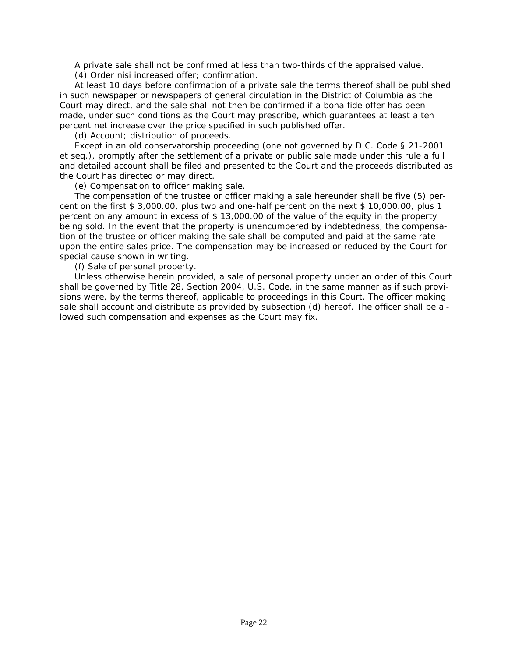A private sale shall not be confirmed at less than two-thirds of the appraised value.

(4) Order nisi increased offer; confirmation.

At least 10 days before confirmation of a private sale the terms thereof shall be published in such newspaper or newspapers of general circulation in the District of Columbia as the Court may direct, and the sale shall not then be confirmed if a bona fide offer has been made, under such conditions as the Court may prescribe, which guarantees at least a ten percent net increase over the price specified in such published offer.

(d) Account; distribution of proceeds.

Except in an old conservatorship proceeding (one not governed by *D.C. Code § 21-2001* et seq.), promptly after the settlement of a private or public sale made under this rule a full [and detailed account shall be filed and presented to the Court and the proceeds distributed as](#page-1-0)  the Court has directed or may direct.

(e) Compensation to officer making sale.

The compensation of the trustee or officer making a sale hereunder shall be five (5) percent on the first \$ 3,000.00, plus two and one-half percent on the next \$ 10,000.00, plus 1 percent on any amount in excess of \$ 13,000.00 of the value of the equity in the property being sold. In the event that the property is unencumbered by indebtedness, the compensation of the trustee or officer making the sale shall be computed and paid at the same rate upon the entire sales price. The compensation may be increased or reduced by the Court for special cause shown in writing.

(f) Sale of personal property.

Unless otherwise herein provided, a sale of personal property under an order of this Court shall be governed by Title 28, Section 2004, U.S. Code, in the same manner as if such provisions were, by the terms thereof, applicable to proceedings in this Court. The officer making sale shall account and distribute as provided by subsection (d) hereof. The officer shall be allowed such compensation and expenses as the Court may fix.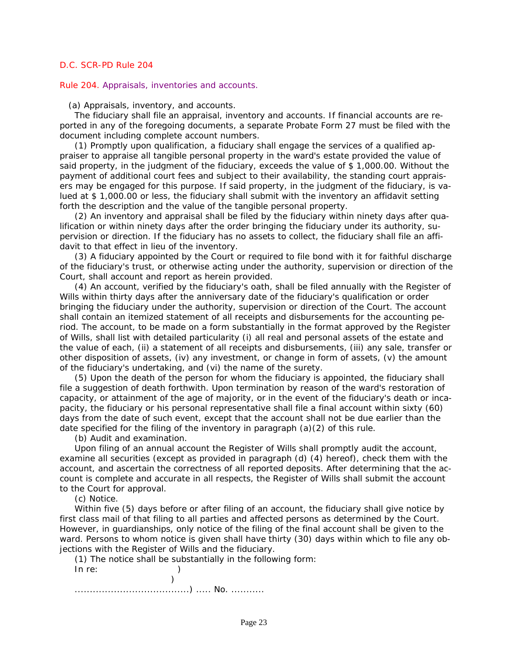#### <span id="page-27-0"></span>Rule 204. Appraisals, inventories and accounts.

(a) Appraisals, inventory, and accounts.

The fiduciary shall file an appraisal, inventory and accounts. If financial accounts are reported in any of the foregoing documents, a separate Probate Form 27 must be filed with the document including complete account numbers.

(1) Promptly upon qualification, a fiduciary shall engage the services of a qualified appraiser to appraise all tangible personal property in the ward's estate provided the value of said property, in the judgment of the fiduciary, exceeds the value of \$ 1,000.00. Without the payment of additional court fees and subject to their availability, the standing court appraisers may be engaged for this purpose. If said property, in the judgment of the fiduciary, is valued at \$ 1,000.00 or less, the fiduciary shall submit with the inventory an affidavit setting forth the description and the value of the tangible personal property.

(2) An inventory and appraisal shall be filed by the fiduciary within ninety days after qualification or within ninety days after the order bringing the fiduciary under its authority, supervision or direction. If the fiduciary has no assets to collect, the fiduciary shall file an affidavit to that effect in lieu of the inventory.

(3) A fiduciary appointed by the Court or required to file bond with it for faithful discharge [of the fiduciary's trust, or otherwise acting under the authority, supervision or direction of the](#page-1-0)  Court, shall account and report as herein provided.

(4) An account, verified by the fiduciary's oath, shall be filed annually with the Register of Wills within thirty days after the anniversary date of the fiduciary's qualification or order bringing the fiduciary under the authority, supervision or direction of the Court. The account shall contain an itemized statement of all receipts and disbursements for the accounting period. The account, to be made on a form substantially in the format approved by the Register of Wills, shall list with detailed particularity (i) all real and personal assets of the estate and the value of each, (ii) a statement of all receipts and disbursements, (iii) any sale, transfer or other disposition of assets, (iv) any investment, or change in form of assets, (v) the amount of the fiduciary's undertaking, and (vi) the name of the surety.

(5) Upon the death of the person for whom the fiduciary is appointed, the fiduciary shall file a suggestion of death forthwith. Upon termination by reason of the ward's restoration of capacity, or attainment of the age of majority, or in the event of the fiduciary's death or incapacity, the fiduciary or his personal representative shall file a final account within sixty (60) days from the date of such event, except that the account shall not be due earlier than the date specified for the filing of the inventory in paragraph (a)(2) of this rule.

(b) Audit and examination.

Upon filing of an annual account the Register of Wills shall promptly audit the account, examine all securities (except as provided in paragraph (d) (4) hereof), check them with the account, and ascertain the correctness of all reported deposits. After determining that the account is complete and accurate in all respects, the Register of Wills shall submit the account to the Court for approval.

(c) Notice.

Within five (5) days before or after filing of an account, the fiduciary shall give notice by first class mail of that filing to all parties and affected persons as determined by the Court. However, in guardianships, only notice of the filing of the final account shall be given to the ward. Persons to whom notice is given shall have thirty (30) days within which to file any objections with the Register of Wills and the fiduciary.

(1) The notice shall be substantially in the following form: In re: )  $)$ 

......................................) ..... No. ...........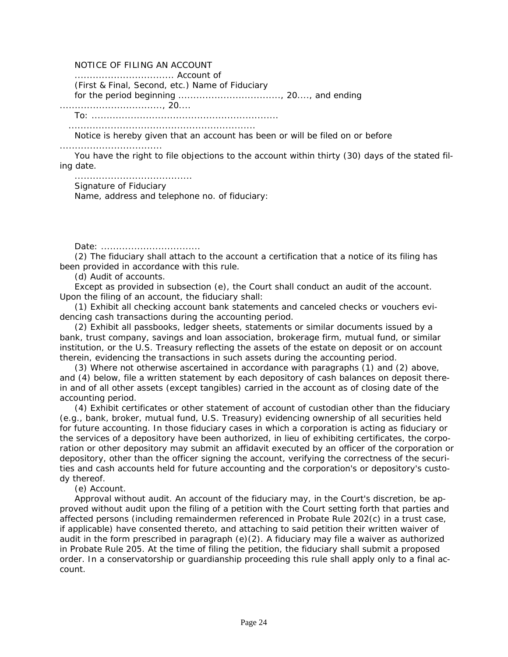# NOTICE OF FILING AN ACCOUNT

................................. Account of

(First & Final, Second, etc.) Name of Fiduciary

for the period beginning .................................., 20...., and ending

.................................., 20....

To: ..............................................................

..............................................................

Notice is hereby given that an account has been or will be filed on or before

..................................

You have the right to file objections to the account within thirty (30) days of the stated filing date.

....................................... Signature of Fiduciary Name, address and telephone no. of fiduciary:

Date: .................................

(2) The fiduciary shall attach to the account a certification that a notice of its filing has been provided in accordance with this rule.

(d) Audit of accounts.

Except as provided in subsection (e), the Court shall conduct an audit of the account. Upon the filing of an account, the fiduciary shall:

(1) Exhibit all checking account bank statements and canceled checks or vouchers evidencing cash transactions during the accounting period.

(2) Exhibit all passbooks, ledger sheets, statements or similar documents issued by a bank, trust company, savings and loan association, brokerage firm, mutual fund, or similar institution, or the U.S. Treasury reflecting the assets of the estate on deposit or on account therein, evidencing the transactions in such assets during the accounting period.

(3) Where not otherwise ascertained in accordance with paragraphs (1) and (2) above, and (4) below, file a written statement by each depository of cash balances on deposit therein and of all other assets (except tangibles) carried in the account as of closing date of the accounting period.

(4) Exhibit certificates or other statement of account of custodian other than the fiduciary (e.g., bank, broker, mutual fund, U.S. Treasury) evidencing ownership of all securities held for future accounting. In those fiduciary cases in which a corporation is acting as fiduciary or the services of a depository have been authorized, in lieu of exhibiting certificates, the corpo[ration or other depository may submit an affidavit executed by an officer of the corporation or](#page-1-0)  depository, other than the officer signing the account, verifying the correctness of the securities and cash accounts held for future accounting and the corporation's or depository's custody thereof.

(e) Account.

Approval without audit. An account of the fiduciary may, in the Court's discretion, be approved without audit upon the filing of a petition with the Court setting forth that parties and affected persons (including remaindermen referenced in Probate Rule 202(c) in a trust case, if applicable) have consented thereto, and attaching to said petition their written waiver of audit in the form prescribed in paragraph  $(e)(2)$ . A fiduciary may file a waiver as authorized in Probate Rule 205. At the time of filing the petition, the fiduciary shall submit a proposed order. In a conservatorship or guardianship proceeding this rule shall apply only to a final account.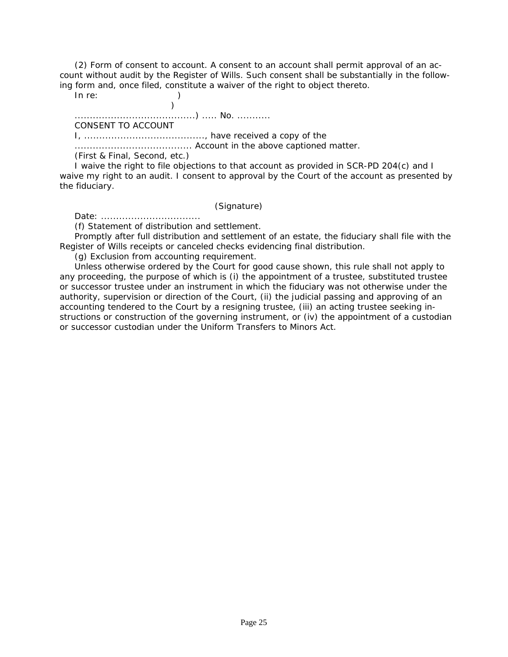(2) Form of consent to account. A consent to an account shall permit approval of an account without audit by the Register of Wills. Such consent shall be substantially in the following form and, once filed, constitute a waiver of the right to object thereto.

In re: )

 $)$ ........................................) ..... No. ...........

CONSENT TO ACCOUNT

I, ........................................, have received a copy of the

....................................... Account in the above captioned matter.

(First & Final, Second, etc.)

I waive the right to file objections to that account as provided in SCR-PD 204(c) and I [waive my right to an audit. I consent to approval by the Court of the account as presented by](#page-1-0)  the fiduciary.

(Signature)

Date: .................................

(f) Statement of distribution and settlement.

Promptly after full distribution and settlement of an estate, the fiduciary shall file with the Register of Wills receipts or canceled checks evidencing final distribution.

(g) Exclusion from accounting requirement.

Unless otherwise ordered by the Court for good cause shown, this rule shall not apply to any proceeding, the purpose of which is (i) the appointment of a trustee, substituted trustee or successor trustee under an instrument in which the fiduciary was not otherwise under the authority, supervision or direction of the Court, (ii) the judicial passing and approving of an accounting tendered to the Court by a resigning trustee, (iii) an acting trustee seeking instructions or construction of the governing instrument, or (iv) the appointment of a custodian or successor custodian under the Uniform Transfers to Minors Act.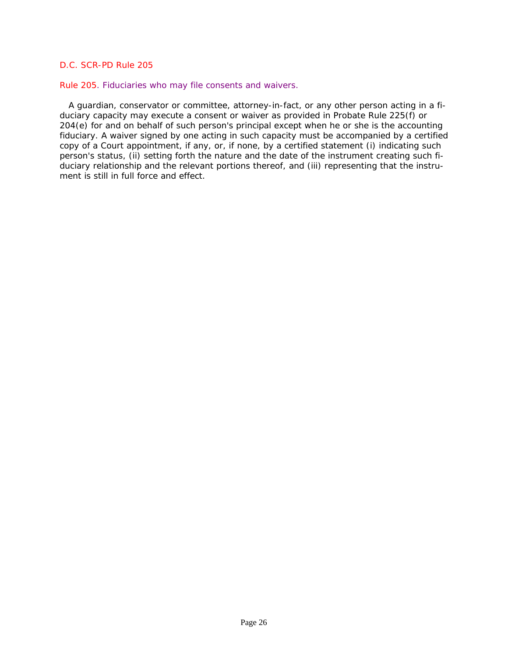#### <span id="page-30-0"></span>Rule 205. Fiduciaries who may file consents and waivers.

 A guardian, conservator or committee, attorney-in-fact, or any other person acting in a fiduciary capacity may execute a consent or waiver as provided in Probate Rule 225(f) or 204(e) for and on behalf of such person's principal except when he or she is the accounting [fiduciary. A waiver signed by one acting in such capacity must be accompanied by a certified](#page-1-0)  copy of a Court appointment, if any, or, if none, by a certified statement (i) indicating such person's status, (ii) setting forth the nature and the date of the instrument creating such fiduciary relationship and the relevant portions thereof, and (iii) representing that the instrument is still in full force and effect.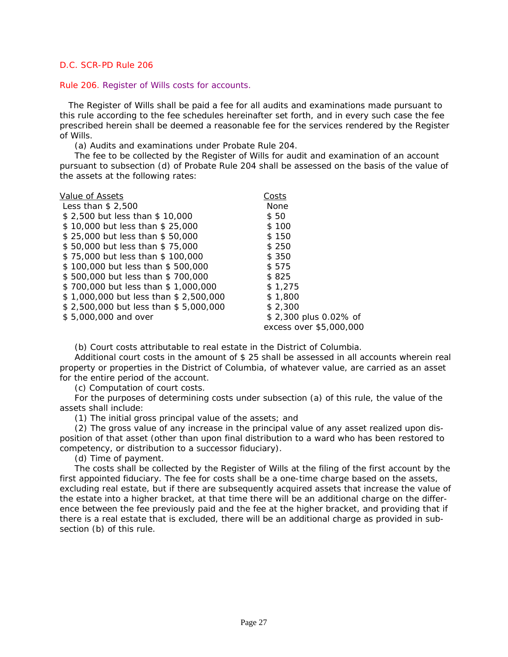#### <span id="page-31-0"></span>Rule 206. Register of Wills costs for accounts.

 The Register of Wills shall be paid a fee for all audits and examinations made pursuant to this rule according to the fee schedules hereinafter set forth, and in every such case the fee prescribed herein shall be deemed a reasonable fee for the services rendered by the Register of Wills.

(a) Audits and examinations under Probate Rule 204.

The fee to be collected by the Register of Wills for audit and examination of an account pursuant to subsection (d) of Probate Rule 204 shall be assessed on the basis of the value of the assets at the following rates:

| Value of Assets                       | Costs                   |
|---------------------------------------|-------------------------|
| Less than $$2,500$                    | <b>None</b>             |
| \$2,500 but less than \$10,000        | \$50                    |
| \$10,000 but less than \$25,000       | \$100                   |
| \$25,000 but less than \$50,000       | \$150                   |
| \$50,000 but less than \$75,000       | \$250                   |
| \$75,000 but less than \$100,000      | \$ 350                  |
| \$100,000 but less than \$500,000     | \$575                   |
| \$500,000 but less than \$700,000     | \$825                   |
| \$700,000 but less than \$1,000,000   | \$1.275                 |
| \$1,000,000 but less than \$2,500,000 | \$1,800                 |
| \$2,500,000 but less than \$5,000,000 | \$2,300                 |
| \$5,000,000 and over                  | \$2,300 plus 0.02% of   |
|                                       | excess over \$5,000,000 |

(b) Court costs attributable to real estate in the District of Columbia.

Additional court costs in the amount of \$ 25 shall be assessed in all accounts wherein real property or properties in the District of Columbia, of whatever value, are carried as an asset for the entire period of the account.

(c) Computation of court costs.

For the purposes of determining costs under subsection (a) of this rule, the value of the assets shall include:

(1) The initial gross principal value of the assets; and

(2) The gross value of any increase in the principal value of any asset realized upon disposition of that asset (other than upon final distribution to a ward who has been restored to competency, or distribution to a successor fiduciary).

(d) Time of payment.

The costs shall be collected by the Register of Wills at the filing of the first account by the first appointed fiduciary. The fee for costs shall be a one-time charge based on the assets, [excluding real estate, but if there are subsequently acquired assets that increase the value of](#page-1-0)  the estate into a higher bracket, at that time there will be an additional charge on the difference between the fee previously paid and the fee at the higher bracket, and providing that if there is a real estate that is excluded, there will be an additional charge as provided in subsection (b) of this rule.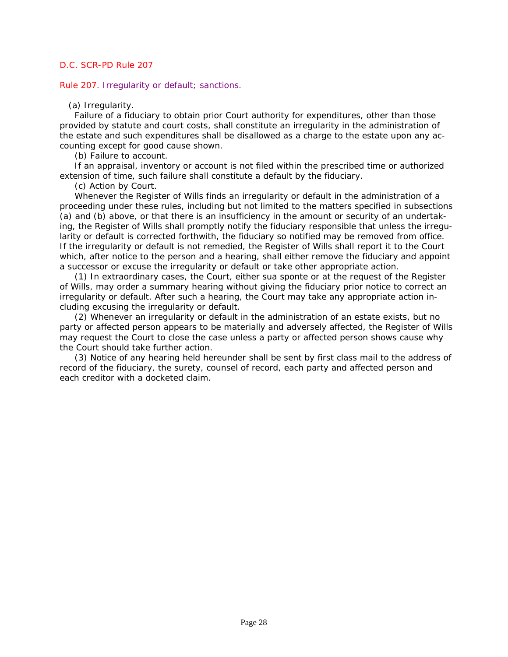<span id="page-32-0"></span>Rule 207. Irregularity or default; sanctions.

# (a) Irregularity.

Failure of a fiduciary to obtain prior Court authority for expenditures, other than those provided by statute and court costs, shall constitute an irregularity in the administration of the estate and such expenditures shall be disallowed as a charge to the estate upon any accounting except for good cause shown.

(b) Failure to account.

If an appraisal, inventory or account is not filed within the prescribed time or authorized extension of time, such failure shall constitute a default by the fiduciary.

(c) Action by Court.

Whenever the Register of Wills finds an irregularity or default in the administration of a [proceeding under these rules, including but not limited to the matters specified in subsections](#page-1-0)  (a) and (b) above, or that there is an insufficiency in the amount or security of an undertaking, the Register of Wills shall promptly notify the fiduciary responsible that unless the irregularity or default is corrected forthwith, the fiduciary so notified may be removed from office. If the irregularity or default is not remedied, the Register of Wills shall report it to the Court which, after notice to the person and a hearing, shall either remove the fiduciary and appoint a successor or excuse the irregularity or default or take other appropriate action.

(1) In extraordinary cases, the Court, either sua sponte or at the request of the Register of Wills, may order a summary hearing without giving the fiduciary prior notice to correct an irregularity or default. After such a hearing, the Court may take any appropriate action including excusing the irregularity or default.

(2) Whenever an irregularity or default in the administration of an estate exists, but no party or affected person appears to be materially and adversely affected, the Register of Wills may request the Court to close the case unless a party or affected person shows cause why the Court should take further action.

(3) Notice of any hearing held hereunder shall be sent by first class mail to the address of record of the fiduciary, the surety, counsel of record, each party and affected person and each creditor with a docketed claim.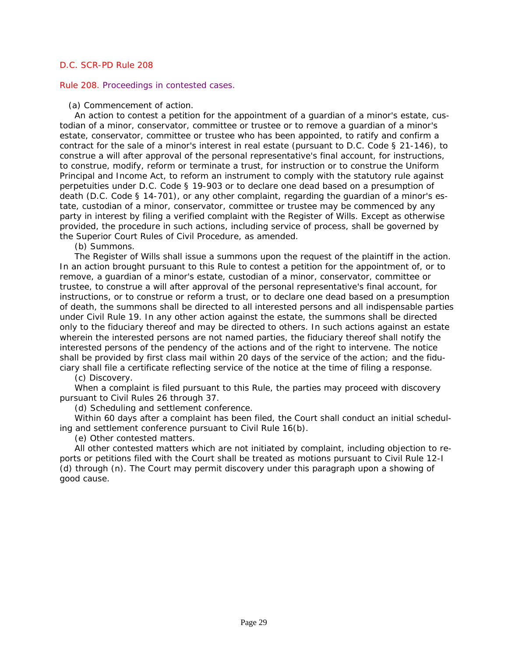#### <span id="page-33-0"></span>Rule 208. Proceedings in contested cases.

#### (a) Commencement of action.

An action to contest a petition for the appointment of a guardian of a minor's estate, custodian of a minor, conservator, committee or trustee or to remove a guardian of a minor's estate, conservator, committee or trustee who has been appointed, to ratify and confirm a contract for the sale of a minor's interest in real estate (pursuant to *D.C. Code § 21-146*), to construe a will after approval of the personal representative's final account, for instructions, to construe, modify, reform or terminate a trust, for instruction or to construe the Uniform Principal and Income Act, to reform an instrument to comply with the statutory rule against perpetuities under *D.C. Code § 19-903* or to declare one dead based on a presumption of death (*D.C. Code § 14-701*), or any other complaint, regarding the guardian of a minor's estate, custodian of a minor, conservator, committee or trustee may be commenced by any party in interest by filing a verified complaint with the Register of Wills. Except as otherwise provided, the procedure in such actions, including service of process, shall be governed by the Superior Court Rules of Civil Procedure, as amended.

(b) Summons.

The Register of Wills shall issue a summons upon the request of the plaintiff in the action. In an action brought pursuant to this Rule to contest a petition for the appointment of, or to remove, a guardian of a minor's estate, custodian of a minor, conservator, committee or trustee, to construe a will after approval of the personal representative's final account, for instructions, or to construe or reform a trust, or to declare one dead based on a presumption [of death, the summons shall be directed to all interested persons and all indispensable parties](#page-1-0)  under Civil Rule 19. In any other action against the estate, the summons shall be directed only to the fiduciary thereof and may be directed to others. In such actions against an estate wherein the interested persons are not named parties, the fiduciary thereof shall notify the interested persons of the pendency of the actions and of the right to intervene. The notice shall be provided by first class mail within 20 days of the service of the action; and the fiduciary shall file a certificate reflecting service of the notice at the time of filing a response.

(c) Discovery.

When a complaint is filed pursuant to this Rule, the parties may proceed with discovery pursuant to Civil Rules 26 through 37.

(d) Scheduling and settlement conference.

Within 60 days after a complaint has been filed, the Court shall conduct an initial scheduling and settlement conference pursuant to Civil Rule 16(b).

(e) Other contested matters.

All other contested matters which are not initiated by complaint, including objection to reports or petitions filed with the Court shall be treated as motions pursuant to Civil Rule 12-I (d) through (n). The Court may permit discovery under this paragraph upon a showing of good cause.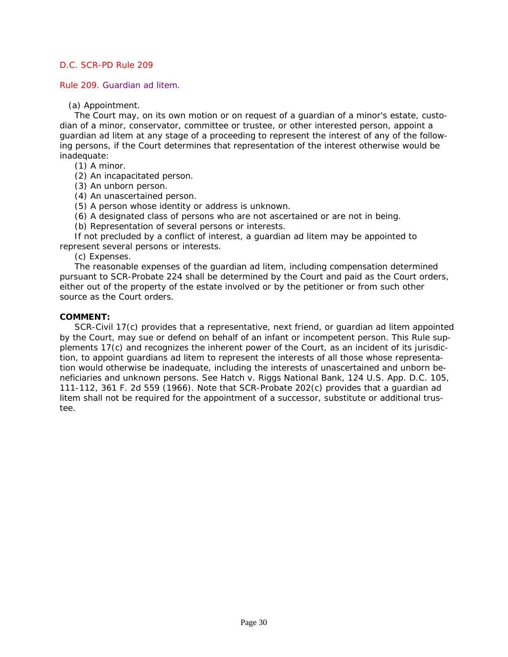<span id="page-34-0"></span>Rule 209. Guardian ad litem.

(a) Appointment.

The Court may, on its own motion or on request of a guardian of a minor's estate, custodian of a minor, conservator, committee or trustee, or other interested person, appoint a guardian ad litem at any stage of a proceeding to represent the interest of any of the following persons, if the Court determines that representation of the interest otherwise would be inadequate:

(1) A minor.

(2) An incapacitated person.

(3) An unborn person.

(4) An unascertained person.

(5) A person whose identity or address is unknown.

(6) A designated class of persons who are not ascertained or are not in being.

(b) Representation of several persons or interests.

If not precluded by a conflict of interest, a guardian ad litem may be appointed to represent several persons or interests.

(c) Expenses.

The reasonable expenses of the guardian ad litem, including compensation determined [pursuant to SCR-Probate 224 shall be determined by the Court and paid as the Court orders,](#page-1-0)  either out of the property of the estate involved or by the petitioner or from such other source as the Court orders.

# **COMMENT:**

SCR-Civil 17(c) provides that a representative, next friend, or guardian ad litem appointed by the Court, may sue or defend on behalf of an infant or incompetent person. This Rule supplements 17(c) and recognizes the inherent power of the Court, as an incident of its jurisdiction, to appoint guardians ad litem to represent the interests of all those whose representation would otherwise be inadequate, including the interests of unascertained and unborn beneficiaries and unknown persons. See *Hatch v. Riggs National Bank, 124 U.S. App. D.C. 105, 111-112, 361 F. 2d 559 (1966).* Note that SCR-Probate 202(c) provides that a guardian ad litem shall not be required for the appointment of a successor, substitute or additional trustee.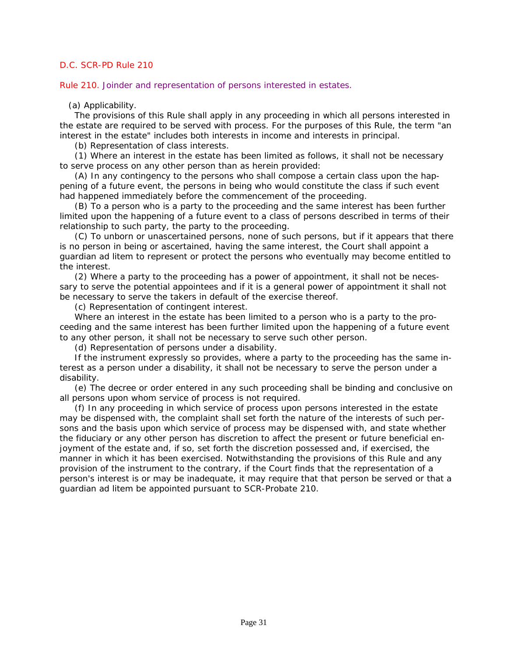<span id="page-35-0"></span>Rule 210. Joinder and representation of persons interested in estates.

# (a) Applicability.

The provisions of this Rule shall apply in any proceeding in which all persons interested in the estate are required to be served with process. For the purposes of this Rule, the term "an interest in the estate" includes both interests in income and interests in principal.

(b) Representation of class interests.

(1) Where an interest in the estate has been limited as follows, it shall not be necessary to serve process on any other person than as herein provided:

(A) In any contingency to the persons who shall compose a certain class upon the happening of a future event, the persons in being who would constitute the class if such event had happened immediately before the commencement of the proceeding.

(B) To a person who is a party to the proceeding and the same interest has been further limited upon the happening of a future event to a class of persons described in terms of their relationship to such party, the party to the proceeding.

(C) To unborn or unascertained persons, none of such persons, but if it appears that there is no person in being or ascertained, having the same interest, the Court shall appoint a guardian ad litem to represent or protect the persons who eventually may become entitled to the interest.

(2) Where a party to the proceeding has a power of appointment, it shall not be necessary to serve the potential appointees and if it is a general power of appointment it shall not be necessary to serve the takers in default of the exercise thereof.

(c) Representation of contingent interest.

Where an interest in the estate has been limited to a person who is a party to the proceeding and the same interest has been further limited upon the happening of a future event to any other person, it shall not be necessary to serve such other person.

(d) Representation of persons under a disability.

If the instrument expressly so provides, where a party to the proceeding has the same interest as a person under a disability, it shall not be necessary to serve the person under a disability.

(e) The decree or order entered in any such proceeding shall be binding and conclusive on all persons upon whom service of process is not required.

(f) In any proceeding in which service of process upon persons interested in the estate may be dispensed with, the complaint shall set forth the nature of the interests of such persons and the basis upon which service of process may be dispensed with, and state whether the fiduciary or any other person has discretion to affect the present or future beneficial enjoyment of the estate and, if so, set forth the discretion possessed and, if exercised, the manner in which it has been exercised. Notwithstanding the provisions of this Rule and any provision of the instrument to the contrary, if the Court finds that the representation of a [person's interest is or may be inadequate, it may require that that person be served or that a](#page-1-0)  guardian ad litem be appointed pursuant to SCR-Probate 210.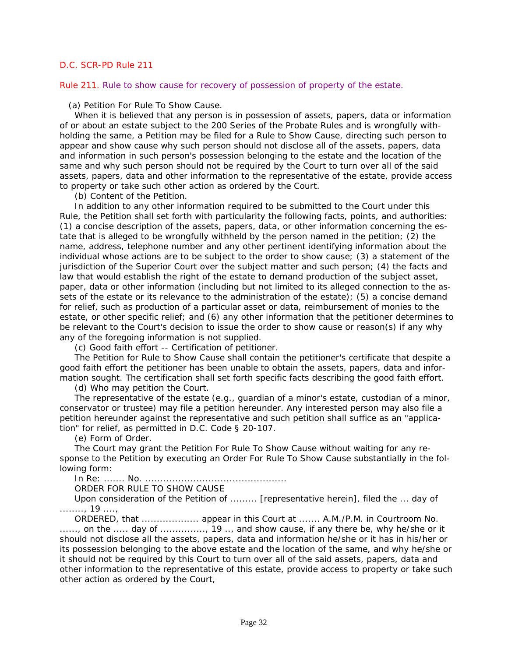Rule 211. Rule to show cause for recovery of possession of property of the estate.

(a) Petition For Rule To Show Cause.

When it is believed that any person is in possession of assets, papers, data or information of or about an estate subject to the 200 Series of the Probate Rules and is wrongfully withholding the same, a Petition may be filed for a Rule to Show Cause, directing such person to appear and show cause why such person should not disclose all of the assets, papers, data and information in such person's possession belonging to the estate and the location of the same and why such person should not be required by the Court to turn over all of the said assets, papers, data and other information to the representative of the estate, provide access to property or take such other action as ordered by the Court.

(b) Content of the Petition.

In addition to any other information required to be submitted to the Court under this Rule, the Petition shall set forth with particularity the following facts, points, and authorities: (1) a concise description of the assets, papers, data, or other information concerning the estate that is alleged to be wrongfully withheld by the person named in the petition; (2) the name, address, telephone number and any other pertinent identifying information about the individual whose actions are to be subject to the order to show cause; (3) a statement of the jurisdiction of the Superior Court over the subject matter and such person; (4) the facts and law that would establish the right of the estate to demand production of the subject asset, paper, data or other information (including but not limited to its alleged connection to the assets of the estate or its relevance to the administration of the estate); (5) a concise demand for relief, such as production of a particular asset or data, reimbursement of monies to the [estate, or other specific relief; and \(6\) any other information that the petitioner determines to](#page-1-0)  be relevant to the Court's decision to issue the order to show cause or reason(s) if any why any of the foregoing information is not supplied.

(c) Good faith effort -- Certification of petitioner.

The Petition for Rule to Show Cause shall contain the petitioner's certificate that despite a good faith effort the petitioner has been unable to obtain the assets, papers, data and information sought. The certification shall set forth specific facts describing the good faith effort.

(d) Who may petition the Court.

The representative of the estate (e.g., guardian of a minor's estate, custodian of a minor, conservator or trustee) may file a petition hereunder. Any interested person may also file a petition hereunder against the representative and such petition shall suffice as an "application" for relief, as permitted in *D.C. Code § 20-107*.

(e) Form of Order.

The Court may grant the Petition For Rule To Show Cause without waiting for any response to the Petition by executing an Order For Rule To Show Cause substantially in the following form:

In Re: ....... No. ...............................................

ORDER FOR RULE TO SHOW CAUSE

Upon consideration of the Petition of ......... [representative herein], filed the ... day of ........, 19 ....,

ORDERED, that ................... appear in this Court at ....... A.M./P.M. in Courtroom No. ......, on the ..... day of .............., 19 .., and show cause, if any there be, why he/she or it should not disclose all the assets, papers, data and information he/she or it has in his/her or its possession belonging to the above estate and the location of the same, and why he/she or it should not be required by this Court to turn over all of the said assets, papers, data and other information to the representative of this estate, provide access to property or take such other action as ordered by the Court,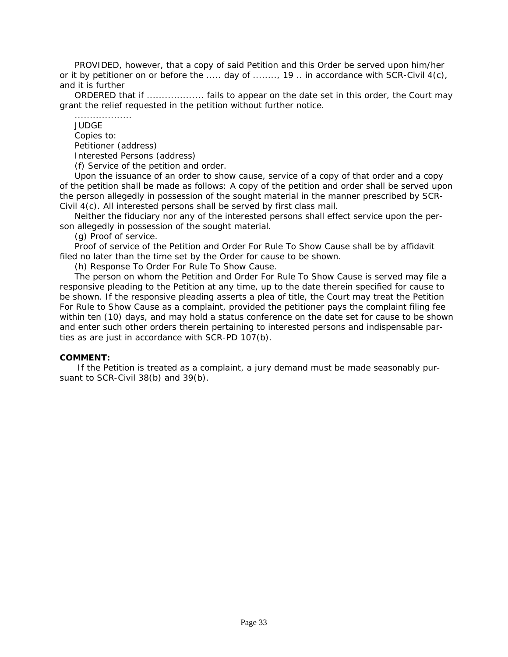PROVIDED, however, that a copy of said Petition and this Order be served upon him/her or it by petitioner on or before the ..... day of ........, 19 .. in accordance with SCR-Civil 4(c), and it is further

ORDERED that if ..................... fails to appear on the date set in this order, the Court may grant the relief requested in the petition without further notice.

................... JUDGE Copies to: Petitioner (address) Interested Persons (address) (f) Service of the petition and order.

Upon the issuance of an order to show cause, service of a copy of that order and a copy of the petition shall be made as follows: A copy of the petition and order shall be served upon the person allegedly in possession of the sought material in the manner prescribed by SCR-Civil 4(c). All interested persons shall be served by first class mail.

Neither the fiduciary nor any of the interested persons shall effect service upon the person allegedly in possession of the sought material.

(g) Proof of service.

Proof of service of the Petition and Order For Rule To Show Cause shall be by affidavit filed no later than the time set by the Order for cause to be shown.

(h) Response To Order For Rule To Show Cause.

The person on whom the Petition and Order For Rule To Show Cause is served may file a responsive pleading to the Petition at any time, up to the date therein specified for cause to be shown. If the responsive pleading asserts a plea of title, the Court may treat the Petition For Rule to Show Cause as a complaint, provided the petitioner pays the complaint filing fee [within ten \(10\) days, and may hold a status conference on the date set for cause to be shown](#page-1-0)  and enter such other orders therein pertaining to interested persons and indispensable parties as are just in accordance with SCR-PD 107(b).

#### **COMMENT:**

 If the Petition is treated as a complaint, a jury demand must be made seasonably pursuant to SCR-Civil 38(b) and 39(b).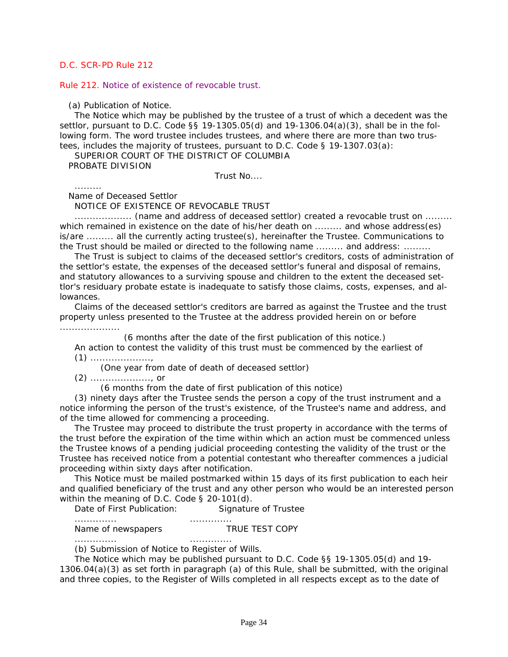#### Rule 212. Notice of existence of revocable trust.

#### (a) Publication of Notice.

The Notice which may be published by the trustee of a trust of which a decedent was the settlor, pursuant to *D.C. Code §§ 19-1305.05(d)* and *19-1306.04(a)(3)*, shall be in the following form. The word trustee includes trustees, and where there are more than two trustees, includes the majority of trustees, pursuant to *D.C. Code § 19-1307.03(a)*:

SUPERIOR COURT OF THE DISTRICT OF COLUMBIA

PROBATE DIVISION

Trust No....

.........

Name of Deceased Settlor

NOTICE OF EXISTENCE OF REVOCABLE TRUST

................... (name and address of deceased settlor) created a revocable trust on ......... which remained in existence on the date of his/her death on ......... and whose address(es) is/are ......... all the currently acting trustee(s), hereinafter the Trustee. Communications to the Trust should be mailed or directed to the following name ......... and address: .........

The Trust is subject to claims of the deceased settlor's creditors, costs of administration of the settlor's estate, the expenses of the deceased settlor's funeral and disposal of remains, and statutory allowances to a surviving spouse and children to the extent the deceased settlor's residuary probate estate is inadequate to satisfy those claims, costs, expenses, and allowances.

Claims of the deceased settlor's creditors are barred as against the Trustee and the trust property unless presented to the Trustee at the address provided herein on or before ....................

(6 months after the date of the first publication of this notice.)

An action to contest the validity of this trust must be commenced by the earliest of (1) ....................,

(One year from date of death of deceased settlor)

(2) ...................., or

(6 months from the date of first publication of this notice)

(3) ninety days after the Trustee sends the person a copy of the trust instrument and a notice informing the person of the trust's existence, of the Trustee's name and address, and of the time allowed for commencing a proceeding.

The Trustee may proceed to distribute the trust property in accordance with the terms of the trust before the expiration of the time within which an action must be commenced unless the Trustee knows of a pending judicial proceeding contesting the validity of the trust or the Trustee has received notice from a potential contestant who thereafter commences a judicial proceeding within sixty days after notification.

This Notice must be mailed postmarked within 15 days of its first publication to each heir [and qualified beneficiary of the trust and any other person who would be an interested person](#page-1-0)  within the meaning of *D.C. Code § 20-101(d)*.

Date of First Publication: Signature of Trustee

.............. .............. Name of newspapers TRUE TEST COPY

.............. ..............

(b) Submission of Notice to Register of Wills.

The Notice which may be published pursuant to *D.C. Code §§ 19-1305.05(d)* and *19- 1306.04(a)(3)* as set forth in paragraph (a) of this Rule, shall be submitted, with the original and three copies, to the Register of Wills completed in all respects except as to the date of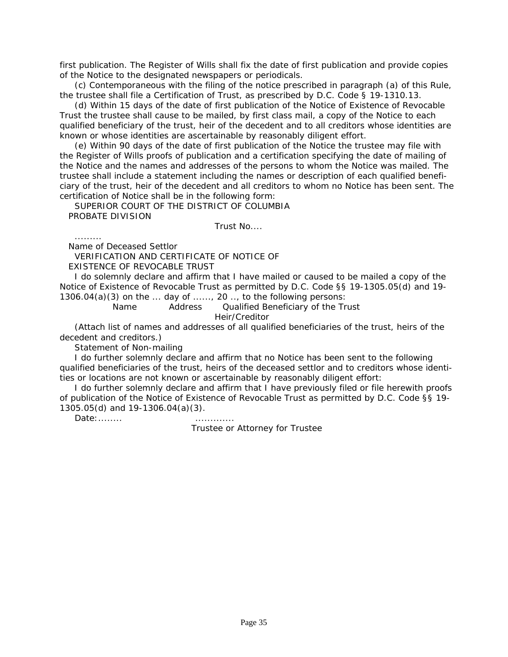first publication. The Register of Wills shall fix the date of first publication and provide copies of the Notice to the designated newspapers or periodicals.

(c) Contemporaneous with the filing of the notice prescribed in paragraph (a) of this Rule, the trustee shall file a Certification of Trust, as prescribed by *D.C. Code § 19-1310.13*.

(d) Within 15 days of the date of first publication of the Notice of Existence of Revocable Trust the trustee shall cause to be mailed, by first class mail, a copy of the Notice to each qualified beneficiary of the trust, heir of the decedent and to all creditors whose identities are known or whose identities are ascertainable by reasonably diligent effort.

(e) Within 90 days of the date of first publication of the Notice the trustee may file with the Register of Wills proofs of publication and a certification specifying the date of mailing of the Notice and the names and addresses of the persons to whom the Notice was mailed. The trustee shall include a statement including the names or description of each qualified benefi[ciary of the trust, heir of the decedent and all creditors to whom no Notice has been sent. The](#page-1-0)  certification of Notice shall be in the following form:

SUPERIOR COURT OF THE DISTRICT OF COLUMBIA PROBATE DIVISION

Trust No....

Name of Deceased Settlor

.........

VERIFICATION AND CERTIFICATE OF NOTICE OF

EXISTENCE OF REVOCABLE TRUST

I do solemnly declare and affirm that I have mailed or caused to be mailed a copy of the Notice of Existence of Revocable Trust as permitted by *D.C. Code §§ 19-1305.05(d)* and *19- 1306.04(a)(3)* on the ... day of ......, 20 .., to the following persons:

 Name Address Qualified Beneficiary of the Trust Heir/Creditor

(Attach list of names and addresses of all qualified beneficiaries of the trust, heirs of the decedent and creditors.)

Statement of Non-mailing

I do further solemnly declare and affirm that no Notice has been sent to the following qualified beneficiaries of the trust, heirs of the deceased settlor and to creditors whose identities or locations are not known or ascertainable by reasonably diligent effort:

I do further solemnly declare and affirm that I have previously filed or file herewith proofs of publication of the Notice of Existence of Revocable Trust as permitted by *D.C. Code §§ 19- 1305.05(d)* and *19-1306.04(a)(3)*.

Date:........ .............

Trustee or Attorney for Trustee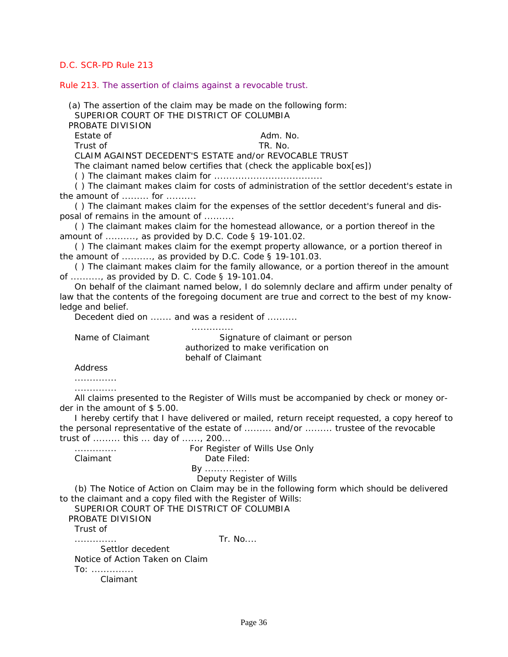Rule 213. The assertion of claims against a revocable trust.

 (a) The assertion of the claim may be made on the following form: SUPERIOR COURT OF THE DISTRICT OF COLUMBIA

PROBATE DIVISION

Estate of Adm. No.

Trust of TR. No.

CLAIM AGAINST DECEDENT'S ESTATE and/or REVOCABLE TRUST

The claimant named below certifies that (check the applicable box[es])

( ) The claimant makes claim for ....................................

( ) The claimant makes claim for costs of administration of the settlor decedent's estate in the amount of  $\dots \dots$  for  $\dots \dots$ 

( ) The claimant makes claim for the expenses of the settlor decedent's funeral and disposal of remains in the amount of ..........

( ) The claimant makes claim for the homestead allowance, or a portion thereof in the amount of .........., as provided by *D.C. Code § 19-101.02*.

( ) The claimant makes claim for the exempt property allowance, or a portion thereof in the amount of .........., as provided by *D.C. Code § 19-101.03*.

( ) The claimant makes claim for the family allowance, or a portion thereof in the amount of .........., as provided by *D. C. Code § 19-101.04*.

On behalf of the claimant named below, I do solemnly declare and affirm under penalty of [law that the contents of the foregoing document are true and correct to the best of my know](#page-1-0)ledge and belief.

Decedent died on ....... and was a resident of ..........

..............

Name of Claimant Signature of claimant or person authorized to make verification on behalf of Claimant

Address

.............. ..............

All claims presented to the Register of Wills must be accompanied by check or money order in the amount of \$ 5.00.

I hereby certify that I have delivered or mailed, return receipt requested, a copy hereof to the personal representative of the estate of ......... and/or ......... trustee of the revocable trust of ......... this ... day of ......, 200...

.............. For Register of Wills Use Only Claimant Date Filed:

By ..............

Deputy Register of Wills

(b) The Notice of Action on Claim may be in the following form which should be delivered to the claimant and a copy filed with the Register of Wills:

SUPERIOR COURT OF THE DISTRICT OF COLUMBIA PROBATE DIVISION Trust of

.............. Tr. No....

 Settlor decedent Notice of Action Taken on Claim To: .............. Claimant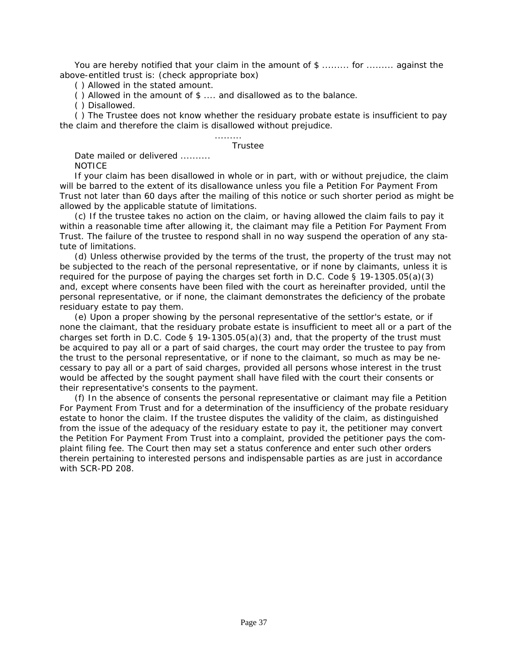You are hereby notified that your claim in the amount of \$ ......... for ......... against the above-entitled trust is: (check appropriate box)

( ) Allowed in the stated amount.

( ) Allowed in the amount of \$ .... and disallowed as to the balance.

( ) Disallowed.

( ) The Trustee does not know whether the residuary probate estate is insufficient to pay the claim and therefore the claim is disallowed without prejudice.

#### Trustee

.........

Date mailed or delivered ......... **NOTICE** 

If your claim has been disallowed in whole or in part, with or without prejudice, the claim will be barred to the extent of its disallowance unless you file a Petition For Payment From [Trust not later than 60 days after the mailing of this notice or such shorter period as might be](#page-1-0)  allowed by the applicable statute of limitations.

(c) If the trustee takes no action on the claim, or having allowed the claim fails to pay it within a reasonable time after allowing it, the claimant may file a Petition For Payment From Trust. The failure of the trustee to respond shall in no way suspend the operation of any statute of limitations.

(d) Unless otherwise provided by the terms of the trust, the property of the trust may not be subjected to the reach of the personal representative, or if none by claimants, unless it is required for the purpose of paying the charges set forth in *D.C. Code § 19-1305.05(a)(3)* and, except where consents have been filed with the court as hereinafter provided, until the personal representative, or if none, the claimant demonstrates the deficiency of the probate residuary estate to pay them.

(e) Upon a proper showing by the personal representative of the settlor's estate, or if none the claimant, that the residuary probate estate is insufficient to meet all or a part of the charges set forth in *D.C. Code § 19-1305.05(a)(3)* and, that the property of the trust must be acquired to pay all or a part of said charges, the court may order the trustee to pay from the trust to the personal representative, or if none to the claimant, so much as may be necessary to pay all or a part of said charges, provided all persons whose interest in the trust would be affected by the sought payment shall have filed with the court their consents or their representative's consents to the payment.

(f) In the absence of consents the personal representative or claimant may file a Petition For Payment From Trust and for a determination of the insufficiency of the probate residuary estate to honor the claim. If the trustee disputes the validity of the claim, as distinguished from the issue of the adequacy of the residuary estate to pay it, the petitioner may convert the Petition For Payment From Trust into a complaint, provided the petitioner pays the complaint filing fee. The Court then may set a status conference and enter such other orders therein pertaining to interested persons and indispensable parties as are just in accordance with SCR-PD 208.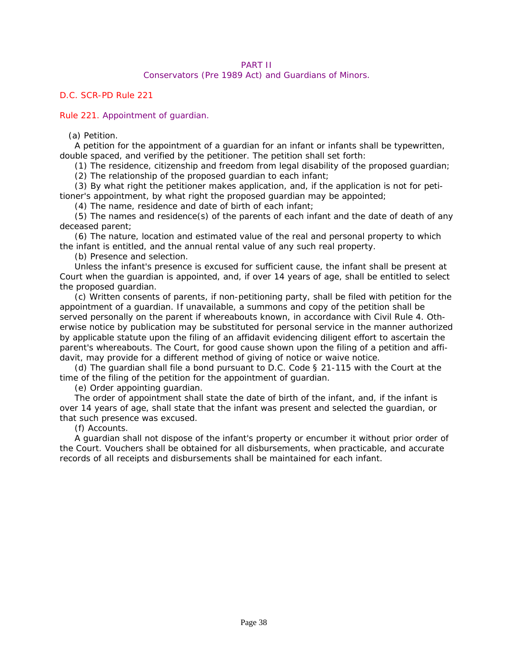# PART II

# Conservators (Pre 1989 Act) and Guardians of Minors.

# *D.C. SCR-PD Rule 221*

# Rule 221. Appointment of guardian.

# (a) Petition.

A petition for the appointment of a guardian for an infant or infants shall be typewritten, double spaced, and verified by the petitioner. The petition shall set forth:

(1) The residence, citizenship and freedom from legal disability of the proposed guardian;

(2) The relationship of the proposed guardian to each infant;

(3) By what right the petitioner makes application, and, if the application is not for petitioner's appointment, by what right the proposed guardian may be appointed;

(4) The name, residence and date of birth of each infant;

(5) The names and residence(s) of the parents of each infant and the date of death of any deceased parent;

(6) The nature, location and estimated value of the real and personal property to which the infant is entitled, and the annual rental value of any such real property.

(b) Presence and selection.

Unless the infant's presence is excused for sufficient cause, the infant shall be present at Court when the guardian is appointed, and, if over 14 years of age, shall be entitled to select the proposed guardian.

(c) Written consents of parents, if non-petitioning party, shall be filed with petition for the appointment of a guardian. If unavailable, a summons and copy of the petition shall be served personally on the parent if whereabouts known, in accordance with Civil Rule 4. Oth[erwise notice by publication may be substituted for personal service in the manner authorized](#page-1-0)  by applicable statute upon the filing of an affidavit evidencing diligent effort to ascertain the parent's whereabouts. The Court, for good cause shown upon the filing of a petition and affidavit, may provide for a different method of giving of notice or waive notice.

(d) The guardian shall file a bond pursuant to *D.C. Code § 21-115* with the Court at the time of the filing of the petition for the appointment of guardian.

(e) Order appointing guardian.

The order of appointment shall state the date of birth of the infant, and, if the infant is over 14 years of age, shall state that the infant was present and selected the guardian, or that such presence was excused.

(f) Accounts.

A guardian shall not dispose of the infant's property or encumber it without prior order of the Court. Vouchers shall be obtained for all disbursements, when practicable, and accurate records of all receipts and disbursements shall be maintained for each infant.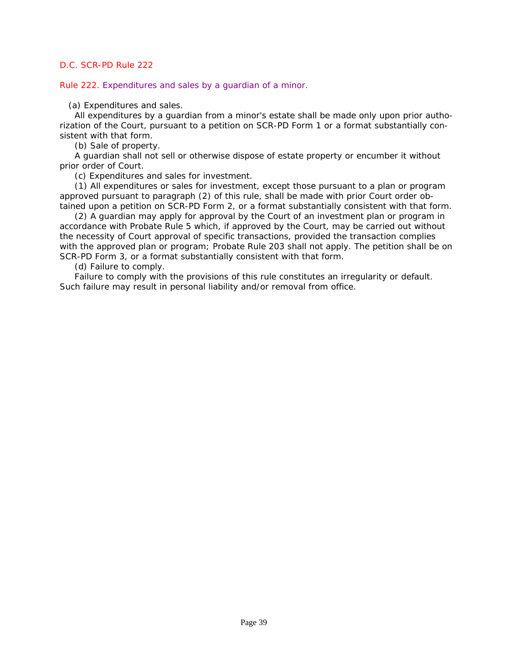Rule 222. Expenditures and sales by a guardian of a minor.

(a) Expenditures and sales.

All expenditures by a guardian from a minor's estate shall be made only upon prior authorization of the Court, pursuant to a petition on SCR-PD Form 1 or a format substantially consistent with that form.

(b) Sale of property.

A guardian shall not sell or otherwise dispose of estate property or encumber it without prior order of Court.

(c) Expenditures and sales for investment.

(1) All expenditures or sales for investment, except those pursuant to a plan or program approved pursuant to paragraph (2) of this rule, shall be made with prior Court order obtained upon a petition on SCR-PD Form 2, or a format substantially consistent with that form.

(2) A guardian may apply for approval by the Court of an investment plan or program in accordance with Probate Rule 5 which, if approved by the Court, may be carried out without the necessity of Court approval of specific transactions, provided the transaction complies with the approved plan or program; Probate Rule 203 shall not apply. The petition shall be on SCR-PD Form 3, or a format substantially consistent with that form.

(d) Failure to comply.

Failure to comply with the provisions of this rule constitutes an irregularity or default. Such failure may result in personal liability and/or removal from office.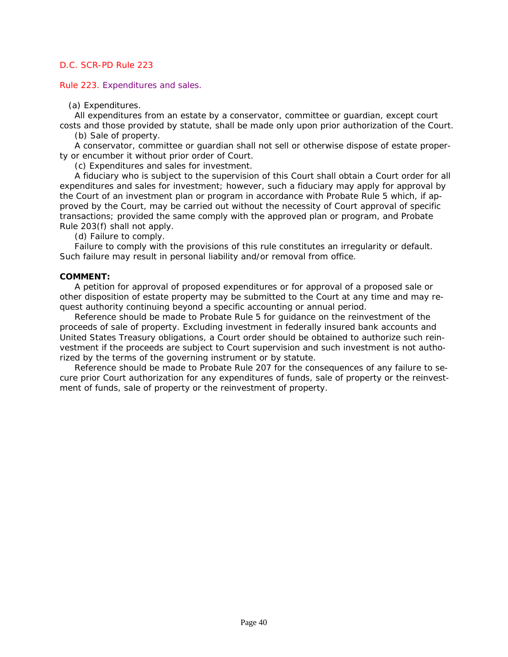Rule 223. Expenditures and sales.

(a) Expenditures.

All expenditures from an estate by a conservator, committee or guardian, except court [costs and those provided by statute, shall be made only upon prior authorization of the Court.](#page-1-0) 

(b) Sale of property.

A conservator, committee or guardian shall not sell or otherwise dispose of estate property or encumber it without prior order of Court.

(c) Expenditures and sales for investment.

A fiduciary who is subject to the supervision of this Court shall obtain a Court order for all expenditures and sales for investment; however, such a fiduciary may apply for approval by the Court of an investment plan or program in accordance with Probate Rule 5 which, if approved by the Court, may be carried out without the necessity of Court approval of specific transactions; provided the same comply with the approved plan or program, and Probate Rule 203(f) shall not apply.

(d) Failure to comply.

Failure to comply with the provisions of this rule constitutes an irregularity or default. Such failure may result in personal liability and/or removal from office.

#### **COMMENT:**

A petition for approval of proposed expenditures or for approval of a proposed sale or other disposition of estate property may be submitted to the Court at any time and may request authority continuing beyond a specific accounting or annual period.

Reference should be made to Probate Rule 5 for guidance on the reinvestment of the proceeds of sale of property. Excluding investment in federally insured bank accounts and United States Treasury obligations, a Court order should be obtained to authorize such reinvestment if the proceeds are subject to Court supervision and such investment is not authorized by the terms of the governing instrument or by statute.

Reference should be made to Probate Rule 207 for the consequences of any failure to secure prior Court authorization for any expenditures of funds, sale of property or the reinvestment of funds, sale of property or the reinvestment of property.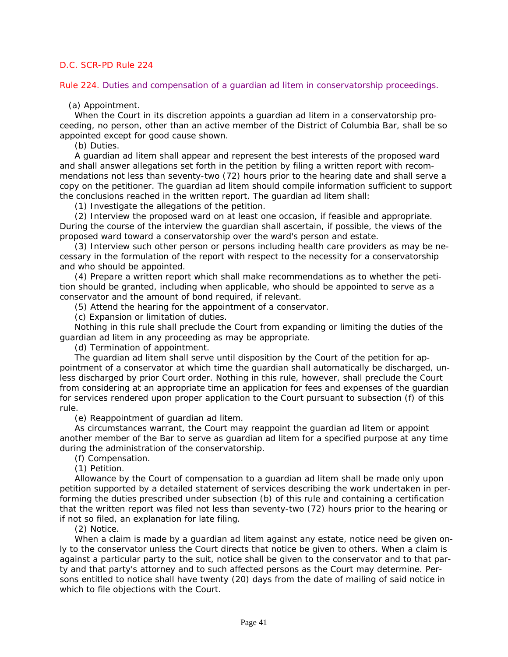Rule 224. Duties and compensation of a guardian ad litem in conservatorship proceedings.

(a) Appointment.

When the Court in its discretion appoints a guardian ad litem in a conservatorship proceeding, no person, other than an active member of the District of Columbia Bar, shall be so appointed except for good cause shown.

(b) Duties.

A guardian ad litem shall appear and represent the best interests of the proposed ward and shall answer allegations set forth in the petition by filing a written report with recommendations not less than seventy-two (72) hours prior to the hearing date and shall serve a [copy on the petitioner. The guardian ad litem should compile information sufficient to support](#page-1-0)  the conclusions reached in the written report. The guardian ad litem shall:

(1) Investigate the allegations of the petition.

(2) Interview the proposed ward on at least one occasion, if feasible and appropriate. During the course of the interview the guardian shall ascertain, if possible, the views of the proposed ward toward a conservatorship over the ward's person and estate.

(3) Interview such other person or persons including health care providers as may be necessary in the formulation of the report with respect to the necessity for a conservatorship and who should be appointed.

(4) Prepare a written report which shall make recommendations as to whether the petition should be granted, including when applicable, who should be appointed to serve as a conservator and the amount of bond required, if relevant.

(5) Attend the hearing for the appointment of a conservator.

(c) Expansion or limitation of duties.

Nothing in this rule shall preclude the Court from expanding or limiting the duties of the guardian ad litem in any proceeding as may be appropriate.

(d) Termination of appointment.

The guardian ad litem shall serve until disposition by the Court of the petition for appointment of a conservator at which time the guardian shall automatically be discharged, unless discharged by prior Court order. Nothing in this rule, however, shall preclude the Court from considering at an appropriate time an application for fees and expenses of the guardian for services rendered upon proper application to the Court pursuant to subsection (f) of this rule.

(e) Reappointment of guardian ad litem.

As circumstances warrant, the Court may reappoint the guardian ad litem or appoint another member of the Bar to serve as guardian ad litem for a specified purpose at any time during the administration of the conservatorship.

(f) Compensation.

(1) Petition.

Allowance by the Court of compensation to a guardian ad litem shall be made only upon petition supported by a detailed statement of services describing the work undertaken in performing the duties prescribed under subsection (b) of this rule and containing a certification that the written report was filed not less than seventy-two (72) hours prior to the hearing or if not so filed, an explanation for late filing.

(2) Notice.

When a claim is made by a guardian ad litem against any estate, notice need be given only to the conservator unless the Court directs that notice be given to others. When a claim is against a particular party to the suit, notice shall be given to the conservator and to that party and that party's attorney and to such affected persons as the Court may determine. Persons entitled to notice shall have twenty (20) days from the date of mailing of said notice in which to file objections with the Court.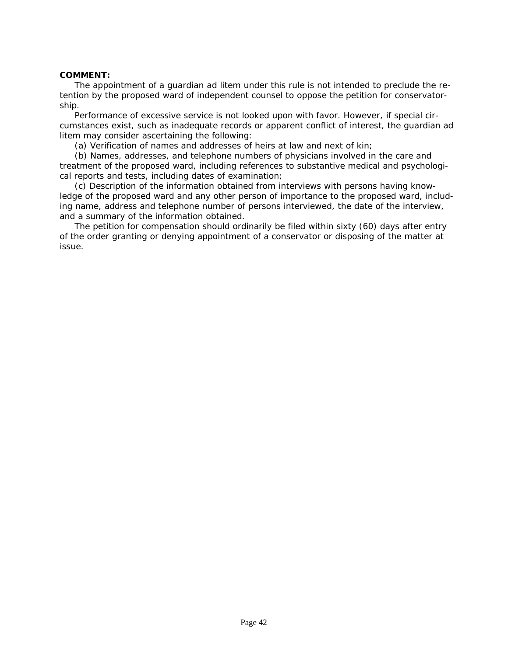### **COMMENT:**

The appointment of a guardian ad litem under this rule is not intended to preclude the retention by the proposed ward of independent counsel to oppose the petition for conservatorship.

Performance of excessive service is not looked upon with favor. However, if special cir[cumstances exist, such as inadequate records or apparent conflict of interest, the guardian ad](#page-1-0)  litem may consider ascertaining the following:

(a) Verification of names and addresses of heirs at law and next of kin;

(b) Names, addresses, and telephone numbers of physicians involved in the care and treatment of the proposed ward, including references to substantive medical and psychological reports and tests, including dates of examination;

(c) Description of the information obtained from interviews with persons having knowledge of the proposed ward and any other person of importance to the proposed ward, including name, address and telephone number of persons interviewed, the date of the interview, and a summary of the information obtained.

The petition for compensation should ordinarily be filed within sixty (60) days after entry of the order granting or denying appointment of a conservator or disposing of the matter at issue.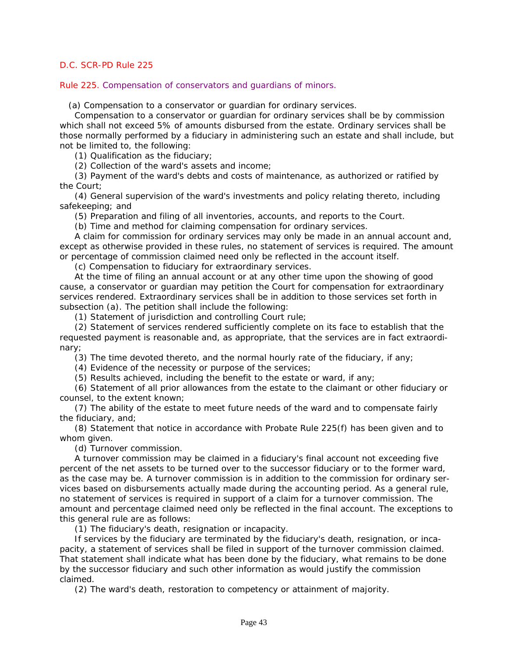Rule 225. Compensation of conservators and guardians of minors.

(a) Compensation to a conservator or guardian for ordinary services.

Compensation to a conservator or guardian for ordinary services shall be by commission which shall not exceed 5% of amounts disbursed from the estate. Ordinary services shall be [those normally performed by a fiduciary in administering such an estate and shall include, but](#page-1-0)  not be limited to, the following:

(1) Qualification as the fiduciary;

(2) Collection of the ward's assets and income;

(3) Payment of the ward's debts and costs of maintenance, as authorized or ratified by the Court;

(4) General supervision of the ward's investments and policy relating thereto, including safekeeping; and

(5) Preparation and filing of all inventories, accounts, and reports to the Court.

(b) Time and method for claiming compensation for ordinary services.

A claim for commission for ordinary services may only be made in an annual account and, except as otherwise provided in these rules, no statement of services is required. The amount or percentage of commission claimed need only be reflected in the account itself.

(c) Compensation to fiduciary for extraordinary services.

At the time of filing an annual account or at any other time upon the showing of good cause, a conservator or guardian may petition the Court for compensation for extraordinary services rendered. Extraordinary services shall be in addition to those services set forth in subsection (a). The petition shall include the following:

(1) Statement of jurisdiction and controlling Court rule;

(2) Statement of services rendered sufficiently complete on its face to establish that the requested payment is reasonable and, as appropriate, that the services are in fact extraordinary;

(3) The time devoted thereto, and the normal hourly rate of the fiduciary, if any;

(4) Evidence of the necessity or purpose of the services;

(5) Results achieved, including the benefit to the estate or ward, if any;

(6) Statement of all prior allowances from the estate to the claimant or other fiduciary or counsel, to the extent known;

(7) The ability of the estate to meet future needs of the ward and to compensate fairly the fiduciary, and;

(8) Statement that notice in accordance with Probate Rule 225(f) has been given and to whom given.

(d) Turnover commission.

A turnover commission may be claimed in a fiduciary's final account not exceeding five percent of the net assets to be turned over to the successor fiduciary or to the former ward, as the case may be. A turnover commission is in addition to the commission for ordinary services based on disbursements actually made during the accounting period. As a general rule, no statement of services is required in support of a claim for a turnover commission. The amount and percentage claimed need only be reflected in the final account. The exceptions to this general rule are as follows:

(1) The fiduciary's death, resignation or incapacity.

If services by the fiduciary are terminated by the fiduciary's death, resignation, or incapacity, a statement of services shall be filed in support of the turnover commission claimed. That statement shall indicate what has been done by the fiduciary, what remains to be done by the successor fiduciary and such other information as would justify the commission claimed.

(2) The ward's death, restoration to competency or attainment of majority.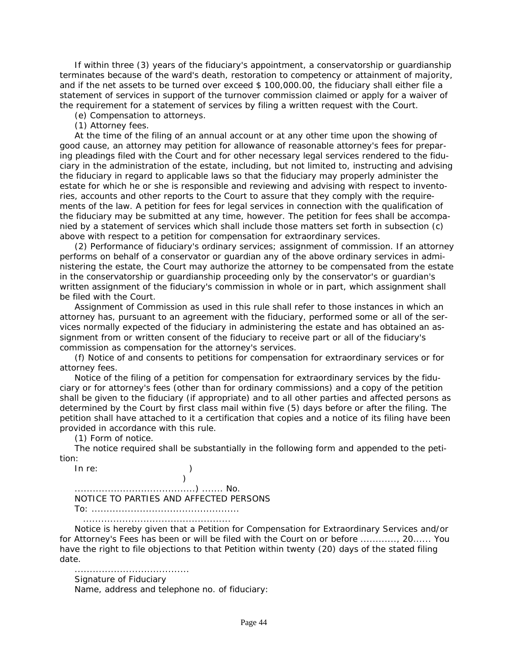If within three (3) years of the fiduciary's appointment, a conservatorship or guardianship terminates because of the ward's death, restoration to competency or attainment of majority, and if the net assets to be turned over exceed \$ 100,000.00, the fiduciary shall either file a statement of services in support of the turnover commission claimed or apply for a waiver of the requirement for a statement of services by filing a written request with the Court.

(e) Compensation to attorneys.

(1) Attorney fees.

At the time of the filing of an annual account or at any other time upon the showing of good cause, an attorney may petition for allowance of reasonable attorney's fees for preparing pleadings filed with the Court and for other necessary legal services rendered to the fiduciary in the administration of the estate, including, but not limited to, instructing and advising the fiduciary in regard to applicable laws so that the fiduciary may properly administer the estate for which he or she is responsible and reviewing and advising with respect to inventories, accounts and other reports to the Court to assure that they comply with the requirements of the law. A petition for fees for legal services in connection with the qualification of the fiduciary may be submitted at any time, however. The petition for fees shall be accompanied by a statement of services which shall include those matters set forth in subsection (c) above with respect to a petition for compensation for extraordinary services.

(2) Performance of fiduciary's ordinary services; assignment of commission. If an attorney performs on behalf of a conservator or guardian any of the above ordinary services in admi[nistering the estate, the Court may authorize the attorney to be compensated from the estate](#page-1-0)  in the conservatorship or guardianship proceeding only by the conservator's or guardian's written assignment of the fiduciary's commission in whole or in part, which assignment shall be filed with the Court.

Assignment of Commission as used in this rule shall refer to those instances in which an attorney has, pursuant to an agreement with the fiduciary, performed some or all of the services normally expected of the fiduciary in administering the estate and has obtained an assignment from or written consent of the fiduciary to receive part or all of the fiduciary's commission as compensation for the attorney's services.

(f) Notice of and consents to petitions for compensation for extraordinary services or for attorney fees.

Notice of the filing of a petition for compensation for extraordinary services by the fiduciary or for attorney's fees (other than for ordinary commissions) and a copy of the petition shall be given to the fiduciary (if appropriate) and to all other parties and affected persons as determined by the Court by first class mail within five (5) days before or after the filing. The petition shall have attached to it a certification that copies and a notice of its filing have been provided in accordance with this rule.

(1) Form of notice.

The notice required shall be substantially in the following form and appended to the petition:

In re: )  $)$ ........................................) ....... No. NOTICE TO PARTIES AND AFFECTED PERSONS To: ................................................. .................................................

Notice is hereby given that a Petition for Compensation for Extraordinary Services and/or for Attorney's Fees has been or will be filed with the Court on or before ............, 20...... You have the right to file objections to that Petition within twenty (20) days of the stated filing date.

...................................... Signature of Fiduciary

Name, address and telephone no. of fiduciary: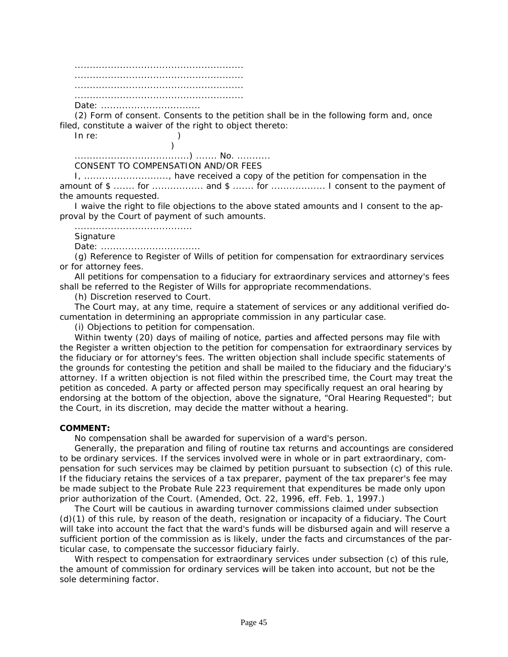........................................................ ........................................................ ........................................................ ........................................................ Date: .................................

(2) Form of consent. Consents to the petition shall be in the following form and, once filed, constitute a waiver of the right to object thereto:

In re: )

......................................) ....... No. ........... CONSENT TO COMPENSATION AND/OR FEES

I, ............................, have received a copy of the petition for compensation in the amount of \$ ....... for .................... and \$ ....... for .................... I consent to the payment of the amounts requested.

I waive the right to file objections to the above stated amounts and I consent to the approval by the Court of payment of such amounts.

.......................................

 $)$ 

**Signature** 

Date: .................................

(g) Reference to Register of Wills of petition for compensation for extraordinary services or for attorney fees.

All petitions for compensation to a fiduciary for extraordinary services and attorney's fees shall be referred to the Register of Wills for appropriate recommendations.

(h) Discretion reserved to Court.

The Court may, at any time, require a statement of services or any additional verified documentation in determining an appropriate commission in any particular case.

(i) Objections to petition for compensation.

Within twenty (20) days of mailing of notice, parties and affected persons may file with the Register a written objection to the petition for compensation for extraordinary services by the fiduciary or for attorney's fees. The written objection shall include specific statements of the grounds for contesting the petition and shall be mailed to the fiduciary and the fiduciary's attorney. If a written objection is not filed within the prescribed time, the Court may treat the petition as conceded. A party or affected person may specifically request an oral hearing by endorsing at the bottom of the objection, above the signature, "Oral Hearing Requested"; but the Court, in its discretion, may decide the matter without a hearing.

#### **COMMENT:**

No compensation shall be awarded for supervision of a ward's person.

Generally, the preparation and filing of routine tax returns and accountings are considered to be ordinary services. If the services involved were in whole or in part extraordinary, com[pensation for such services may be claimed by petition pursuant to subsection \(c\) of this rule.](#page-1-0)  If the fiduciary retains the services of a tax preparer, payment of the tax preparer's fee may be made subject to the Probate Rule 223 requirement that expenditures be made only upon prior authorization of the Court. (Amended, Oct. 22, 1996, eff. Feb. 1, 1997.)

The Court will be cautious in awarding turnover commissions claimed under subsection (d)(1) of this rule, by reason of the death, resignation or incapacity of a fiduciary. The Court will take into account the fact that the ward's funds will be disbursed again and will reserve a sufficient portion of the commission as is likely, under the facts and circumstances of the particular case, to compensate the successor fiduciary fairly.

With respect to compensation for extraordinary services under subsection (c) of this rule, the amount of commission for ordinary services will be taken into account, but not be the sole determining factor.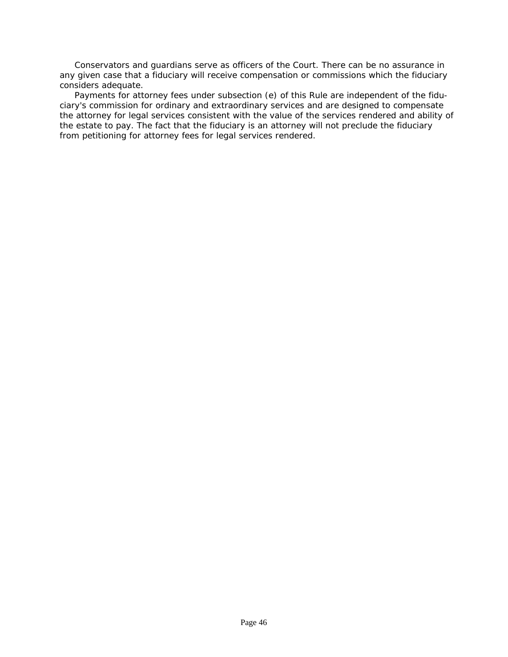Conservators and guardians serve as officers of the Court. There can be no assurance in any given case that a fiduciary will receive compensation or commissions which the fiduciary considers adequate.

Payments for attorney fees under subsection (e) of this Rule are independent of the fiduciary's commission for ordinary and extraordinary services and are designed to compensate [the attorney for legal services consistent with the value of the services rendered and ability of](#page-1-0)  the estate to pay. The fact that the fiduciary is an attorney will not preclude the fiduciary from petitioning for attorney fees for legal services rendered.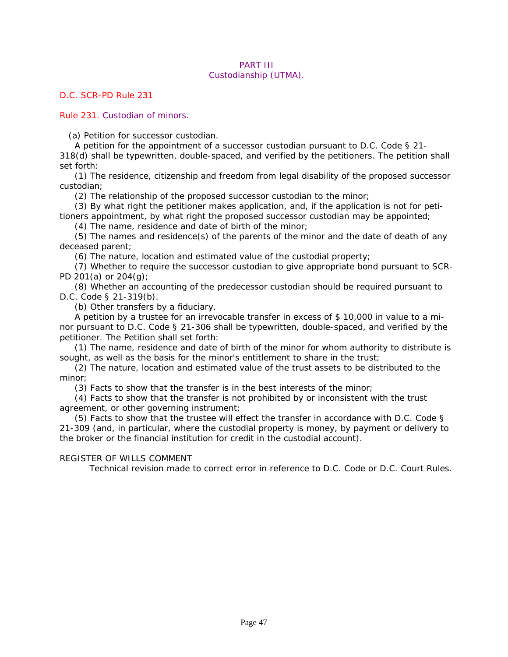#### PART III Custodianship (UTMA).

*D.C. SCR-PD Rule 231*

Rule 231. Custodian of minors.

(a) Petition for successor custodian.

A petition for the appointment of a successor custodian pursuant to *D.C. Code § 21- 318(d)* shall be typewritten, double-spaced, and verified by the petitioners. The petition shall set forth:

(1) The residence, citizenship and freedom from legal disability of the proposed successor custodian;

(2) The relationship of the proposed successor custodian to the minor;

(3) By what right the petitioner makes application, and, if the application is not for petitioners appointment, by what right the proposed successor custodian may be appointed;

(4) The name, residence and date of birth of the minor;

(5) The names and residence(s) of the parents of the minor and the date of death of any deceased parent;

(6) The nature, location and estimated value of the custodial property;

(7) Whether to require the successor custodian to give appropriate bond pursuant to SCR-PD 201(a) or 204(g);

(8) Whether an accounting of the predecessor custodian should be required pursuant to *D.C. Code § 21-319(b)*.

(b) Other transfers by a fiduciary.

A petition by a trustee for an irrevocable transfer in excess of \$ 10,000 in value to a minor pursuant to *D.C. Code § 21-306* shall be typewritten, double-spaced, and verified by the petitioner. The Petition shall set forth:

(1) The name, residence and date of birth of the minor for whom authority to distribute is sought, as well as the basis for the minor's entitlement to share in the trust;

(2) The nature, location and estimated value of the trust assets to be distributed to the minor;

(3) Facts to show that the transfer is in the best interests of the minor;

(4) Facts to show that the transfer is not prohibited by or inconsistent with the trust agreement, or other governing instrument;

(5) Facts to show that the trustee will effect the transfer in accordance with *D.C. Code § 21-309* (and, in particular, where the custodial property is money, by payment or delivery to the broker or the financial institution for credit in the custodial account).

#### REGISTER OF WILLS COMMENT

 [Technical revision made to correct error in reference to D.C. Code or D.C. Court Rules.](#page-1-0)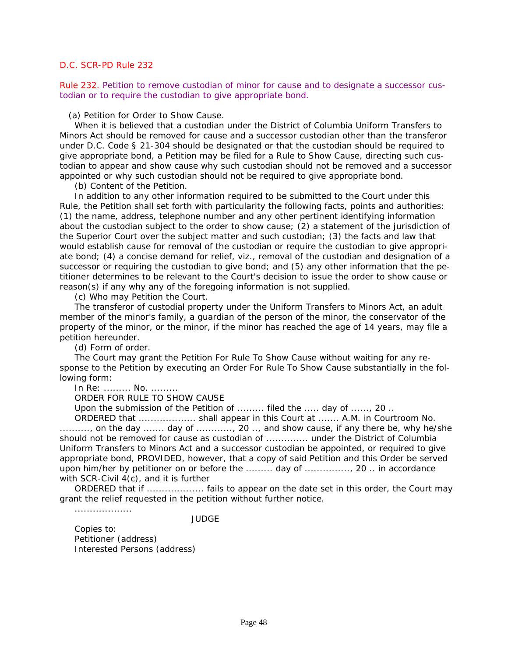Rule 232. Petition to remove custodian of minor for cause and to designate a successor custodian or to require the custodian to give appropriate bond.

(a) Petition for Order to Show Cause.

When it is believed that a custodian under the District of Columbia Uniform Transfers to Minors Act should be removed for cause and a successor custodian other than the transferor under *D.C. Code § 21-304* should be designated or that the custodian should be required to give appropriate bond, a Petition may be filed for a Rule to Show Cause, directing such custodian to appear and show cause why such custodian should not be removed and a successor appointed or why such custodian should not be required to give appropriate bond.

(b) Content of the Petition.

In addition to any other information required to be submitted to the Court under this Rule, the Petition shall set forth with particularity the following facts, points and authorities: (1) the name, address, telephone number and any other pertinent identifying information about the custodian subject to the order to show cause; (2) a statement of the jurisdiction of the Superior Court over the subject matter and such custodian; (3) the facts and law that would establish cause for removal of the custodian or require the custodian to give appropriate bond; (4) a concise demand for relief, viz., removal of the custodian and designation of a successor or requiring the custodian to give bond; and (5) any other information that the petitioner determines to be relevant to the Court's decision to issue the order to show cause or reason(s) if any why any of the foregoing information is not supplied.

(c) Who may Petition the Court.

The transferor of custodial property under the Uniform Transfers to Minors Act, an adult member of the minor's family, a guardian of the person of the minor, the conservator of the property of the minor, or the minor, if the minor has reached the age of 14 years, may file a petition hereunder.

(d) Form of order.

The Court may grant the Petition For Rule To Show Cause without waiting for any response to the Petition by executing an Order For Rule To Show Cause substantially in the following form:

In Re: ......... No. .........

ORDER FOR RULE TO SHOW CAUSE

Upon the submission of the Petition of ......... filed the ..... day of ......, 20 ..

ORDERED that ................... shall appear in this Court at ....... A.M. in Courtroom No. .........., on the day ....... day of ..........., 20 .., and show cause, if any there be, why he/she should not be removed for cause as custodian of .............. under the District of Columbia Uniform Transfers to Minors Act and a successor custodian be appointed, or required to give appropriate bond, PROVIDED, however, that a copy of said Petition and this Order be served upon him/her by petitioner on or before the ......... day of ..............., 20 .. in accordance with SCR-Civil 4(c), and it is further

ORDERED that if ................... fails to appear on the date set in this order, the Court may grant the relief requested in the petition without further notice.

...................

**JUDGE** 

Copies to: Petitioner (address) Interested Persons (address)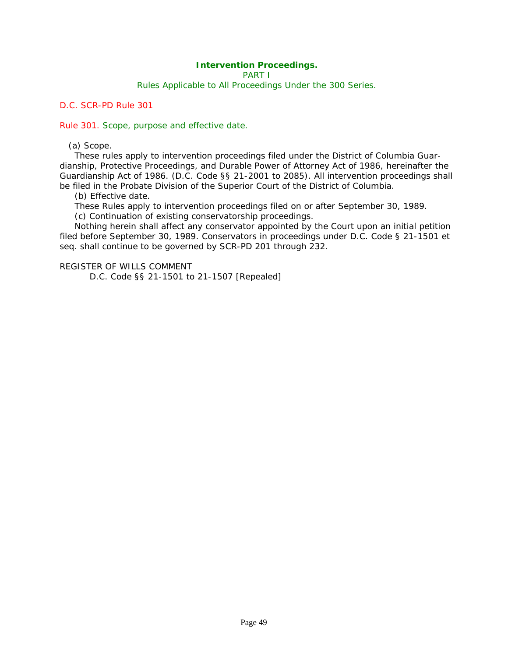### **Intervention Proceedings.**

PART I

Rules Applicable to All Proceedings Under the 300 Series.

*D.C. SCR-PD Rule 301*

Rule 301. Scope, purpose and effective date.

(a) Scope.

These rules apply to intervention proceedings filed under the District of Columbia Guar[dianship, Protective Proceedings, and Durable Power of Attorney Act of 1986, hereinafter the](#page-2-0)  Guardianship Act of 1986. (*D.C. Code §§ 21-2001 to 2085*). All intervention proceedings shall be filed in the Probate Division of the Superior Court of the District of Columbia.

(b) Effective date.

These Rules apply to intervention proceedings filed on or after September 30, 1989.

(c) Continuation of existing conservatorship proceedings.

Nothing herein shall affect any conservator appointed by the Court upon an initial petition filed before September 30, 1989. Conservators in proceedings under *D.C. Code § 21-1501* et seq. shall continue to be governed by SCR-PD 201 through 232.

REGISTER OF WILLS COMMENT

D.C. Code §§ 21-1501 to 21-1507 [Repealed]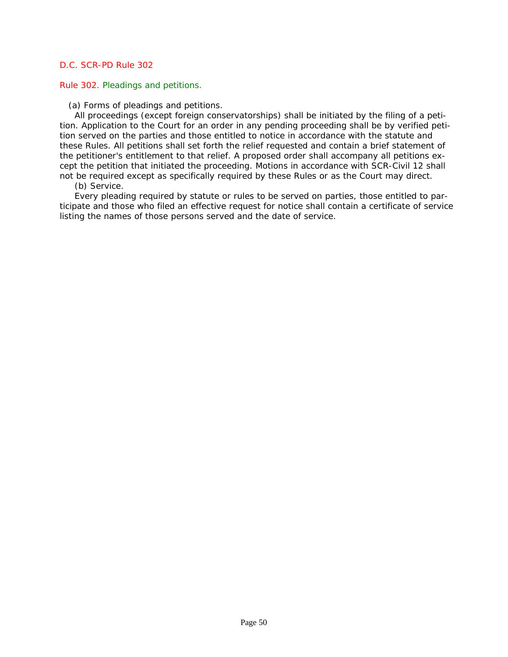### Rule 302. Pleadings and petitions.

(a) Forms of pleadings and petitions.

All proceedings (except foreign conservatorships) shall be initiated by the filing of a petition. Application to the Court for an order in any pending proceeding shall be by verified petition served on the parties and those entitled to notice in accordance with the statute and these Rules. All petitions shall set forth the relief requested and contain a brief statement of the petitioner's entitlement to that relief. A proposed order shall accompany all petitions except the petition that initiated the proceeding. Motions in accordance with SCR-Civil 12 shall not be required except as specifically required by these Rules or as the Court may direct.

(b) Service.

Every pleading required by statute or rules to be served on parties, those entitled to par[ticipate and those who filed an effective request for notice shall contain a certificate of service](#page-2-0)  listing the names of those persons served and the date of service.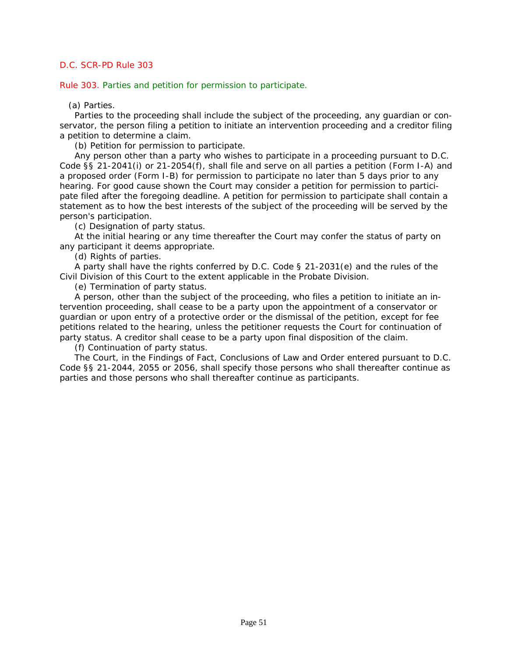Rule 303. Parties and petition for permission to participate.

(a) Parties.

Parties to the proceeding shall include the subject of the proceeding, any guardian or con[servator, the person filing a petition to initiate an intervention proceeding and a creditor filing](#page-2-0)  a petition to determine a claim.

(b) Petition for permission to participate.

Any person other than a party who wishes to participate in a proceeding pursuant to *D.C. Code §§ 21-2041(i)* or *21-2054(f)*, shall file and serve on all parties a petition (Form I-A) and a proposed order (Form I-B) for permission to participate no later than 5 days prior to any hearing. For good cause shown the Court may consider a petition for permission to participate filed after the foregoing deadline. A petition for permission to participate shall contain a statement as to how the best interests of the subject of the proceeding will be served by the person's participation.

(c) Designation of party status.

At the initial hearing or any time thereafter the Court may confer the status of party on any participant it deems appropriate.

(d) Rights of parties.

A party shall have the rights conferred by *D.C. Code § 21-2031(e)* and the rules of the Civil Division of this Court to the extent applicable in the Probate Division.

(e) Termination of party status.

A person, other than the subject of the proceeding, who files a petition to initiate an intervention proceeding, shall cease to be a party upon the appointment of a conservator or guardian or upon entry of a protective order or the dismissal of the petition, except for fee petitions related to the hearing, unless the petitioner requests the Court for continuation of party status. A creditor shall cease to be a party upon final disposition of the claim.

(f) Continuation of party status.

The Court, in the Findings of Fact, Conclusions of Law and Order entered pursuant to *D.C. Code §§ 21-2044*, *2055* or *2056*, shall specify those persons who shall thereafter continue as parties and those persons who shall thereafter continue as participants.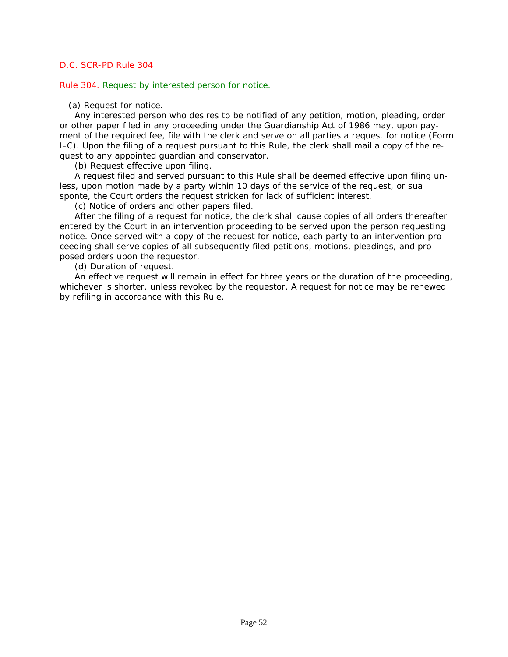Rule 304. Request by interested person for notice.

(a) Request for notice.

Any interested person who desires to be notified of any petition, motion, pleading, order or other paper filed in any proceeding under the Guardianship Act of 1986 may, upon pay[ment of the required fee, file with the clerk and serve on all parties a request for notice \(Form](#page-2-0)  I-C). Upon the filing of a request pursuant to this Rule, the clerk shall mail a copy of the request to any appointed guardian and conservator.

(b) Request effective upon filing.

A request filed and served pursuant to this Rule shall be deemed effective upon filing unless, upon motion made by a party within 10 days of the service of the request, or sua sponte, the Court orders the request stricken for lack of sufficient interest.

(c) Notice of orders and other papers filed.

After the filing of a request for notice, the clerk shall cause copies of all orders thereafter entered by the Court in an intervention proceeding to be served upon the person requesting notice. Once served with a copy of the request for notice, each party to an intervention proceeding shall serve copies of all subsequently filed petitions, motions, pleadings, and proposed orders upon the requestor.

(d) Duration of request.

An effective request will remain in effect for three years or the duration of the proceeding, whichever is shorter, unless revoked by the requestor. A request for notice may be renewed by refiling in accordance with this Rule.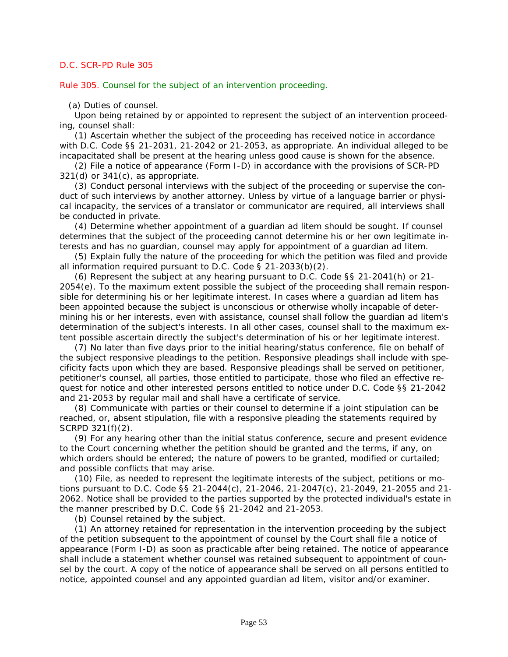Rule 305. Counsel for the subject of an intervention proceeding.

(a) Duties of counsel.

Upon being retained by or appointed to represent the subject of an intervention proceeding, counsel shall:

(1) Ascertain whether the subject of the proceeding has received notice in accordance with *D.C. Code §§ 21-2031*, *21-2042* or *21-2053*, as appropriate. An individual alleged to be incapacitated shall be present at the hearing unless good cause is shown for the absence.

(2) File a notice of appearance (Form I-D) in accordance with the provisions of SCR-PD  $321(d)$  or  $341(c)$ , as appropriate.

(3) Conduct personal interviews with the subject of the proceeding or supervise the conduct of such interviews by another attorney. Unless by virtue of a language barrier or physical incapacity, the services of a translator or communicator are required, all interviews shall be conducted in private.

(4) Determine whether appointment of a guardian ad litem should be sought. If counsel determines that the subject of the proceeding cannot determine his or her own legitimate interests and has no guardian, counsel may apply for appointment of a guardian ad litem.

(5) Explain fully the nature of the proceeding for which the petition was filed and provide all information required pursuant to *D.C. Code § 21-2033(b)(2)*.

(6) Represent the subject at any hearing pursuant to *D.C. Code §§ 21-2041(h)* or *21- 2054(e)*. To the maximum extent possible the subject of the proceeding shall remain responsible for determining his or her legitimate interest. In cases where a guardian ad litem has been appointed because the subject is unconscious or otherwise wholly incapable of determining his or her interests, even with assistance, counsel shall follow the guardian ad litem's determination of the subject's interests. In all other cases, counsel shall to the maximum extent possible ascertain directly the subject's determination of his or her legitimate interest.

(7) No later than five days prior to the initial hearing/status conference, file on behalf of the subject responsive pleadings to the petition. Responsive pleadings shall include with specificity facts upon which they are based. Responsive pleadings shall be served on petitioner, petitioner's counsel, all parties, those entitled to participate, those who filed an effective request for notice and other interested persons entitled to notice under *D.C. Code §§ 21-2042* and *21-2053* by regular mail and shall have a certificate of service.

(8) Communicate with parties or their counsel to determine if a joint stipulation can be reached, or, absent stipulation, file with a responsive pleading the statements required by SCRPD 321(f)(2).

(9) For any hearing other than the initial status conference, secure and present evidence to the Court concerning whether the petition should be granted and the terms, if any, on which orders should be entered; the nature of powers to be granted, modified or curtailed; and possible conflicts that may arise.

(10) File, as needed to represent the legitimate interests of the subject, petitions or motions pursuant to *D.C. Code §§ 21-2044(c)*, *21-2046*, *21-2047(c)*, *21-2049*, *21-2055* and *21- 2062*. Notice shall be provided to the parties supported by the protected individual's estate in the manner prescribed by *D.C. Code §§ 21-2042* and *21-2053*.

(b) Counsel retained by the subject.

(1) An attorney retained for representation in the intervention proceeding by the subject of the petition subsequent to the appointment of counsel by the Court shall file a notice of appearance (Form I-D) as soon as practicable after being retained. The notice of appearance shall include a statement whether counsel was retained subsequent to appointment of coun[sel by the court. A copy of the notice of appearance shall be served on all persons entitled to](#page-2-0)  notice, appointed counsel and any appointed guardian ad litem, visitor and/or examiner.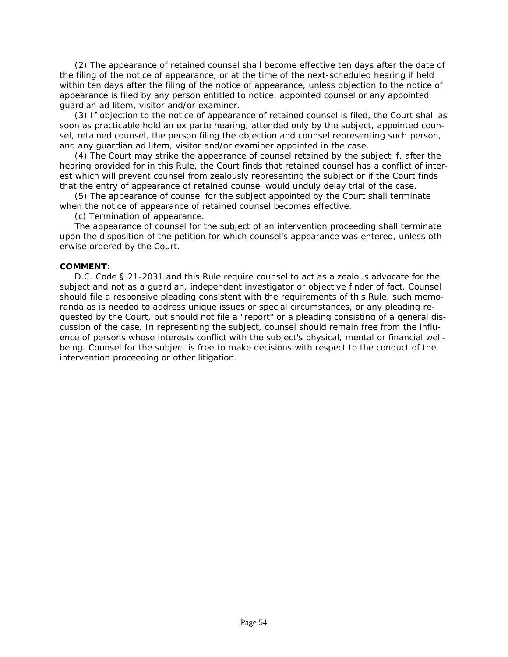(2) The appearance of retained counsel shall become effective ten days after the date of the filing of the notice of appearance, or at the time of the next-scheduled hearing if held within ten days after the filing of the notice of appearance, unless objection to the notice of appearance is filed by any person entitled to notice, appointed counsel or any appointed guardian ad litem, visitor and/or examiner.

(3) If objection to the notice of appearance of retained counsel is filed, the Court shall as soon as practicable hold an ex parte hearing, attended only by the subject, appointed counsel, retained counsel, the person filing the objection and counsel representing such person, and any guardian ad litem, visitor and/or examiner appointed in the case.

(4) The Court may strike the appearance of counsel retained by the subject if, after the [hearing provided for in this Rule, the Court finds that retained counsel has a conflict of inter](#page-2-0)est which will prevent counsel from zealously representing the subject or if the Court finds that the entry of appearance of retained counsel would unduly delay trial of the case.

(5) The appearance of counsel for the subject appointed by the Court shall terminate when the notice of appearance of retained counsel becomes effective.

(c) Termination of appearance.

The appearance of counsel for the subject of an intervention proceeding shall terminate upon the disposition of the petition for which counsel's appearance was entered, unless otherwise ordered by the Court.

#### **COMMENT:**

*D.C. Code § 21-2031* and this Rule require counsel to act as a zealous advocate for the subject and not as a guardian, independent investigator or objective finder of fact. Counsel should file a responsive pleading consistent with the requirements of this Rule, such memoranda as is needed to address unique issues or special circumstances, or any pleading requested by the Court, but should not file a "report" or a pleading consisting of a general discussion of the case. In representing the subject, counsel should remain free from the influence of persons whose interests conflict with the subject's physical, mental or financial wellbeing. Counsel for the subject is free to make decisions with respect to the conduct of the intervention proceeding or other litigation.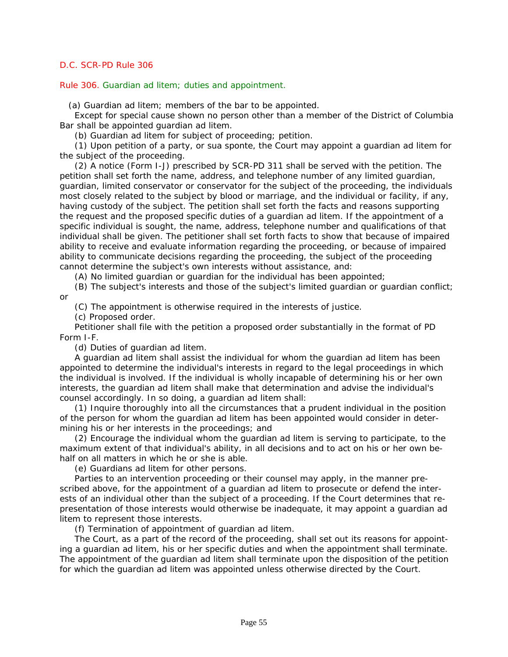Rule 306. Guardian ad litem; duties and appointment.

(a) Guardian ad litem; members of the bar to be appointed.

Except for special cause shown no person other than a member of the District of Columbia Bar shall be appointed guardian ad litem.

(b) Guardian ad litem for subject of proceeding; petition.

(1) Upon petition of a party, or sua sponte, the Court may appoint a guardian ad litem for the subject of the proceeding.

(2) A notice (Form I-J) prescribed by SCR-PD 311 shall be served with the petition. The petition shall set forth the name, address, and telephone number of any limited guardian, [guardian, limited conservator or conservator for the subject of the proceeding, the individuals](#page-2-0)  most closely related to the subject by blood or marriage, and the individual or facility, if any, having custody of the subject. The petition shall set forth the facts and reasons supporting the request and the proposed specific duties of a guardian ad litem. If the appointment of a specific individual is sought, the name, address, telephone number and qualifications of that individual shall be given. The petitioner shall set forth facts to show that because of impaired ability to receive and evaluate information regarding the proceeding, or because of impaired ability to communicate decisions regarding the proceeding, the subject of the proceeding cannot determine the subject's own interests without assistance, and:

(A) No limited guardian or guardian for the individual has been appointed;

(B) The subject's interests and those of the subject's limited guardian or guardian conflict; or

(C) The appointment is otherwise required in the interests of justice.

(c) Proposed order.

Petitioner shall file with the petition a proposed order substantially in the format of PD Form I-F.

(d) Duties of guardian ad litem.

A guardian ad litem shall assist the individual for whom the guardian ad litem has been appointed to determine the individual's interests in regard to the legal proceedings in which the individual is involved. If the individual is wholly incapable of determining his or her own interests, the guardian ad litem shall make that determination and advise the individual's counsel accordingly. In so doing, a guardian ad litem shall:

(1) Inquire thoroughly into all the circumstances that a prudent individual in the position of the person for whom the guardian ad litem has been appointed would consider in determining his or her interests in the proceedings; and

(2) Encourage the individual whom the guardian ad litem is serving to participate, to the maximum extent of that individual's ability, in all decisions and to act on his or her own behalf on all matters in which he or she is able.

(e) Guardians ad litem for other persons.

Parties to an intervention proceeding or their counsel may apply, in the manner prescribed above, for the appointment of a guardian ad litem to prosecute or defend the interests of an individual other than the subject of a proceeding. If the Court determines that representation of those interests would otherwise be inadequate, it may appoint a guardian ad litem to represent those interests.

(f) Termination of appointment of guardian ad litem.

The Court, as a part of the record of the proceeding, shall set out its reasons for appointing a guardian ad litem, his or her specific duties and when the appointment shall terminate. The appointment of the guardian ad litem shall terminate upon the disposition of the petition for which the guardian ad litem was appointed unless otherwise directed by the Court.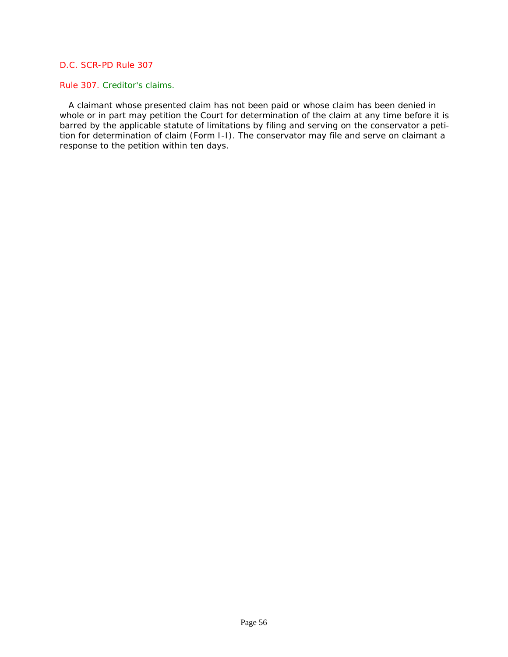#### Rule 307. Creditor's claims.

 A claimant whose presented claim has not been paid or whose claim has been denied in whole or in part may petition the Court for determination of the claim at any time before it is barred by the applicable statute of limitations by filing and serving on the conservator a petition for determination of claim (Form I-I). The conservator may file and serve on claimant a response to the petition within ten days.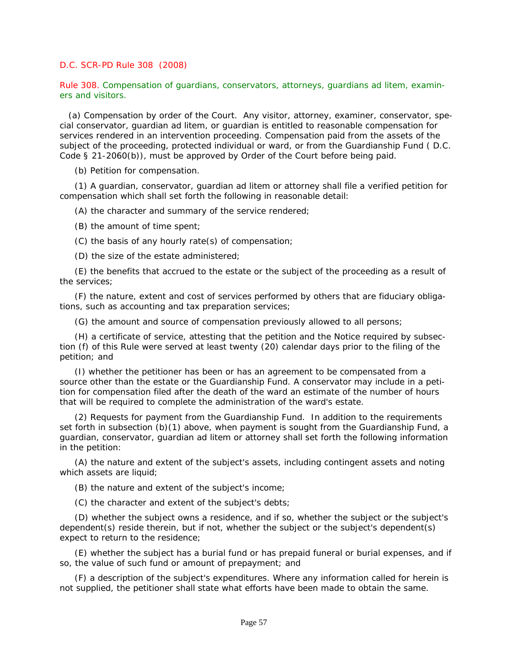### *D.C. SCR-PD Rule 308* (2008)

Rule 308. Compensation of guardians, conservators, attorneys, guardians ad litem, examiners and visitors.

 [\(a\) Compensation by order of the Court. Any visitor, attorney, examiner, conservator, spe](#page-2-0)cial conservator, guardian ad litem, or guardian is entitled to reasonable compensation for services rendered in an intervention proceeding. Compensation paid from the assets of the subject of the proceeding, protected individual or ward, or from the Guardianship Fund ( *D.C. Code § 21-2060(b)*), must be approved by Order of the Court before being paid.

(b) Petition for compensation.

(1) A guardian, conservator, guardian ad litem or attorney shall file a verified petition for compensation which shall set forth the following in reasonable detail:

(A) the character and summary of the service rendered;

(B) the amount of time spent;

(C) the basis of any hourly rate(s) of compensation;

(D) the size of the estate administered;

(E) the benefits that accrued to the estate or the subject of the proceeding as a result of the services;

(F) the nature, extent and cost of services performed by others that are fiduciary obligations, such as accounting and tax preparation services;

(G) the amount and source of compensation previously allowed to all persons;

(H) a certificate of service, attesting that the petition and the Notice required by subsection (f) of this Rule were served at least twenty (20) calendar days prior to the filing of the petition; and

(I) whether the petitioner has been or has an agreement to be compensated from a source other than the estate or the Guardianship Fund. A conservator may include in a petition for compensation filed after the death of the ward an estimate of the number of hours that will be required to complete the administration of the ward's estate.

(2) Requests for payment from the Guardianship Fund. In addition to the requirements set forth in subsection (b)(1) above, when payment is sought from the Guardianship Fund, a guardian, conservator, guardian ad litem or attorney shall set forth the following information in the petition:

(A) the nature and extent of the subject's assets, including contingent assets and noting which assets are liquid;

(B) the nature and extent of the subject's income;

(C) the character and extent of the subject's debts;

(D) whether the subject owns a residence, and if so, whether the subject or the subject's dependent(s) reside therein, but if not, whether the subject or the subject's dependent(s) expect to return to the residence;

(E) whether the subject has a burial fund or has prepaid funeral or burial expenses, and if so, the value of such fund or amount of prepayment; and

(F) a description of the subject's expenditures. Where any information called for herein is not supplied, the petitioner shall state what efforts have been made to obtain the same.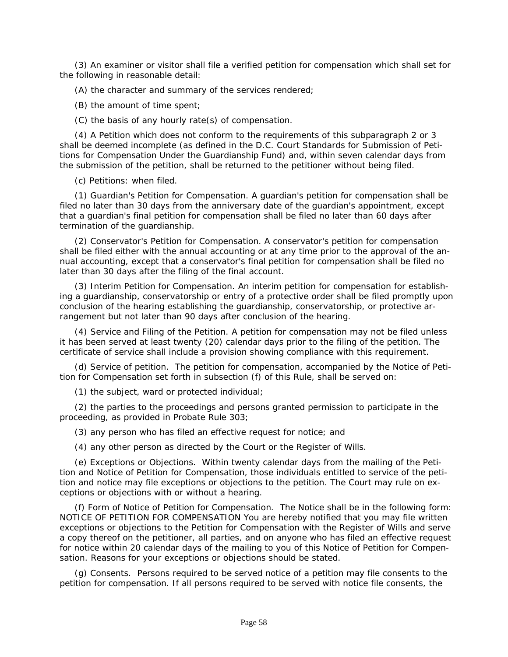(3) An examiner or visitor shall file a verified petition for compensation which shall set for the following in reasonable detail:

(A) the character and summary of the services rendered;

(B) the amount of time spent;

(C) the basis of any hourly rate(s) of compensation.

(4) A Petition which does not conform to the requirements of this subparagraph 2 or 3 shall be deemed incomplete (as defined in the D.C. Court Standards for Submission of Petitions for Compensation Under the Guardianship Fund) and, within seven calendar days from the submission of the petition, shall be returned to the petitioner without being filed.

(c) Petitions: when filed.

(1) Guardian's Petition for Compensation. A guardian's petition for compensation shall be filed no later than 30 days from the anniversary date of the guardian's appointment, except that a guardian's final petition for compensation shall be filed no later than 60 days after termination of the guardianship.

(2) Conservator's Petition for Compensation. A conservator's petition for compensation shall be filed either with the annual accounting or at any time prior to the approval of the annual accounting, except that a conservator's final petition for compensation shall be filed no later than 30 days after the filing of the final account.

(3) Interim Petition for Compensation. An interim petition for compensation for establish[ing a guardianship, conservatorship or entry of a protective order shall be filed promptly upon](#page-2-0)  conclusion of the hearing establishing the guardianship, conservatorship, or protective arrangement but not later than 90 days after conclusion of the hearing.

(4) Service and Filing of the Petition. A petition for compensation may not be filed unless it has been served at least twenty (20) calendar days prior to the filing of the petition. The certificate of service shall include a provision showing compliance with this requirement.

(d) Service of petition. The petition for compensation, accompanied by the Notice of Petition for Compensation set forth in subsection (f) of this Rule, shall be served on:

(1) the subject, ward or protected individual;

(2) the parties to the proceedings and persons granted permission to participate in the proceeding, as provided in Probate Rule 303;

(3) any person who has filed an effective request for notice; and

(4) any other person as directed by the Court or the Register of Wills.

(e) Exceptions or Objections. Within twenty calendar days from the mailing of the Petition and Notice of Petition for Compensation, those individuals entitled to service of the petition and notice may file exceptions or objections to the petition. The Court may rule on exceptions or objections with or without a hearing.

(f) Form of Notice of Petition for Compensation. The Notice shall be in the following form: NOTICE OF PETITION FOR COMPENSATION You are hereby notified that you may file written exceptions or objections to the Petition for Compensation with the Register of Wills and serve a copy thereof on the petitioner, all parties, and on anyone who has filed an effective request for notice within 20 calendar days of the mailing to you of this Notice of Petition for Compensation. Reasons for your exceptions or objections should be stated.

(g) Consents. Persons required to be served notice of a petition may file consents to the petition for compensation. If all persons required to be served with notice file consents, the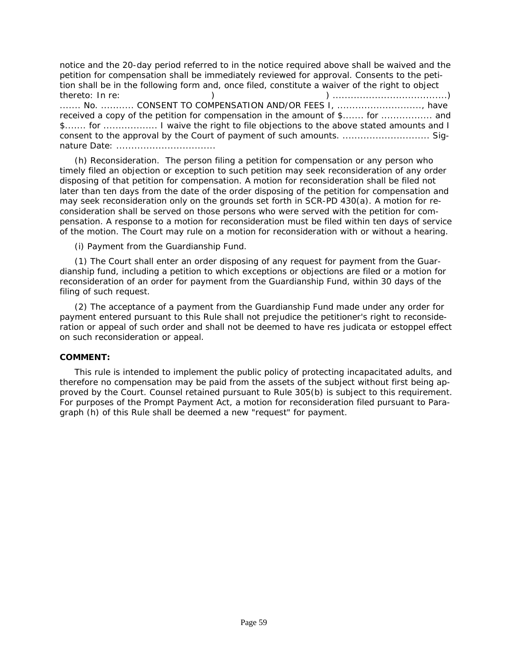notice and the 20-day period referred to in the notice required above shall be waived and the petition for compensation shall be immediately reviewed for approval. Consents to the petition shall be in the following form and, once filed, constitute a waiver of the right to object thereto: In re: ) ) ......................................) ....... No. ........... CONSENT TO COMPENSATION AND/OR FEES I, ............................, have received a copy of the petition for compensation in the amount of \$....... for .................... and \$....... for .................. I waive the right to file objections to the above stated amounts and I consent to the approval by the Court of payment of such amounts. ............................. Signature Date: .................................

(h) Reconsideration. The person filing a petition for compensation or any person who timely filed an objection or exception to such petition may seek reconsideration of any order disposing of that petition for compensation. A motion for reconsideration shall be filed not later than ten days from the date of the order disposing of the petition for compensation and may seek reconsideration only on the grounds set forth in SCR-PD 430(a). A motion for reconsideration shall be served on those persons who were served with the petition for compensation. A response to a motion for reconsideration must be filed within ten days of service of the motion. The Court may rule on a motion for reconsideration with or without a hearing.

(i) Payment from the Guardianship Fund.

(1) The Court shall enter an order disposing of any request for payment from the Guardianship fund, including a petition to which exceptions or objections are filed or a motion for reconsideration of an order for payment from the Guardianship Fund, within 30 days of the filing of such request.

(2) The acceptance of a payment from the Guardianship Fund made under any order for payment entered pursuant to this Rule shall not prejudice the petitioner's right to reconsideration or appeal of such order and shall not be deemed to have res judicata or estoppel effect on such reconsideration or appeal.

#### **COMMENT:**

This rule is intended to implement the public policy of protecting incapacitated adults, and therefore no compensation may be paid from the assets of the subject without first being ap[proved by the Court. Counsel retained pursuant to Rule 305\(b\) is subject to this requirement.](#page-2-0)  For purposes of the Prompt Payment Act, a motion for reconsideration filed pursuant to Paragraph (h) of this Rule shall be deemed a new "request" for payment.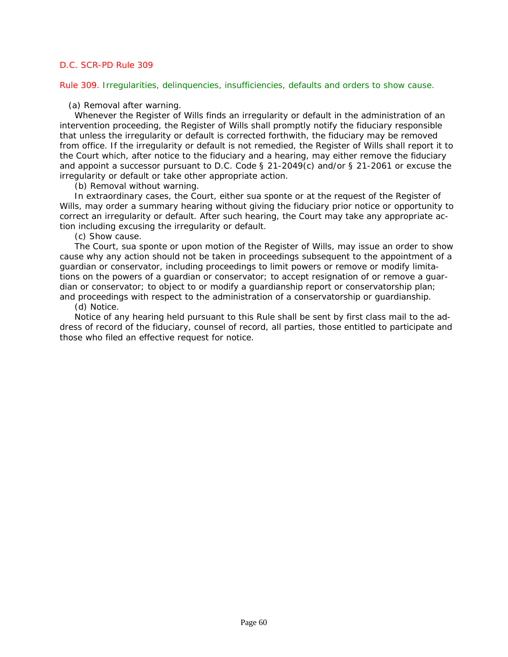Rule 309. Irregularities, delinquencies, insufficiencies, defaults and orders to show cause.

(a) Removal after warning.

Whenever the Register of Wills finds an irregularity or default in the administration of an intervention proceeding, the Register of Wills shall promptly notify the fiduciary responsible that unless the irregularity or default is corrected forthwith, the fiduciary may be removed from office. If the irregularity or default is not remedied, the Register of Wills shall report it to the Court which, after notice to the fiduciary and a hearing, may either remove the fiduciary and appoint a successor pursuant to *D.C. Code § 21-2049(c)* and/or *§ 21-2061* or excuse the irregularity or default or take other appropriate action.

(b) Removal without warning.

In extraordinary cases, the Court, either sua sponte or at the request of the Register of [Wills, may order a summary hearing without giving the fiduciary prior notice or opportunity to](#page-2-0)  correct an irregularity or default. After such hearing, the Court may take any appropriate action including excusing the irregularity or default.

(c) Show cause.

The Court, sua sponte or upon motion of the Register of Wills, may issue an order to show cause why any action should not be taken in proceedings subsequent to the appointment of a guardian or conservator, including proceedings to limit powers or remove or modify limitations on the powers of a guardian or conservator; to accept resignation of or remove a guardian or conservator; to object to or modify a guardianship report or conservatorship plan; and proceedings with respect to the administration of a conservatorship or guardianship.

(d) Notice.

Notice of any hearing held pursuant to this Rule shall be sent by first class mail to the address of record of the fiduciary, counsel of record, all parties, those entitled to participate and those who filed an effective request for notice.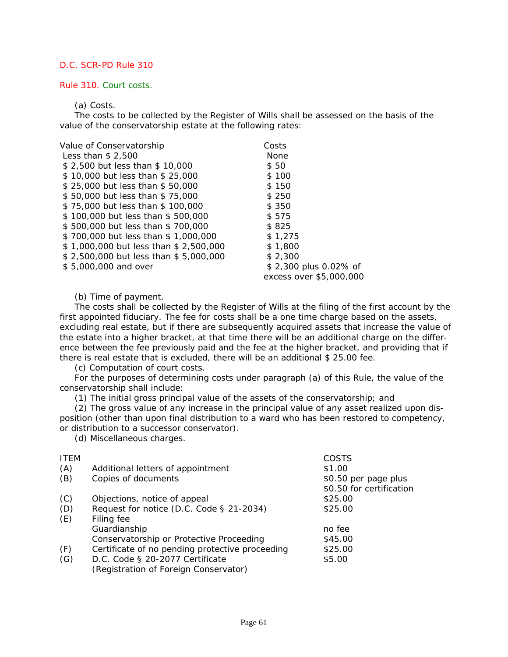#### Rule 310. Court costs.

#### (a) Costs.

The costs to be collected by the Register of Wills shall be assessed on the basis of the value of the conservatorship estate at the following rates:

| Value of Conservatorship              | Costs                   |
|---------------------------------------|-------------------------|
| Less than $$2.500$                    | None                    |
| \$2,500 but less than \$10,000        | \$50                    |
| \$10,000 but less than \$25,000       | \$100                   |
| \$25,000 but less than \$50,000       | \$150                   |
| \$50,000 but less than \$75,000       | \$250                   |
| \$75,000 but less than \$100,000      | \$350                   |
| \$100,000 but less than \$500,000     | \$575                   |
| \$500,000 but less than \$700,000     | \$825                   |
| \$700,000 but less than \$1,000,000   | \$1.275                 |
| \$1,000,000 but less than \$2,500,000 | \$1,800                 |
| \$2,500,000 but less than \$5,000,000 | \$2,300                 |
| \$5,000,000 and over                  | \$2,300 plus 0.02% of   |
|                                       | excess over \$5,000,000 |
|                                       |                         |

(b) Time of payment.

The costs shall be collected by the Register of Wills at the filing of the first account by the first appointed fiduciary. The fee for costs shall be a one time charge based on the assets, [excluding real estate, but if there are subsequently acquired assets that increase the value of](#page-2-0)  the estate into a higher bracket, at that time there will be an additional charge on the difference between the fee previously paid and the fee at the higher bracket, and providing that if there is real estate that is excluded, there will be an additional \$ 25.00 fee.

(c) Computation of court costs.

For the purposes of determining costs under paragraph (a) of this Rule, the value of the conservatorship shall include:

(1) The initial gross principal value of the assets of the conservatorship; and

(2) The gross value of any increase in the principal value of any asset realized upon disposition (other than upon final distribution to a ward who has been restored to competency, or distribution to a successor conservator).

(d) Miscellaneous charges.

| <b>ITEM</b> |                                                 | COSTS                    |
|-------------|-------------------------------------------------|--------------------------|
| (A)         | Additional letters of appointment               | \$1.00                   |
| (B)         | Copies of documents                             | \$0.50 per page plus     |
|             |                                                 | \$0.50 for certification |
| (C)         | Objections, notice of appeal                    | \$25.00                  |
| (D)         | Request for notice (D.C. Code § 21-2034)        | \$25.00                  |
| (E)         | Filing fee                                      |                          |
|             | Guardianship                                    | no fee                   |
|             | Conservatorship or Protective Proceeding        | \$45.00                  |
| (F)         | Certificate of no pending protective proceeding | \$25.00                  |
| (G)         | D.C. Code § 20-2077 Certificate                 | \$5.00                   |
|             | (Registration of Foreign Conservator)           |                          |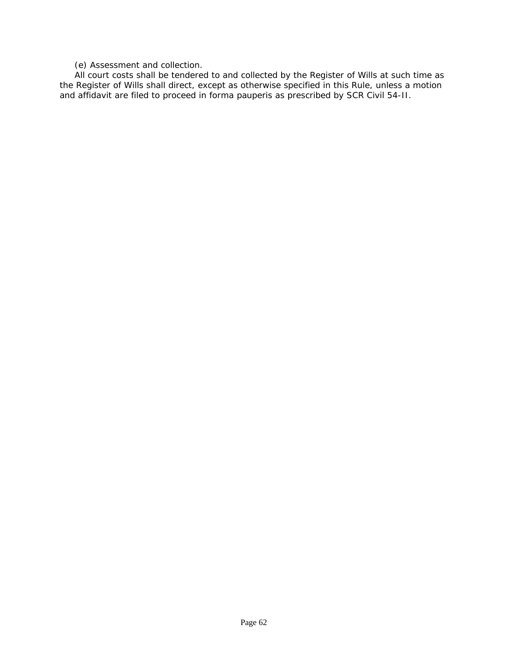(e) Assessment and collection.

All court costs shall be tendered to and collected by the Register of Wills at such time as [the Register of Wills shall direct, except as otherwise specified in this Rule, unless a motion](#page-2-0)  and affidavit are filed to proceed in forma pauperis as prescribed by SCR Civil 54-II.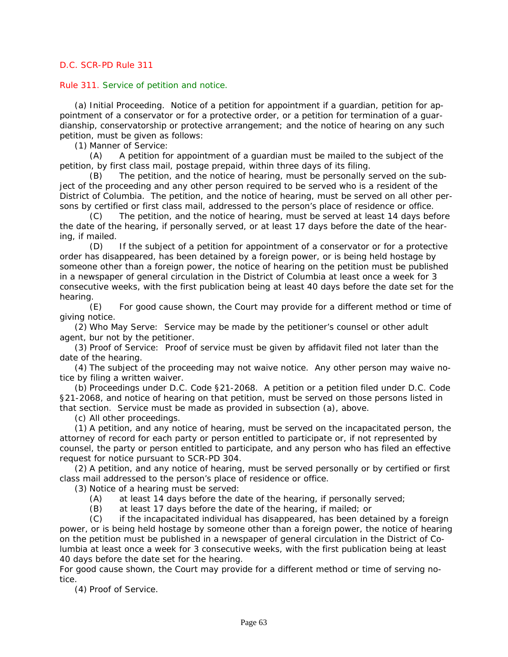### Rule 311. Service of petition and notice.

(a) Initial Proceeding. Notice of a petition for appointment if a guardian, petition for appointment of a conservator or for a protective order, or a petition for termination of a guardianship, conservatorship or protective arrangement; and the notice of hearing on any such petition, must be given as follows:

(1) Manner of Service:

(A) A petition for appointment of a guardian must be mailed to the subject of the petition, by first class mail, postage prepaid, within three days of its filing.

(B) The petition, and the notice of hearing, must be personally served on the subject of the proceeding and any other person required to be served who is a resident of the District of Columbia. The petition, and the notice of hearing, must be served on all other persons by certified or first class mail, addressed to the person's place of residence or office.

(C) The petition, and the notice of hearing, must be served at least 14 days before the date of the hearing, if personally served, or at least 17 days before the date of the hearing, if mailed.

(D) If the subject of a petition for appointment of a conservator or for a protective order has disappeared, has been detained by a foreign power, or is being held hostage by someone other than a foreign power, the notice of hearing on the petition must be published in a newspaper of general circulation in the District of Columbia at least once a week for 3 [consecutive weeks, with the first publication being at least 40 days before the date set for the](#page-2-0)  hearing.

(E) For good cause shown, the Court may provide for a different method or time of giving notice.

(2) Who May Serve: Service may be made by the petitioner's counsel or other adult agent, bur not by the petitioner.

(3) Proof of Service: Proof of service must be given by affidavit filed not later than the date of the hearing.

(4) The subject of the proceeding may not waive notice. Any other person may waive notice by filing a written waiver.

(b) Proceedings under D.C. Code §21-2068. A petition or a petition filed under D.C. Code §21-2068, and notice of hearing on that petition, must be served on those persons listed in that section. Service must be made as provided in subsection (a), above.

(c) All other proceedings.

(1) A petition, and any notice of hearing, must be served on the incapacitated person, the attorney of record for each party or person entitled to participate or, if not represented by counsel, the party or person entitled to participate, and any person who has filed an effective request for notice pursuant to SCR-PD 304.

(2) A petition, and any notice of hearing, must be served personally or by certified or first class mail addressed to the person's place of residence or office.

(3) Notice of a hearing must be served:

(A) at least 14 days before the date of the hearing, if personally served;

(B) at least 17 days before the date of the hearing, if mailed; or

(C) if the incapacitated individual has disappeared, has been detained by a foreign power, or is being held hostage by someone other than a foreign power, the notice of hearing on the petition must be published in a newspaper of general circulation in the District of Columbia at least once a week for 3 consecutive weeks, with the first publication being at least 40 days before the date set for the hearing.

For good cause shown, the Court may provide for a different method or time of serving notice.

(4) Proof of Service.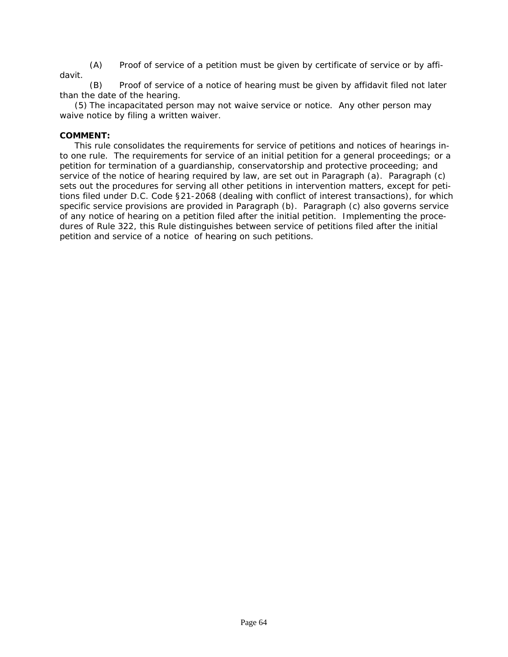(A) Proof of service of a petition must be given by certificate of service or by affidavit.

(B) Proof of service of a notice of hearing must be given by affidavit filed not later than the date of the hearing.

(5) The incapacitated person may not waive service or notice. Any other person may waive notice by filing a written waiver.

# **COMMENT:**

This rule consolidates the requirements for service of petitions and notices of hearings into one rule. The requirements for service of an initial petition for a general proceedings; or a petition for termination of a guardianship, conservatorship and protective proceeding; and service of the notice of hearing required by law, are set out in Paragraph (a). Paragraph (c) sets out the procedures for serving all other petitions in intervention matters, except for peti[tions filed under D.C. Code §21-2068 \(dealing with conflict of interest transactions\), for which](#page-2-0)  specific service provisions are provided in Paragraph (b). Paragraph (c) also governs service of any notice of hearing on a petition filed after the initial petition. Implementing the procedures of Rule 322, this Rule distinguishes between service of petitions filed after the initial petition and service of a notice of hearing on such petitions.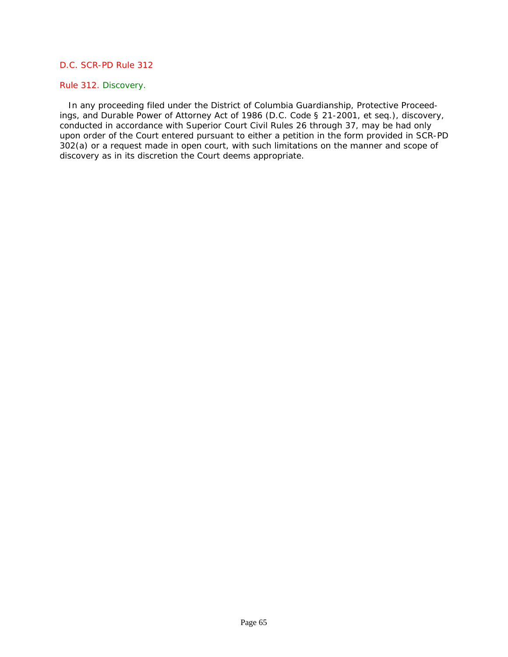# Rule 312. Discovery.

 In any proceeding filed under the District of Columbia Guardianship, Protective Proceedings, and Durable Power of Attorney Act of 1986 (*D.C. Code § 21-2001*, et seq.), discovery, conducted in accordance with Superior Court Civil Rules 26 through 37, may be had only [upon order of the Court entered pursuant to either a petition in the form provided in SCR-PD](#page-2-0)  302(a) or a request made in open court, with such limitations on the manner and scope of discovery as in its discretion the Court deems appropriate.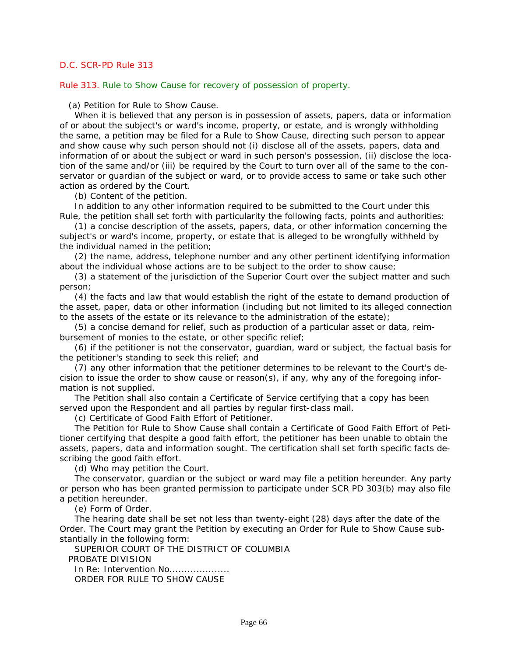Rule 313. Rule to Show Cause for recovery of possession of property.

(a) Petition for Rule to Show Cause.

When it is believed that any person is in possession of assets, papers, data or information of or about the subject's or ward's income, property, or estate, and is wrongly withholding the same, a petition may be filed for a Rule to Show Cause, directing such person to appear and show cause why such person should not (i) disclose all of the assets, papers, data and information of or about the subject or ward in such person's possession, (ii) disclose the location of the same and/or (iii) be required by the Court to turn over all of the same to the conservator or guardian of the subject or ward, or to provide access to same or take such other action as ordered by the Court.

(b) Content of the petition.

In addition to any other information required to be submitted to the Court under this Rule, the petition shall set forth with particularity the following facts, points and authorities:

(1) a concise description of the assets, papers, data, or other information concerning the subject's or ward's income, property, or estate that is alleged to be wrongfully withheld by the individual named in the petition;

(2) the name, address, telephone number and any other pertinent identifying information about the individual whose actions are to be subject to the order to show cause;

(3) a statement of the jurisdiction of the Superior Court over the subject matter and such person;

(4) the facts and law that would establish the right of the estate to demand production of [the asset, paper, data or other information \(including but not limited to its alleged connection](#page-2-0)  to the assets of the estate or its relevance to the administration of the estate);

(5) a concise demand for relief, such as production of a particular asset or data, reimbursement of monies to the estate, or other specific relief;

(6) if the petitioner is not the conservator, guardian, ward or subject, the factual basis for the petitioner's standing to seek this relief; and

(7) any other information that the petitioner determines to be relevant to the Court's decision to issue the order to show cause or reason(s), if any, why any of the foregoing information is not supplied.

The Petition shall also contain a Certificate of Service certifying that a copy has been served upon the Respondent and all parties by regular first-class mail.

(c) Certificate of Good Faith Effort of Petitioner.

The Petition for Rule to Show Cause shall contain a Certificate of Good Faith Effort of Petitioner certifying that despite a good faith effort, the petitioner has been unable to obtain the assets, papers, data and information sought. The certification shall set forth specific facts describing the good faith effort.

(d) Who may petition the Court.

The conservator, guardian or the subject or ward may file a petition hereunder. Any party or person who has been granted permission to participate under SCR PD 303(b) may also file a petition hereunder.

(e) Form of Order.

The hearing date shall be set not less than twenty-eight (28) days after the date of the Order. The Court may grant the Petition by executing an Order for Rule to Show Cause substantially in the following form:

SUPERIOR COURT OF THE DISTRICT OF COLUMBIA PROBATE DIVISION In Re: Intervention No....................

ORDER FOR RULE TO SHOW CAUSE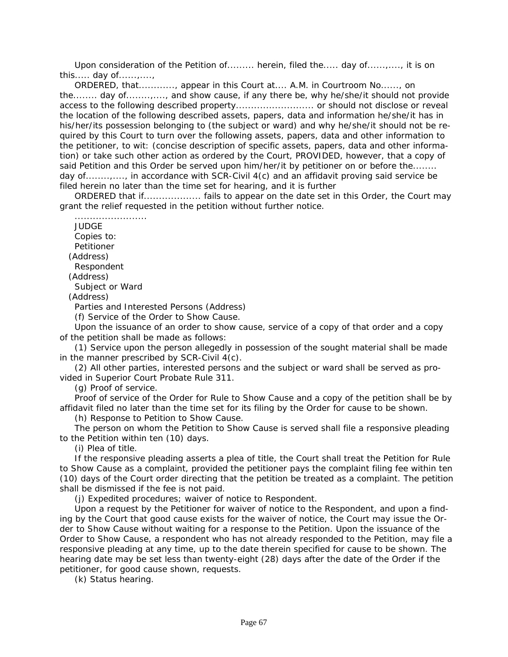Upon consideration of the Petition of......... herein, filed the..... day of......,...., it is on this..... day of...... $\ldots$ 

ORDERED, that............, appear in this Court at.... A.M. in Courtroom No......, on the........ day of........,...., and show cause, if any there be, why he/she/it should not provide access to the following described property.......................... or should not disclose or reveal the location of the following described assets, papers, data and information he/she/it has in his/her/its possession belonging to (the subject or ward) and why he/she/it should not be required by this Court to turn over the following assets, papers, data and other information to the petitioner, to wit: (concise description of specific assets, papers, data and other information) or take such other action as ordered by the Court, PROVIDED, however, that a copy of said Petition and this Order be served upon him/her/it by petitioner on or before the........ day of........,...., in accordance with SCR-Civil 4(c) and an affidavit proving said service be filed herein no later than the time set for hearing, and it is further

ORDERED that if...................... fails to appear on the date set in this Order, the Court may grant the relief requested in the petition without further notice.

**JUDGE** Copies to: Petitioner (Address) Respondent (Address) Subject or Ward (Address)

........................

Parties and Interested Persons (Address)

(f) Service of the Order to Show Cause.

Upon the issuance of an order to show cause, service of a copy of that order and a copy of the petition shall be made as follows:

(1) Service upon the person allegedly in possession of the sought material shall be made in the manner prescribed by SCR-Civil 4(c).

(2) All other parties, interested persons and the subject or ward shall be served as provided in Superior Court Probate Rule 311.

(g) Proof of service.

Proof of service of the Order for Rule to Show Cause and a copy of the petition shall be by affidavit filed no later than the time set for its filing by the Order for cause to be shown.

(h) Response to Petition to Show Cause.

The person on whom the Petition to Show Cause is served shall file a responsive pleading to the Petition within ten (10) days.

(i) Plea of title.

If the responsive pleading asserts a plea of title, the Court shall treat the Petition for Rule to Show Cause as a complaint, provided the petitioner pays the complaint filing fee within ten [\(10\) days of the Court order directing that the petition be treated as a complaint. The petition](#page-2-0)  shall be dismissed if the fee is not paid.

(j) Expedited procedures; waiver of notice to Respondent.

Upon a request by the Petitioner for waiver of notice to the Respondent, and upon a finding by the Court that good cause exists for the waiver of notice, the Court may issue the Order to Show Cause without waiting for a response to the Petition. Upon the issuance of the Order to Show Cause, a respondent who has not already responded to the Petition, may file a responsive pleading at any time, up to the date therein specified for cause to be shown. The hearing date may be set less than twenty-eight (28) days after the date of the Order if the petitioner, for good cause shown, requests.

(k) Status hearing.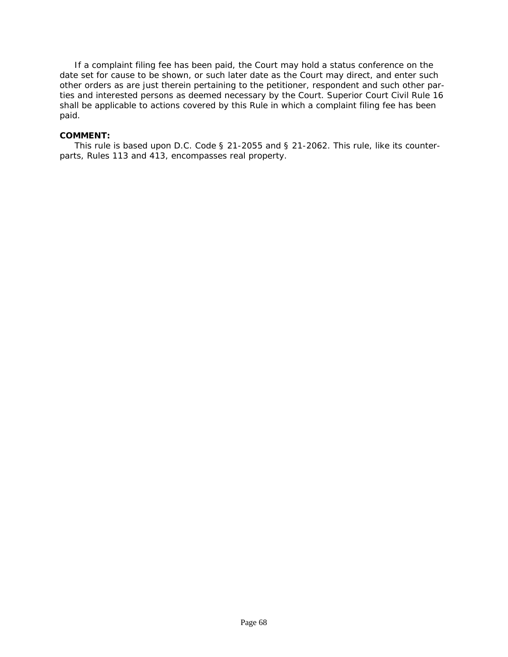If a complaint filing fee has been paid, the Court may hold a status conference on the date set for cause to be shown, or such later date as the Court may direct, and enter such other orders as are just therein pertaining to the petitioner, respondent and such other par[ties and interested persons as deemed necessary by the Court. Superior Court Civil Rule 16](#page-2-0)  shall be applicable to actions covered by this Rule in which a complaint filing fee has been paid.

#### **COMMENT:**

This rule is based upon *D.C. Code § 21-2055* and *§ 21-2062*. This rule, like its counterparts, Rules 113 and 413, encompasses real property.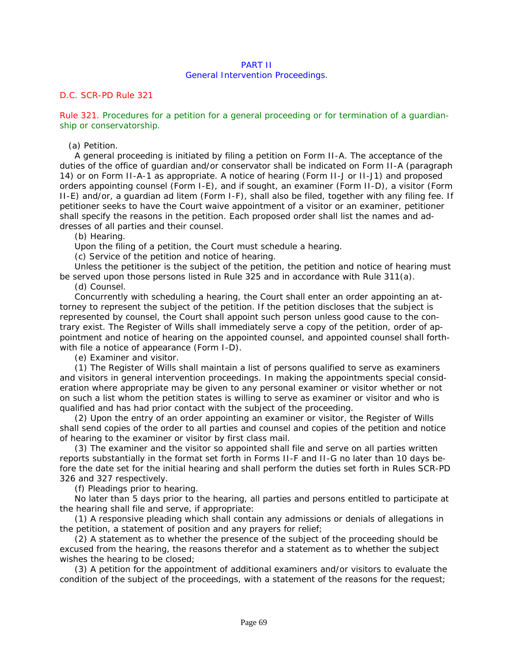# PART II

#### General Intervention Proceedings.

## *D.C. SCR-PD Rule 321*

Rule 321. Procedures for a petition for a general proceeding or for termination of a guardianship or conservatorship.

(a) Petition.

A general proceeding is initiated by filing a petition on Form II-A. The acceptance of the duties of the office of guardian and/or conservator shall be indicated on Form II-A (paragraph 14) or on Form II-A-1 as appropriate. A notice of hearing (Form II-J or II-J1) and proposed orders appointing counsel (Form I-E), and if sought, an examiner (Form II-D), a visitor (Form [II-E\) and/or, a guardian ad litem \(Form I-F\), shall also be filed, together with any filing fee. If](#page-2-0)  petitioner seeks to have the Court waive appointment of a visitor or an examiner, petitioner shall specify the reasons in the petition. Each proposed order shall list the names and addresses of all parties and their counsel.

(b) Hearing.

Upon the filing of a petition, the Court must schedule a hearing.

(c) Service of the petition and notice of hearing.

Unless the petitioner is the subject of the petition, the petition and notice of hearing must be served upon those persons listed in Rule 325 and in accordance with Rule 311(a).

(d) Counsel.

Concurrently with scheduling a hearing, the Court shall enter an order appointing an attorney to represent the subject of the petition. If the petition discloses that the subject is represented by counsel, the Court shall appoint such person unless good cause to the contrary exist. The Register of Wills shall immediately serve a copy of the petition, order of appointment and notice of hearing on the appointed counsel, and appointed counsel shall forthwith file a notice of appearance (Form I-D).

(e) Examiner and visitor.

(1) The Register of Wills shall maintain a list of persons qualified to serve as examiners and visitors in general intervention proceedings. In making the appointments special consideration where appropriate may be given to any personal examiner or visitor whether or not on such a list whom the petition states is willing to serve as examiner or visitor and who is qualified and has had prior contact with the subject of the proceeding.

(2) Upon the entry of an order appointing an examiner or visitor, the Register of Wills shall send copies of the order to all parties and counsel and copies of the petition and notice of hearing to the examiner or visitor by first class mail.

(3) The examiner and the visitor so appointed shall file and serve on all parties written reports substantially in the format set forth in Forms II-F and II-G no later than 10 days before the date set for the initial hearing and shall perform the duties set forth in Rules SCR-PD 326 and 327 respectively.

(f) Pleadings prior to hearing.

No later than 5 days prior to the hearing, all parties and persons entitled to participate at the hearing shall file and serve, if appropriate:

(1) A responsive pleading which shall contain any admissions or denials of allegations in the petition, a statement of position and any prayers for relief;

(2) A statement as to whether the presence of the subject of the proceeding should be excused from the hearing, the reasons therefor and a statement as to whether the subject wishes the hearing to be closed;

(3) A petition for the appointment of additional examiners and/or visitors to evaluate the condition of the subject of the proceedings, with a statement of the reasons for the request;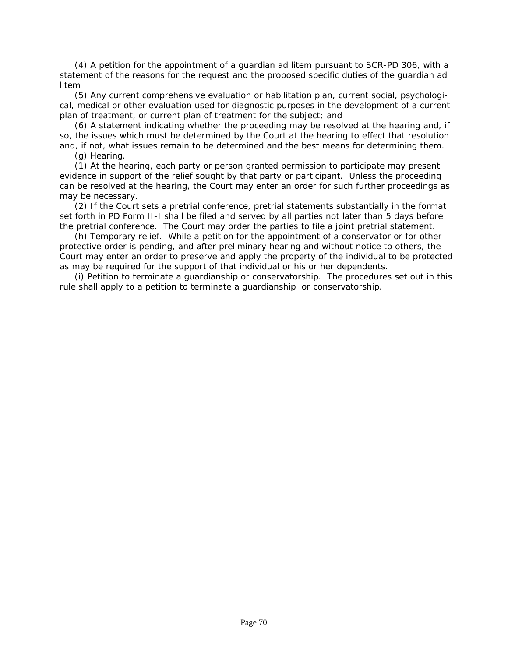(4) A petition for the appointment of a guardian ad litem pursuant to SCR-PD 306, with a statement of the reasons for the request and the proposed specific duties of the guardian ad litem

(5) Any current comprehensive evaluation or habilitation plan, current social, psychological, medical or other evaluation used for diagnostic purposes in the development of a current plan of treatment, or current plan of treatment for the subject; and

(6) A statement indicating whether the proceeding may be resolved at the hearing and, if so, the issues which must be determined by the Court at the hearing to effect that resolution and, if not, what issues remain to be determined and the best means for determining them.

(g) Hearing.

(1) At the hearing, each party or person granted permission to participate may present evidence in support of the relief sought by that party or participant. Unless the proceeding can be resolved at the hearing, the Court may enter an order for such further proceedings as may be necessary.

(2) If the Court sets a pretrial conference, pretrial statements substantially in the format set forth in PD Form II-I shall be filed and served by all parties not later than 5 days before the pretrial conference. The Court may order the parties to file a joint pretrial statement.

(h) Temporary relief. While a petition for the appointment of a conservator or for other protective order is pending, and after preliminary hearing and without notice to others, the [Court may enter an order to preserve and apply the property of the individual to be protected](#page-2-0)  as may be required for the support of that individual or his or her dependents.

(i) Petition to terminate a guardianship or conservatorship. The procedures set out in this rule shall apply to a petition to terminate a guardianship or conservatorship.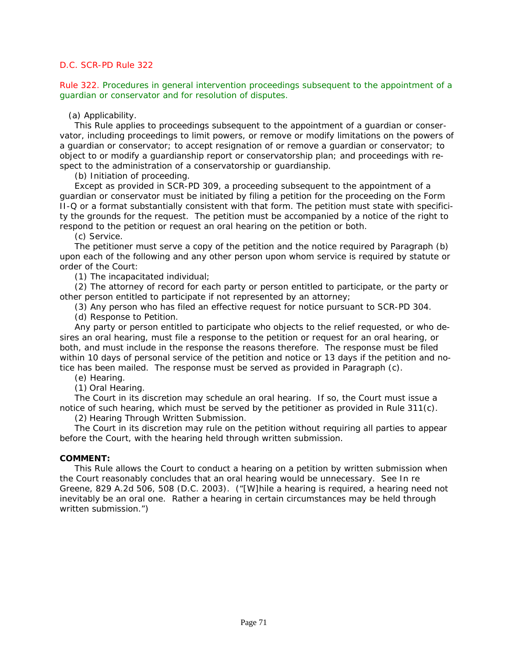Rule 322. Procedures in general intervention proceedings subsequent to the appointment of a guardian or conservator and for resolution of disputes.

#### (a) Applicability.

This Rule applies to proceedings subsequent to the appointment of a guardian or conser[vator, including proceedings to limit powers, or remove or modify limitations on the powers of](#page-2-0)  a guardian or conservator; to accept resignation of or remove a guardian or conservator; to object to or modify a guardianship report or conservatorship plan; and proceedings with respect to the administration of a conservatorship or guardianship.

(b) Initiation of proceeding.

Except as provided in SCR-PD 309, a proceeding subsequent to the appointment of a guardian or conservator must be initiated by filing a petition for the proceeding on the Form II-Q or a format substantially consistent with that form. The petition must state with specificity the grounds for the request. The petition must be accompanied by a notice of the right to respond to the petition or request an oral hearing on the petition or both.

(c) Service.

The petitioner must serve a copy of the petition and the notice required by Paragraph (b) upon each of the following and any other person upon whom service is required by statute or order of the Court:

(1) The incapacitated individual;

(2) The attorney of record for each party or person entitled to participate, or the party or other person entitled to participate if not represented by an attorney;

(3) Any person who has filed an effective request for notice pursuant to SCR-PD 304.

(d) Response to Petition.

Any party or person entitled to participate who objects to the relief requested, or who desires an oral hearing, must file a response to the petition or request for an oral hearing, or both, and must include in the response the reasons therefore. The response must be filed within 10 days of personal service of the petition and notice or 13 days if the petition and notice has been mailed. The response must be served as provided in Paragraph (c).

(e) Hearing.

(1) Oral Hearing.

The Court in its discretion may schedule an oral hearing. If so, the Court must issue a notice of such hearing, which must be served by the petitioner as provided in Rule 311(c).

(2) Hearing Through Written Submission.

The Court in its discretion may rule on the petition without requiring all parties to appear before the Court, with the hearing held through written submission.

#### **COMMENT:**

This Rule allows the Court to conduct a hearing on a petition by written submission when the Court reasonably concludes that an oral hearing would be unnecessary. *See In re Greene*, 829 A.2d 506, 508 (D.C. 2003). ("[W]hile a hearing is required, a hearing need not inevitably be an oral one. Rather a hearing in certain circumstances may be held through written submission.")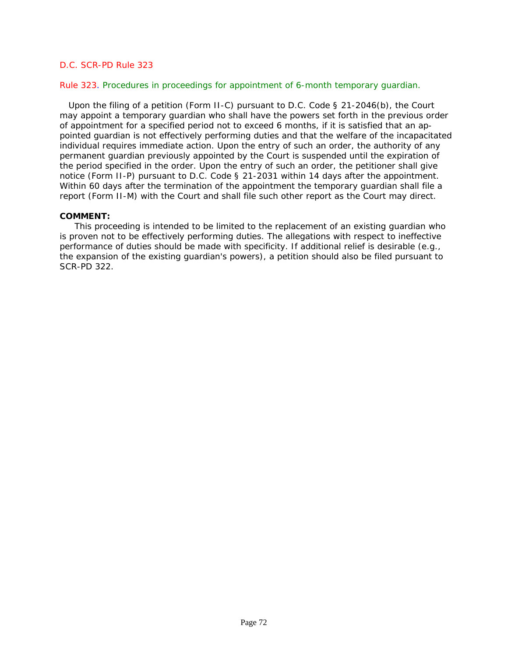#### Rule 323. Procedures in proceedings for appointment of 6-month temporary guardian.

 Upon the filing of a petition (Form II-C) pursuant to *D.C. Code § 21-2046(b)*, the Court may appoint a temporary guardian who shall have the powers set forth in the previous order of appointment for a specified period not to exceed 6 months, if it is satisfied that an ap[pointed guardian is not effectively performing duties and that the welfare of the incapacitated](#page-2-0)  individual requires immediate action. Upon the entry of such an order, the authority of any permanent guardian previously appointed by the Court is suspended until the expiration of the period specified in the order. Upon the entry of such an order, the petitioner shall give notice (Form II-P) pursuant to *D.C. Code § 21-2031* within 14 days after the appointment. Within 60 days after the termination of the appointment the temporary quardian shall file a report (Form II-M) with the Court and shall file such other report as the Court may direct.

#### **COMMENT:**

This proceeding is intended to be limited to the replacement of an existing guardian who is proven not to be effectively performing duties. The allegations with respect to ineffective performance of duties should be made with specificity. If additional relief is desirable (e.g., the expansion of the existing guardian's powers), a petition should also be filed pursuant to SCR-PD 322.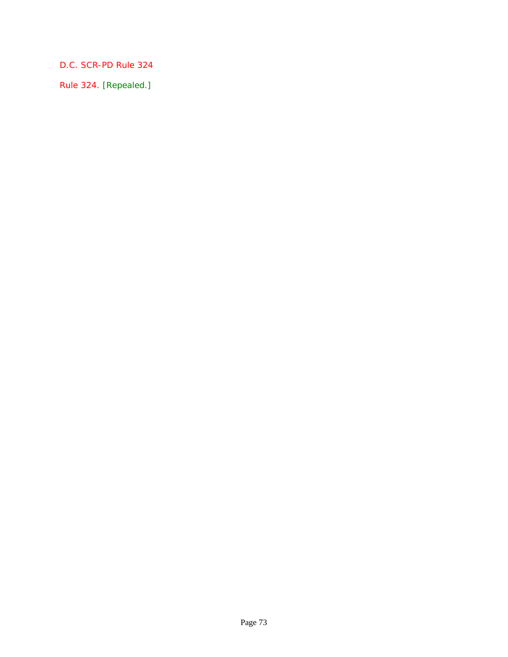Rule 324. [Repealed.]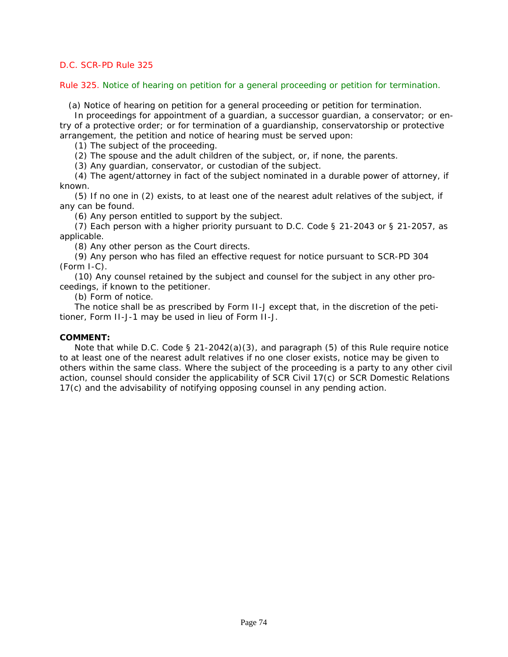## Rule 325. Notice of hearing on petition for a general proceeding or petition for termination.

(a) Notice of hearing on petition for a general proceeding or petition for termination.

In proceedings for appointment of a guardian, a successor guardian, a conservator; or entry of a protective order; or for termination of a guardianship, conservatorship or protective arrangement, the petition and notice of hearing must be served upon:

(1) The subject of the proceeding.

(2) The spouse and the adult children of the subject, or, if none, the parents.

(3) Any guardian, conservator, or custodian of the subject.

(4) The agent/attorney in fact of the subject nominated in a durable power of attorney, if known.

(5) If no one in (2) exists, to at least one of the nearest adult relatives of the subject, if any can be found.

(6) Any person entitled to support by the subject.

(7) Each person with a higher priority pursuant to *D.C. Code § 21-2043* or *§ 21-2057*, as applicable.

(8) Any other person as the Court directs.

(9) Any person who has filed an effective request for notice pursuant to SCR-PD 304 (Form I-C).

(10) Any counsel retained by the subject and counsel for the subject in any other proceedings, if known to the petitioner.

(b) Form of notice.

The notice shall be as prescribed by Form II-J except that, in the discretion of the petitioner, Form II-J-1 may be used in lieu of Form II-J.

#### **COMMENT:**

Note that while *D.C. Code § 21-2042(a)(3)*, and paragraph (5) of this Rule require notice to at least one of the nearest adult relatives if no one closer exists, notice may be given to [others within the same class. Where the subject of the proceeding is a party to any other civil](#page-2-0)  action, counsel should consider the applicability of SCR Civil 17(c) or SCR Domestic Relations 17(c) and the advisability of notifying opposing counsel in any pending action.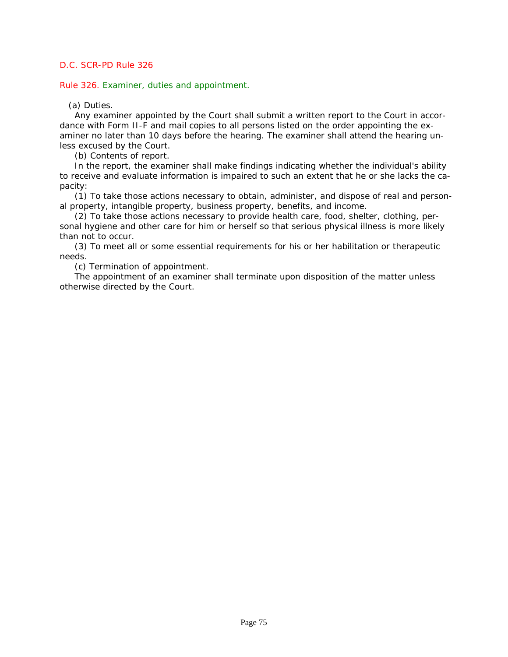Rule 326. Examiner, duties and appointment.

(a) Duties.

Any examiner appointed by the Court shall submit a written report to the Court in accordance with Form II-F and mail copies to all persons listed on the order appointing the examiner no later than 10 days before the hearing. The examiner shall attend the hearing unless excused by the Court.

(b) Contents of report.

In the report, the examiner shall make findings indicating whether the individual's ability [to receive and evaluate information is impaired to such an extent that he or she lacks the ca](#page-2-0)pacity:

(1) To take those actions necessary to obtain, administer, and dispose of real and personal property, intangible property, business property, benefits, and income.

(2) To take those actions necessary to provide health care, food, shelter, clothing, personal hygiene and other care for him or herself so that serious physical illness is more likely than not to occur.

(3) To meet all or some essential requirements for his or her habilitation or therapeutic needs.

(c) Termination of appointment.

The appointment of an examiner shall terminate upon disposition of the matter unless otherwise directed by the Court.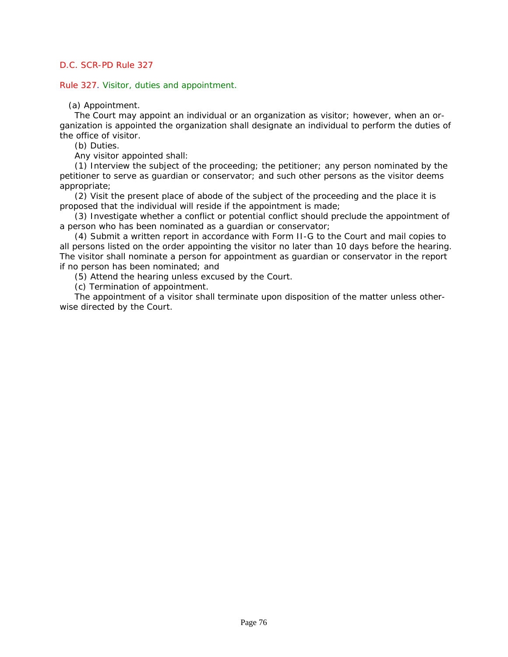Rule 327. Visitor, duties and appointment.

(a) Appointment.

The Court may appoint an individual or an organization as visitor; however, when an organization is appointed the organization shall designate an individual to perform the duties of the office of visitor.

(b) Duties.

Any visitor appointed shall:

(1) Interview the subject of the proceeding; the petitioner; any person nominated by the petitioner to serve as guardian or conservator; and such other persons as the visitor deems appropriate;

(2) Visit the present place of abode of the subject of the proceeding and the place it is proposed that the individual will reside if the appointment is made;

(3) Investigate whether a conflict or potential conflict should preclude the appointment of a person who has been nominated as a guardian or conservator;

(4) Submit a written report in accordance with Form II-G to the Court and mail copies to [all persons listed on the order appointing the visitor no later than 10 days before the hearing.](#page-2-0)  The visitor shall nominate a person for appointment as guardian or conservator in the report if no person has been nominated; and

(5) Attend the hearing unless excused by the Court.

(c) Termination of appointment.

The appointment of a visitor shall terminate upon disposition of the matter unless otherwise directed by the Court.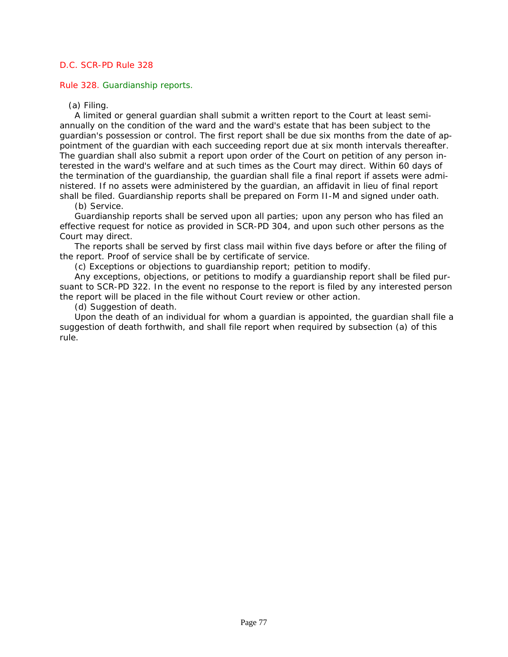Rule 328. Guardianship reports.

(a) Filing.

A limited or general guardian shall submit a written report to the Court at least semiannually on the condition of the ward and the ward's estate that has been subject to the guardian's possession or control. The first report shall be due six months from the date of appointment of the guardian with each succeeding report due at six month intervals thereafter. The guardian shall also submit a report upon order of the Court on petition of any person interested in the ward's welfare and at such times as the Court may direct. Within 60 days of the termination of the guardianship, the guardian shall file a final report if assets were administered. If no assets were administered by the guardian, an affidavit in lieu of final report shall be filed. Guardianship reports shall be prepared on Form II-M and signed under oath.

# (b) Service.

Guardianship reports shall be served upon all parties; upon any person who has filed an effective request for notice as provided in SCR-PD 304, and upon such other persons as the Court may direct.

The reports shall be served by first class mail within five days before or after the filing of the report. Proof of service shall be by certificate of service.

(c) Exceptions or objections to guardianship report; petition to modify.

Any exceptions, objections, or petitions to modify a guardianship report shall be filed pur[suant to SCR-PD 322. In the event no response to the report is filed by any interested person](#page-2-0)  the report will be placed in the file without Court review or other action.

(d) Suggestion of death.

Upon the death of an individual for whom a guardian is appointed, the guardian shall file a suggestion of death forthwith, and shall file report when required by subsection (a) of this rule.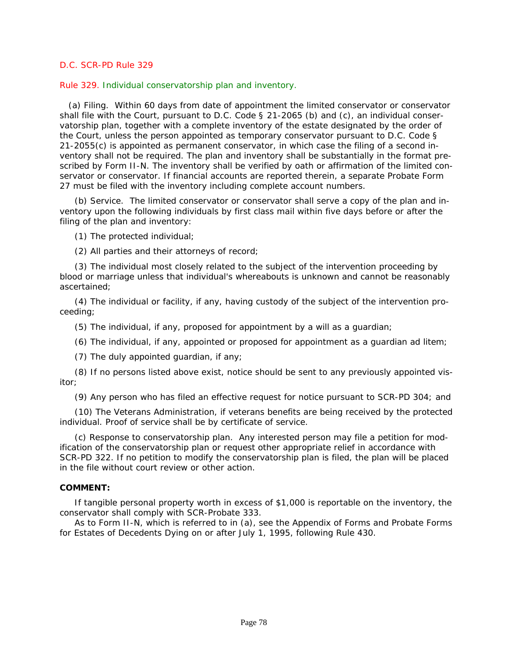#### Rule 329. Individual conservatorship plan and inventory.

 [\(a\) Filing. Within 60 days from date of appointment the limited conservator or conservator](#page-2-0)  shall file with the Court, pursuant to *D.C. Code § 21-2065 (b)* and (c), an individual conservatorship plan, together with a complete inventory of the estate designated by the order of the Court, unless the person appointed as temporary conservator pursuant to *D.C. Code § 21-2055(c)* is appointed as permanent conservator, in which case the filing of a second inventory shall not be required. The plan and inventory shall be substantially in the format prescribed by Form II-N. The inventory shall be verified by oath or affirmation of the limited conservator or conservator. If financial accounts are reported therein, a separate Probate Form 27 must be filed with the inventory including complete account numbers.

(b) Service. The limited conservator or conservator shall serve a copy of the plan and inventory upon the following individuals by first class mail within five days before or after the filing of the plan and inventory:

(1) The protected individual;

(2) All parties and their attorneys of record;

(3) The individual most closely related to the subject of the intervention proceeding by blood or marriage unless that individual's whereabouts is unknown and cannot be reasonably ascertained;

(4) The individual or facility, if any, having custody of the subject of the intervention proceeding;

(5) The individual, if any, proposed for appointment by a will as a guardian;

(6) The individual, if any, appointed or proposed for appointment as a guardian ad litem;

(7) The duly appointed guardian, if any;

(8) If no persons listed above exist, notice should be sent to any previously appointed visitor;

(9) Any person who has filed an effective request for notice pursuant to SCR-PD 304; and

(10) The Veterans Administration, if veterans benefits are being received by the protected individual. Proof of service shall be by certificate of service.

(c) Response to conservatorship plan. Any interested person may file a petition for modification of the conservatorship plan or request other appropriate relief in accordance with SCR-PD 322. If no petition to modify the conservatorship plan is filed, the plan will be placed in the file without court review or other action.

#### **COMMENT:**

If tangible personal property worth in excess of \$1,000 is reportable on the inventory, the conservator shall comply with SCR-Probate 333.

As to Form II-N, which is referred to in (a), see the Appendix of Forms and Probate Forms for Estates of Decedents Dying on or after July 1, 1995, following Rule 430.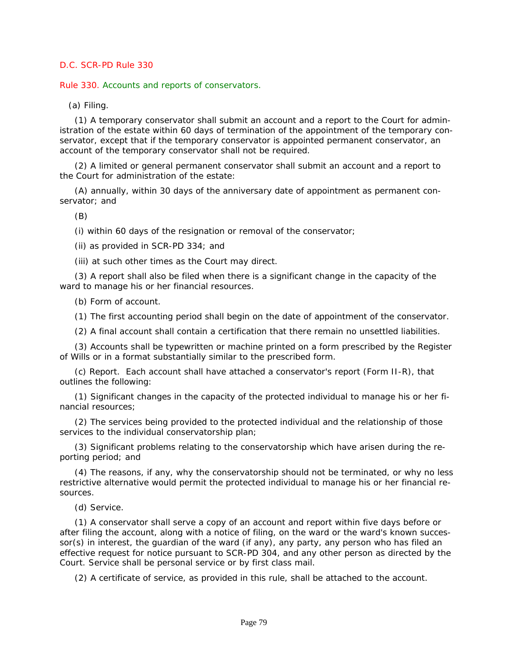Rule 330. Accounts and reports of conservators.

(a) Filing.

(1) A temporary conservator shall submit an account and a report to the Court for administration of the estate within 60 days of termination of the appointment of the temporary conservator, except that if the temporary conservator is appointed permanent conservator, an account of the temporary conservator shall not be required.

(2) A limited or general permanent conservator shall submit an account and a report to the Court for administration of the estate:

(A) annually, within 30 days of the anniversary date of appointment as permanent conservator; and

(B)

(i) within 60 days of the resignation or removal of the conservator;

(ii) as provided in SCR-PD 334; and

(iii) at such other times as the Court may direct.

(3) A report shall also be filed when there is a significant change in the capacity of the ward to manage his or her financial resources.

(b) Form of account.

(1) The first accounting period shall begin on the date of appointment of the conservator.

(2) A final account shall contain a certification that there remain no unsettled liabilities.

(3) Accounts shall be typewritten or machine printed on a form prescribed by the Register of Wills or in a format substantially similar to the prescribed form.

(c) Report. Each account shall have attached a conservator's report (Form II-R), that outlines the following:

(1) Significant changes in the capacity of the protected individual to manage his or her financial resources;

(2) The services being provided to the protected individual and the relationship of those services to the individual conservatorship plan;

(3) Significant problems relating to the conservatorship which have arisen during the reporting period; and

(4) The reasons, if any, why the conservatorship should not be terminated, or why no less restrictive alternative would permit the protected individual to manage his or her financial resources.

(d) Service.

(1) A conservator shall serve a copy of an account and report within five days before or after filing the account, along with a notice of filing, on the ward or the ward's known successor(s) in interest, the guardian of the ward (if any), any party, any person who has filed an [effective request for notice pursuant to SCR-PD 304, and any other person as directed by the](#page-2-0)  Court. Service shall be personal service or by first class mail.

(2) A certificate of service, as provided in this rule, shall be attached to the account.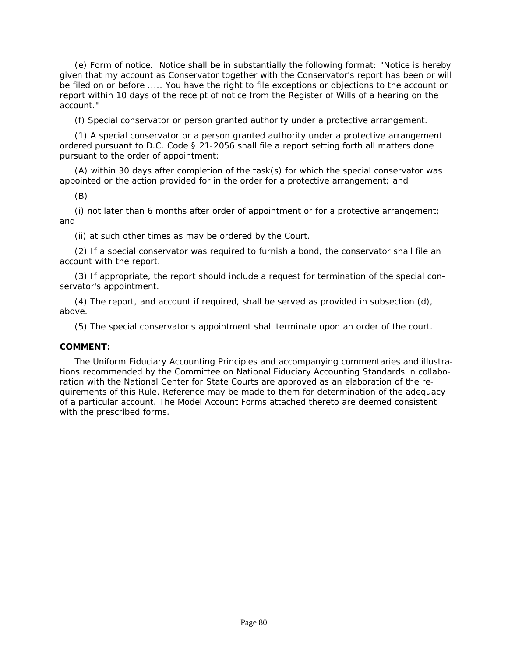(e) Form of notice. Notice shall be in substantially the following format: "Notice is hereby [given that my account as Conservator together with the Conservator's report has been or will](#page-2-0)  be filed on or before ..... You have the right to file exceptions or objections to the account or report within 10 days of the receipt of notice from the Register of Wills of a hearing on the account."

(f) Special conservator or person granted authority under a protective arrangement.

(1) A special conservator or a person granted authority under a protective arrangement ordered pursuant to *D.C. Code § 21-2056* shall file a report setting forth all matters done pursuant to the order of appointment:

(A) within 30 days after completion of the task(s) for which the special conservator was appointed or the action provided for in the order for a protective arrangement; and

(B)

(i) not later than 6 months after order of appointment or for a protective arrangement; and

(ii) at such other times as may be ordered by the Court.

(2) If a special conservator was required to furnish a bond, the conservator shall file an account with the report.

(3) If appropriate, the report should include a request for termination of the special conservator's appointment.

(4) The report, and account if required, shall be served as provided in subsection (d), above.

(5) The special conservator's appointment shall terminate upon an order of the court.

# **COMMENT:**

The Uniform Fiduciary Accounting Principles and accompanying commentaries and illustrations recommended by the Committee on National Fiduciary Accounting Standards in collaboration with the National Center for State Courts are approved as an elaboration of the requirements of this Rule. Reference may be made to them for determination of the adequacy of a particular account. The Model Account Forms attached thereto are deemed consistent with the prescribed forms.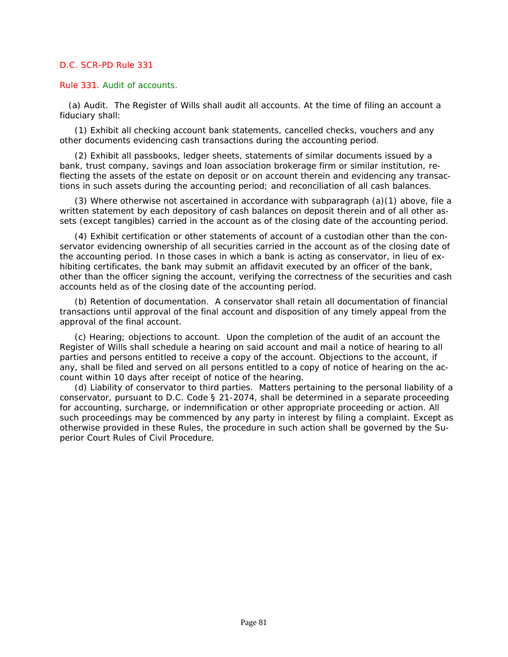#### Rule 331. Audit of accounts.

 (a) Audit. The Register of Wills shall audit all accounts. At the time of filing an account a fiduciary shall:

(1) Exhibit all checking account bank statements, cancelled checks, vouchers and any other documents evidencing cash transactions during the accounting period.

(2) Exhibit all passbooks, ledger sheets, statements of similar documents issued by a bank, trust company, savings and loan association brokerage firm or similar institution, reflecting the assets of the estate on deposit or on account therein and evidencing any transactions in such assets during the accounting period; and reconciliation of all cash balances.

(3) Where otherwise not ascertained in accordance with subparagraph (a)(1) above, file a written statement by each depository of cash balances on deposit therein and of all other assets (except tangibles) carried in the account as of the closing date of the accounting period.

(4) Exhibit certification or other statements of account of a custodian other than the conservator evidencing ownership of all securities carried in the account as of the closing date of the accounting period. In those cases in which a bank is acting as conservator, in lieu of exhibiting certificates, the bank may submit an affidavit executed by an officer of the bank, other than the officer signing the account, verifying the correctness of the securities and cash accounts held as of the closing date of the accounting period.

(b) Retention of documentation. A conservator shall retain all documentation of financial transactions until approval of the final account and disposition of any timely appeal from the approval of the final account.

(c) Hearing; objections to account. Upon the completion of the audit of an account the Register of Wills shall schedule a hearing on said account and mail a notice of hearing to all parties and persons entitled to receive a copy of the account. Objections to the account, if any, shall be filed and served on all persons entitled to a copy of notice of hearing on the account within 10 days after receipt of notice of the hearing.

(d) Liability of conservator to third parties. Matters pertaining to the personal liability of a conservator, pursuant to *D.C. Code § 21-2074*, shall be determined in a separate proceeding for accounting, surcharge, or indemnification or other appropriate proceeding or action. All [such proceedings may be commenced by any party in interest by filing a complaint. Except as](#page-2-0)  otherwise provided in these Rules, the procedure in such action shall be governed by the Superior Court Rules of Civil Procedure.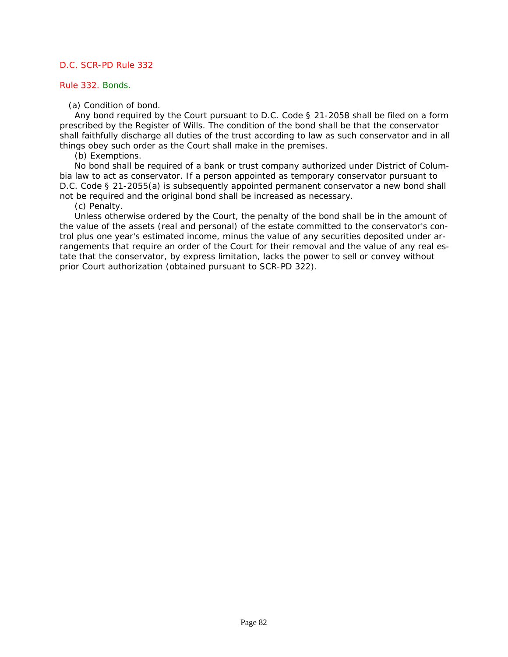#### Rule 332. Bonds.

(a) Condition of bond.

Any bond required by the Court pursuant to *D.C. Code § 21-2058* shall be filed on a form prescribed by the Register of Wills. The condition of the bond shall be that the conservator [shall faithfully discharge all duties of the trust according to law as such conservator and in all](#page-2-0)  things obey such order as the Court shall make in the premises.

(b) Exemptions.

No bond shall be required of a bank or trust company authorized under District of Columbia law to act as conservator. If a person appointed as temporary conservator pursuant to *D.C. Code § 21-2055(a)* is subsequently appointed permanent conservator a new bond shall not be required and the original bond shall be increased as necessary.

(c) Penalty.

Unless otherwise ordered by the Court, the penalty of the bond shall be in the amount of the value of the assets (real and personal) of the estate committed to the conservator's control plus one year's estimated income, minus the value of any securities deposited under arrangements that require an order of the Court for their removal and the value of any real estate that the conservator, by express limitation, lacks the power to sell or convey without prior Court authorization (obtained pursuant to SCR-PD 322).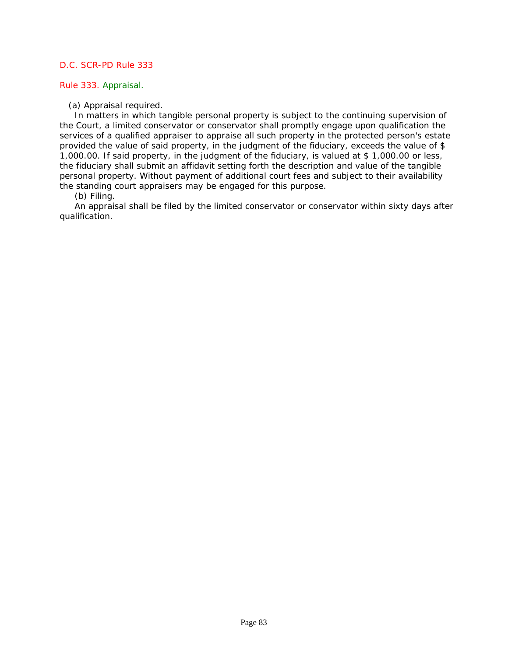## Rule 333. Appraisal.

(a) Appraisal required.

In matters in which tangible personal property is subject to the continuing supervision of the Court, a limited conservator or conservator shall promptly engage upon qualification the [services of a qualified appraiser to appraise all such property in the protected person's estate](#page-2-0)  provided the value of said property, in the judgment of the fiduciary, exceeds the value of \$ 1,000.00. If said property, in the judgment of the fiduciary, is valued at \$ 1,000.00 or less, the fiduciary shall submit an affidavit setting forth the description and value of the tangible personal property. Without payment of additional court fees and subject to their availability the standing court appraisers may be engaged for this purpose.

(b) Filing.

An appraisal shall be filed by the limited conservator or conservator within sixty days after qualification.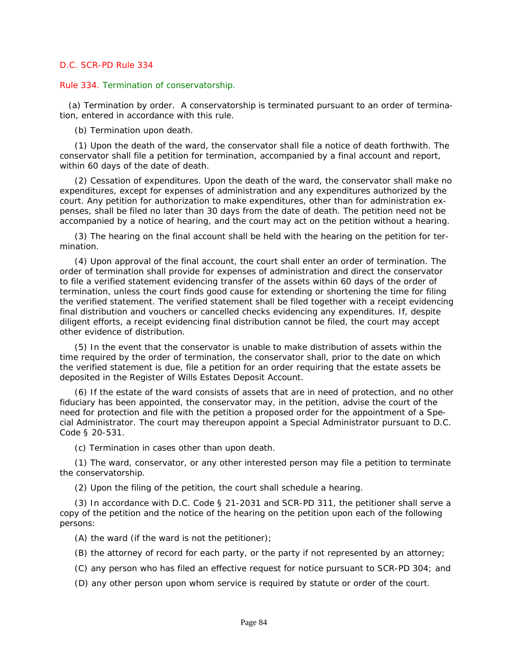#### Rule 334. Termination of conservatorship.

 (a) Termination by order. A conservatorship is terminated pursuant to an order of termination, entered in accordance with this rule.

(b) Termination upon death.

(1) Upon the death of the ward, the conservator shall file a notice of death forthwith. The conservator shall file a petition for termination, accompanied by a final account and report, within 60 days of the date of death.

(2) Cessation of expenditures. Upon the death of the ward, the conservator shall make no expenditures, except for expenses of administration and any expenditures authorized by the court. Any petition for authorization to make expenditures, other than for administration expenses, shall be filed no later than 30 days from the date of death. The petition need not be accompanied by a notice of hearing, and the court may act on the petition without a hearing.

(3) The hearing on the final account shall be held with the hearing on the petition for termination.

(4) Upon approval of the final account, the court shall enter an order of termination. The order of termination shall provide for expenses of administration and direct the conservator to file a verified statement evidencing transfer of the assets within 60 days of the order of termination, unless the court finds good cause for extending or shortening the time for filing [the verified statement. The verified statement shall be filed together with a receipt evidencing](#page-2-0)  final distribution and vouchers or cancelled checks evidencing any expenditures. If, despite diligent efforts, a receipt evidencing final distribution cannot be filed, the court may accept other evidence of distribution.

(5) In the event that the conservator is unable to make distribution of assets within the time required by the order of termination, the conservator shall, prior to the date on which the verified statement is due, file a petition for an order requiring that the estate assets be deposited in the Register of Wills Estates Deposit Account.

(6) If the estate of the ward consists of assets that are in need of protection, and no other fiduciary has been appointed, the conservator may, in the petition, advise the court of the need for protection and file with the petition a proposed order for the appointment of a Special Administrator. The court may thereupon appoint a Special Administrator pursuant to *D.C. Code § 20-531*.

(c) Termination in cases other than upon death.

(1) The ward, conservator, or any other interested person may file a petition to terminate the conservatorship.

(2) Upon the filing of the petition, the court shall schedule a hearing.

(3) In accordance with *D.C. Code § 21-2031* and SCR-PD 311, the petitioner shall serve a copy of the petition and the notice of the hearing on the petition upon each of the following persons:

(A) the ward (if the ward is not the petitioner);

(B) the attorney of record for each party, or the party if not represented by an attorney;

(C) any person who has filed an effective request for notice pursuant to SCR-PD 304; and

(D) any other person upon whom service is required by statute or order of the court.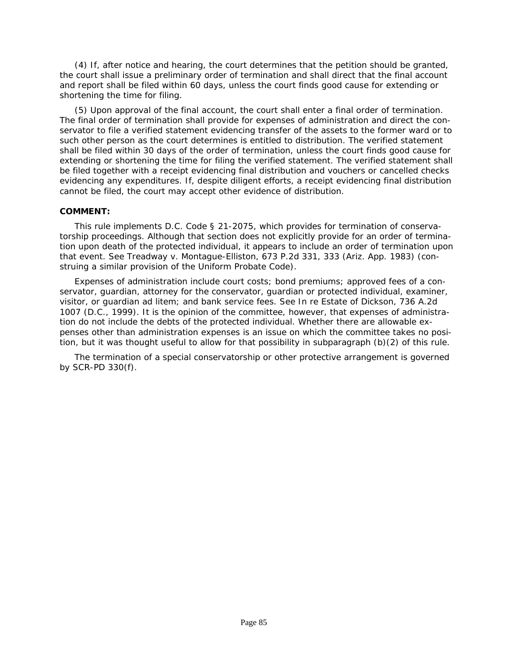(4) If, after notice and hearing, the court determines that the petition should be granted, the court shall issue a preliminary order of termination and shall direct that the final account and report shall be filed within 60 days, unless the court finds good cause for extending or shortening the time for filing.

(5) Upon approval of the final account, the court shall enter a final order of termination. The final order of termination shall provide for expenses of administration and direct the conservator to file a verified statement evidencing transfer of the assets to the former ward or to such other person as the court determines is entitled to distribution. The verified statement shall be filed within 30 days of the order of termination, unless the court finds good cause for extending or shortening the time for filing the verified statement. The verified statement shall be filed together with a receipt evidencing final distribution and vouchers or cancelled checks evidencing any expenditures. If, despite diligent efforts, a receipt evidencing final distribution cannot be filed, the court may accept other evidence of distribution.

## **COMMENT:**

This rule implements *D.C. Code § 21-2075*, which provides for termination of conservatorship proceedings. Although that section does not explicitly provide for an order of termina[tion upon death of the protected individual, it appears to include an order of termination upon](#page-2-0)  that event. See *Treadway v. Montague-Elliston, 673 P.2d 331, 333 (Ariz. App. 1983)* (construing a similar provision of the Uniform Probate Code).

Expenses of administration include court costs; bond premiums; approved fees of a conservator, guardian, attorney for the conservator, guardian or protected individual, examiner, visitor, or guardian ad litem; and bank service fees. See *In re Estate of Dickson, 736 A.2d 1007* (D.C., 1999). It is the opinion of the committee, however, that expenses of administration do not include the debts of the protected individual. Whether there are allowable expenses other than administration expenses is an issue on which the committee takes no position, but it was thought useful to allow for that possibility in subparagraph (b)(2) of this rule.

The termination of a special conservatorship or other protective arrangement is governed by SCR-PD 330(f).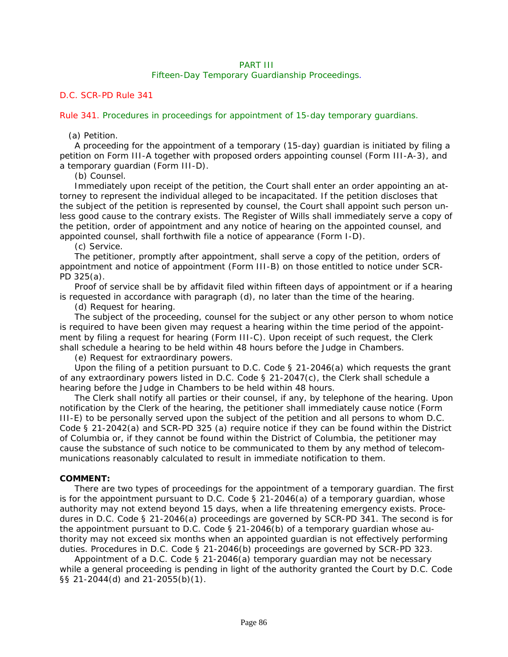# PART III

## Fifteen-Day Temporary Guardianship Proceedings.

# *D.C. SCR-PD Rule 341*

#### Rule 341. Procedures in proceedings for appointment of 15-day temporary guardians.

## (a) Petition.

A proceeding for the appointment of a temporary (15-day) guardian is initiated by filing a petition on Form III-A together with proposed orders appointing counsel (Form III-A-3), and a temporary guardian (Form III-D).

(b) Counsel.

Immediately upon receipt of the petition, the Court shall enter an order appointing an attorney to represent the individual alleged to be incapacitated. If the petition discloses that the subject of the petition is represented by counsel, the Court shall appoint such person un[less good cause to the contrary exists. The Register of Wills shall immediately serve a copy of](#page-2-0)  the petition, order of appointment and any notice of hearing on the appointed counsel, and appointed counsel, shall forthwith file a notice of appearance (Form I-D).

(c) Service.

The petitioner, promptly after appointment, shall serve a copy of the petition, orders of appointment and notice of appointment (Form III-B) on those entitled to notice under SCR-PD 325(a).

Proof of service shall be by affidavit filed within fifteen days of appointment or if a hearing is requested in accordance with paragraph (d), no later than the time of the hearing.

(d) Request for hearing.

The subject of the proceeding, counsel for the subject or any other person to whom notice is required to have been given may request a hearing within the time period of the appointment by filing a request for hearing (Form III-C). Upon receipt of such request, the Clerk shall schedule a hearing to be held within 48 hours before the Judge in Chambers.

(e) Request for extraordinary powers.

Upon the filing of a petition pursuant to *D.C. Code § 21-2046(a)* which requests the grant of any extraordinary powers listed in *D.C. Code § 21-2047(c)*, the Clerk shall schedule a hearing before the Judge in Chambers to be held within 48 hours.

The Clerk shall notify all parties or their counsel, if any, by telephone of the hearing. Upon notification by the Clerk of the hearing, the petitioner shall immediately cause notice (Form III-E) to be personally served upon the subject of the petition and all persons to whom *D.C. Code § 21-2042(a)* and SCR-PD 325 (a) require notice if they can be found within the District of Columbia or, if they cannot be found within the District of Columbia, the petitioner may cause the substance of such notice to be communicated to them by any method of telecommunications reasonably calculated to result in immediate notification to them.

## **COMMENT:**

There are two types of proceedings for the appointment of a temporary guardian. The first is for the appointment pursuant to *D.C. Code § 21-2046(a)* of a temporary guardian, whose authority may not extend beyond 15 days, when a life threatening emergency exists. Procedures in *D.C. Code § 21-2046(a)* proceedings are governed by SCR-PD 341. The second is for the appointment pursuant to *D.C. Code § 21-2046(b)* of a temporary guardian whose authority may not exceed six months when an appointed guardian is not effectively performing duties. Procedures in *D.C. Code § 21-2046(b)* proceedings are governed by SCR-PD 323.

Appointment of a *D.C. Code § 21-2046(a)* temporary guardian may not be necessary while a general proceeding is pending in light of the authority granted the Court by *D.C. Code §§ 21-2044(d)* and *21-2055(b)(1)*.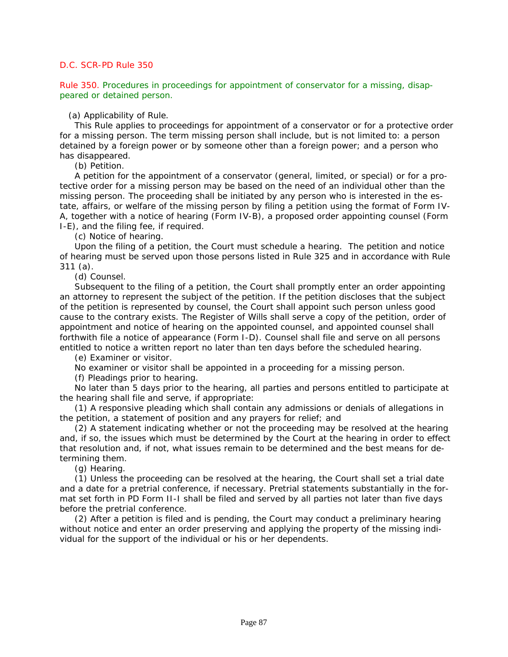Rule 350. Procedures in proceedings for appointment of conservator for a missing, disappeared or detained person.

## (a) Applicability of Rule.

This Rule applies to proceedings for appointment of a conservator or for a protective order for a missing person. The term missing person shall include, but is not limited to: a person detained by a foreign power or by someone other than a foreign power; and a person who has disappeared.

(b) Petition.

A petition for the appointment of a conservator (general, limited, or special) or for a protective order for a missing person may be based on the need of an individual other than the missing person. The proceeding shall be initiated by any person who is interested in the estate, affairs, or welfare of the missing person by filing a petition using the format of Form IV-A, together with a notice of hearing (Form IV-B), a proposed order appointing counsel (Form I-E), and the filing fee, if required.

(c) Notice of hearing.

Upon the filing of a petition, the Court must schedule a hearing. The petition and notice of hearing must be served upon those persons listed in Rule 325 and in accordance with Rule 311 (a).

(d) Counsel.

Subsequent to the filing of a petition, the Court shall promptly enter an order appointing an attorney to represent the subject of the petition. If the petition discloses that the subject of the petition is represented by counsel, the Court shall appoint such person unless good cause to the contrary exists. The Register of Wills shall serve a copy of the petition, order of appointment and notice of hearing on the appointed counsel, and appointed counsel shall forthwith file a notice of appearance (Form I-D). Counsel shall file and serve on all persons entitled to notice a written report no later than ten days before the scheduled hearing.

(e) Examiner or visitor.

No examiner or visitor shall be appointed in a proceeding for a missing person.

(f) Pleadings prior to hearing.

No later than 5 days prior to the hearing, all parties and persons entitled to participate at the hearing shall file and serve, if appropriate:

(1) A responsive pleading which shall contain any admissions or denials of allegations in the petition, a statement of position and any prayers for relief; and

(2) A statement indicating whether or not the proceeding may be resolved at the hearing [and, if so, the issues which must be determined by the Court at the hearing in order to effect](#page-2-0)  that resolution and, if not, what issues remain to be determined and the best means for determining them.

(g) Hearing.

(1) Unless the proceeding can be resolved at the hearing, the Court shall set a trial date and a date for a pretrial conference, if necessary. Pretrial statements substantially in the format set forth in PD Form II-I shall be filed and served by all parties not later than five days before the pretrial conference.

(2) After a petition is filed and is pending, the Court may conduct a preliminary hearing without notice and enter an order preserving and applying the property of the missing individual for the support of the individual or his or her dependents.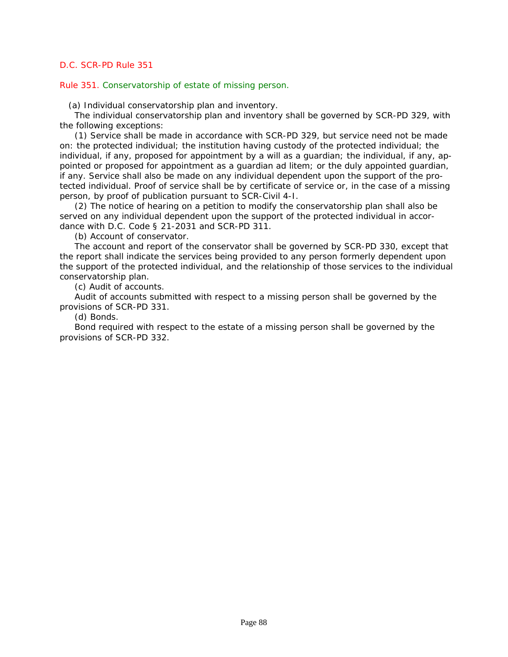Rule 351. Conservatorship of estate of missing person.

(a) Individual conservatorship plan and inventory.

The individual conservatorship plan and inventory shall be governed by SCR-PD 329, with the following exceptions:

(1) Service shall be made in accordance with SCR-PD 329, but service need not be made on: the protected individual; the institution having custody of the protected individual; the individual, if any, proposed for appointment by a will as a guardian; the individual, if any, appointed or proposed for appointment as a guardian ad litem; or the duly appointed guardian, if any. Service shall also be made on any individual dependent upon the support of the protected individual. Proof of service shall be by certificate of service or, in the case of a missing person, by proof of publication pursuant to SCR-Civil 4-I.

(2) The notice of hearing on a petition to modify the conservatorship plan shall also be served on any individual dependent upon the support of the protected individual in accordance with *D.C. Code § 21-2031* and SCR-PD 311.

(b) Account of conservator.

The account and report of the conservator shall be governed by SCR-PD 330, except that the report shall indicate the services being provided to any person formerly dependent upon [the support of the protected individual, and the relationship of those services to the individual](#page-2-0)  conservatorship plan.

(c) Audit of accounts.

Audit of accounts submitted with respect to a missing person shall be governed by the provisions of SCR-PD 331.

(d) Bonds.

Bond required with respect to the estate of a missing person shall be governed by the provisions of SCR-PD 332.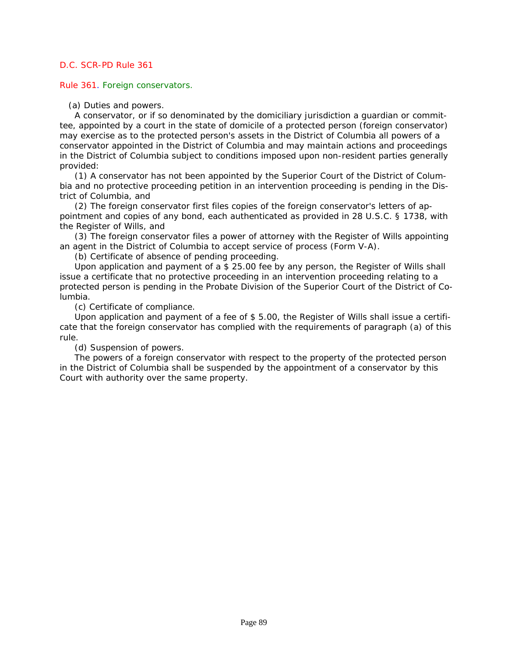Rule 361. Foreign conservators.

(a) Duties and powers.

A conservator, or if so denominated by the domiciliary jurisdiction a guardian or committee, appointed by a court in the state of domicile of a protected person (foreign conservator) may exercise as to the protected person's assets in the District of Columbia all powers of a conservator appointed in the District of Columbia and may maintain actions and proceedings in the District of Columbia subject to conditions imposed upon non-resident parties generally provided:

(1) A conservator has not been appointed by the Superior Court of the District of Columbia and no protective proceeding petition in an intervention proceeding is pending in the District of Columbia, and

(2) The foreign conservator first files copies of the foreign conservator's letters of appointment and copies of any bond, each authenticated as provided in *28 U.S.C. § 1738,* with the Register of Wills, and

(3) The foreign conservator files a power of attorney with the Register of Wills appointing an agent in the District of Columbia to accept service of process (Form V-A).

(b) Certificate of absence of pending proceeding.

Upon application and payment of a \$ 25.00 fee by any person, the Register of Wills shall issue a certificate that no protective proceeding in an intervention proceeding relating to a protected person is pending in the Probate Division of the Superior Court of the District of Columbia.

(c) Certificate of compliance.

Upon application and payment of a fee of \$ 5.00, the Register of Wills shall issue a certifi[cate that the foreign conservator has complied with the requirements of paragraph \(a\) of this](#page-2-0)  rule.

(d) Suspension of powers.

The powers of a foreign conservator with respect to the property of the protected person in the District of Columbia shall be suspended by the appointment of a conservator by this Court with authority over the same property.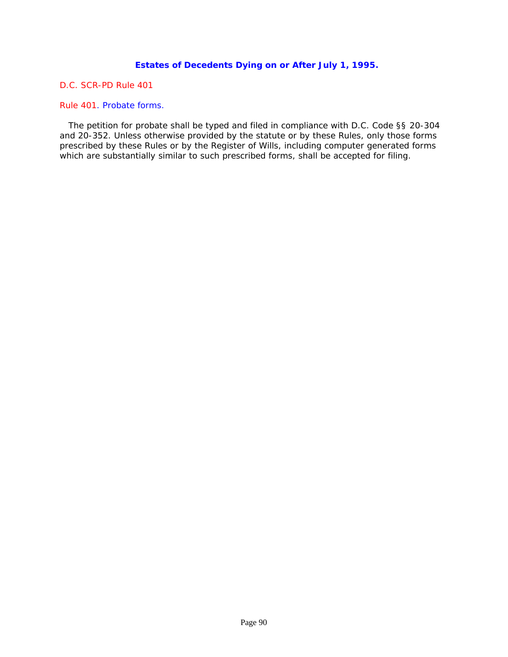# **Estates of Decedents Dying on or After July 1, 1995.**

*D.C. SCR-PD Rule 401*

Rule 401. Probate forms.

 The petition for probate shall be typed and filed in compliance with *D.C. Code §§ 20-304* and *20-352*. Unless otherwise provided by the statute or by these Rules, only those forms [prescribed by these Rules or by the Register of Wills, including computer generated forms](#page-2-0)  which are substantially similar to such prescribed forms, shall be accepted for filing.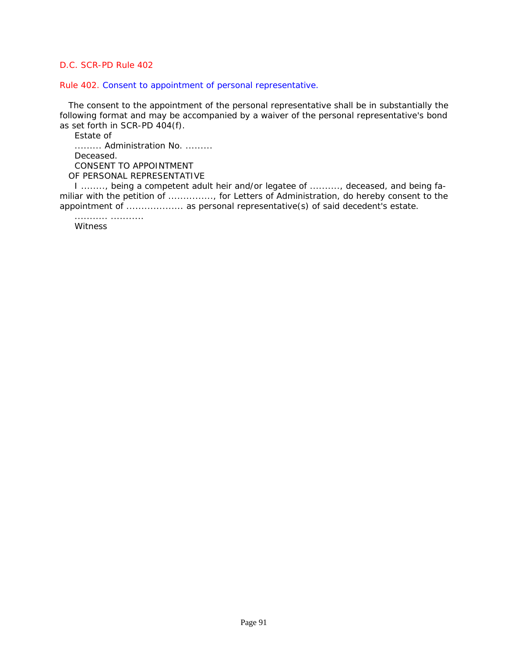Rule 402. Consent to appointment of personal representative.

 [The consent to the appointment of the personal representative shall be in substantially the](#page-2-0)  following format and may be accompanied by a waiver of the personal representative's bond as set forth in SCR-PD 404(f).

Estate of

......... Administration No. ......... Deceased. CONSENT TO APPOINTMENT OF PERSONAL REPRESENTATIVE

I ........, being a competent adult heir and/or legatee of .........., deceased, and being familiar with the petition of .............., for Letters of Administration, do hereby consent to the appointment of ....................... as personal representative(s) of said decedent's estate.

Witness

........... ...........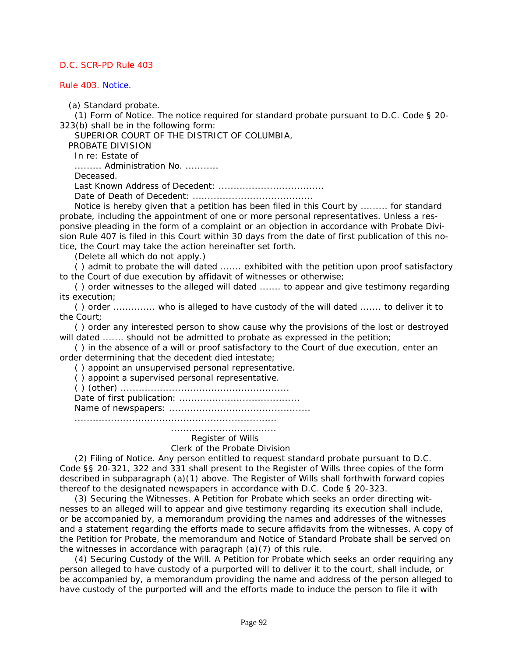Rule 403. Notice.

(a) Standard probate.

(1) Form of Notice. The notice required for standard probate pursuant to *D.C. Code § 20- 323(b)* shall be in the following form:

SUPERIOR COURT OF THE DISTRICT OF COLUMBIA,

PROBATE DIVISION

In re: Estate of

......... Administration No. ...........

Deceased.

Last Known Address of Decedent: ...................................

Date of Death of Decedent: ........................................

Notice is hereby given that a petition has been filed in this Court by ......... for standard probate, including the appointment of one or more personal representatives. Unless a responsive pleading in the form of a complaint or an objection in accordance with Probate Division Rule 407 is filed in this Court within 30 days from the date of first publication of this notice, the Court may take the action hereinafter set forth.

(Delete all which do not apply.)

( ) admit to probate the will dated ....... exhibited with the petition upon proof satisfactory to the Court of due execution by affidavit of witnesses or otherwise;

( ) order witnesses to the alleged will dated ....... to appear and give testimony regarding its execution;

( ) order .............. who is alleged to have custody of the will dated ....... to deliver it to the Court;

( ) order any interested person to show cause why the provisions of the lost or destroyed will dated ....... should not be admitted to probate as expressed in the petition;

( ) in the absence of a will or proof satisfactory to the Court of due execution, enter an order determining that the decedent died intestate;

( ) appoint an unsupervised personal representative.

( ) appoint a supervised personal representative.

( ) (other) ........................................................

Date of first publication: ........................................

Name of newspapers: ...............................................

...................................................................

# ...................................

# Register of Wills

## Clerk of the Probate Division

(2) Filing of Notice. Any person entitled to request standard probate pursuant to *D.C. Code §§ 20-321*, *322* and *331* shall present to the Register of Wills three copies of the form described in subparagraph (a)(1) above. The Register of Wills shall forthwith forward copies thereof to the designated newspapers in accordance with *D.C. Code § 20-323*.

(3) Securing the Witnesses. A Petition for Probate which seeks an order directing witnesses to an alleged will to appear and give testimony regarding its execution shall include, or be accompanied by, a memorandum providing the names and addresses of the witnesses [and a statement regarding the efforts made to secure affidavits from the witnesses. A copy of](#page-2-0)  the Petition for Probate, the memorandum and Notice of Standard Probate shall be served on the witnesses in accordance with paragraph (a)(7) of this rule.

(4) Securing Custody of the Will. A Petition for Probate which seeks an order requiring any person alleged to have custody of a purported will to deliver it to the court, shall include, or be accompanied by, a memorandum providing the name and address of the person alleged to have custody of the purported will and the efforts made to induce the person to file it with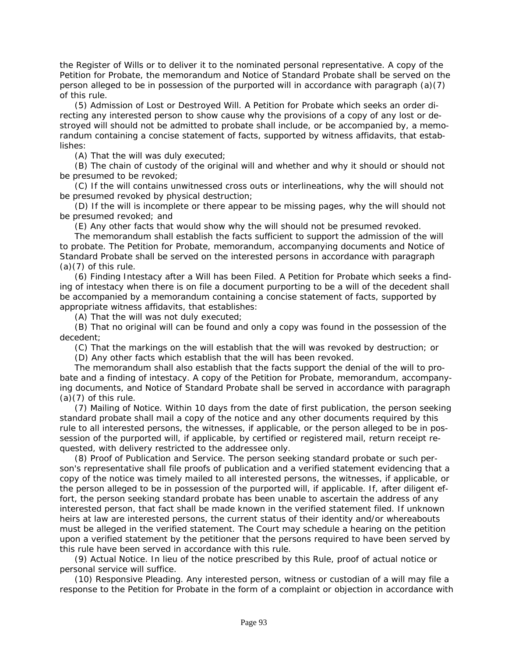the Register of Wills or to deliver it to the nominated personal representative. A copy of the Petition for Probate, the memorandum and Notice of Standard Probate shall be served on the person alleged to be in possession of the purported will in accordance with paragraph (a)(7) of this rule.

(5) Admission of Lost or Destroyed Will. A Petition for Probate which seeks an order directing any interested person to show cause why the provisions of a copy of any lost or destroyed will should not be admitted to probate shall include, or be accompanied by, a memorandum containing a concise statement of facts, supported by witness affidavits, that establishes:

(A) That the will was duly executed;

(B) The chain of custody of the original will and whether and why it should or should not be presumed to be revoked;

(C) If the will contains unwitnessed cross outs or interlineations, why the will should not be presumed revoked by physical destruction;

(D) If the will is incomplete or there appear to be missing pages, why the will should not be presumed revoked; and

(E) Any other facts that would show why the will should not be presumed revoked.

The memorandum shall establish the facts sufficient to support the admission of the will to probate. The Petition for Probate, memorandum, accompanying documents and Notice of Standard Probate shall be served on the interested persons in accordance with paragraph  $(a)(7)$  of this rule.

(6) Finding Intestacy after a Will has been Filed. A Petition for Probate which seeks a finding of intestacy when there is on file a document purporting to be a will of the decedent shall be accompanied by a memorandum containing a concise statement of facts, supported by appropriate witness affidavits, that establishes:

(A) That the will was not duly executed;

(B) That no original will can be found and only a copy was found in the possession of the decedent;

(C) That the markings on the will establish that the will was revoked by destruction; or

(D) Any other facts which establish that the will has been revoked.

The memorandum shall also establish that the facts support the denial of the will to probate and a finding of intestacy. A copy of the Petition for Probate, memorandum, accompanying documents, and Notice of Standard Probate shall be served in accordance with paragraph  $(a)(7)$  of this rule.

(7) Mailing of Notice. Within 10 days from the date of first publication, the person seeking standard probate shall mail a copy of the notice and any other documents required by this rule to all interested persons, the witnesses, if applicable, or the person alleged to be in possession of the purported will, if applicable, by certified or registered mail, return receipt requested, with delivery restricted to the addressee only.

(8) Proof of Publication and Service. The person seeking standard probate or such person's representative shall file proofs of publication and a verified statement evidencing that a copy of the notice was timely mailed to all interested persons, the witnesses, if applicable, or the person alleged to be in possession of the purported will, if applicable. If, after diligent effort, the person seeking standard probate has been unable to ascertain the address of any interested person, that fact shall be made known in the verified statement filed. If unknown heirs at law are interested persons, the current status of their identity and/or whereabouts must be alleged in the verified statement. The Court may schedule a hearing on the petition upon a verified statement by the petitioner that the persons required to have been served by this rule have been served in accordance with this rule.

(9) Actual Notice. In lieu of the notice prescribed by this Rule, proof of actual notice or personal service will suffice.

(10) Responsive Pleading. Any interested person, witness or custodian of a will may file a [response to the Petition for Probate in the form of a complaint or objection in accordance with](#page-2-0)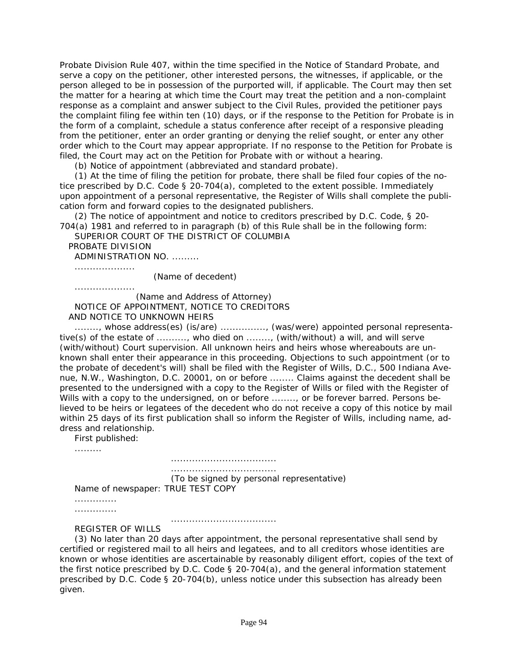Probate Division Rule 407, within the time specified in the Notice of Standard Probate, and serve a copy on the petitioner, other interested persons, the witnesses, if applicable, or the person alleged to be in possession of the purported will, if applicable. The Court may then set the matter for a hearing at which time the Court may treat the petition and a non-complaint response as a complaint and answer subject to the Civil Rules, provided the petitioner pays [the complaint filing fee within ten \(10\) days, or if the response to the Petition for Probate is in](#page-2-0)  the form of a complaint, schedule a status conference after receipt of a responsive pleading from the petitioner, enter an order granting or denying the relief sought, or enter any other order which to the Court may appear appropriate. If no response to the Petition for Probate is filed, the Court may act on the Petition for Probate with or without a hearing.

(b) Notice of appointment (abbreviated and standard probate).

(1) At the time of filing the petition for probate, there shall be filed four copies of the notice prescribed by *D.C. Code § 20-704(a)*, completed to the extent possible. Immediately upon appointment of a personal representative, the Register of Wills shall complete the publication form and forward copies to the designated publishers.

(2) The notice of appointment and notice to creditors prescribed by *D.C. Code, § 20- 704(a)* 1981 and referred to in paragraph (b) of this Rule shall be in the following form:

SUPERIOR COURT OF THE DISTRICT OF COLUMBIA

PROBATE DIVISION

ADMINISTRATION NO. .........

....................

(Name of decedent)

....................

 (Name and Address of Attorney) NOTICE OF APPOINTMENT, NOTICE TO CREDITORS AND NOTICE TO UNKNOWN HEIRS

........, whose address(es) (is/are) ..............., (was/were) appointed personal representative(s) of the estate of .........., who died on ........, (with/without) a will, and will serve (with/without) Court supervision. All unknown heirs and heirs whose whereabouts are unknown shall enter their appearance in this proceeding. Objections to such appointment (or to the probate of decedent's will) shall be filed with the Register of Wills, D.C., 500 Indiana Avenue, N.W., Washington, D.C. 20001, on or before ........ Claims against the decedent shall be presented to the undersigned with a copy to the Register of Wills or filed with the Register of Wills with a copy to the undersigned, on or before ........, or be forever barred. Persons believed to be heirs or legatees of the decedent who do not receive a copy of this notice by mail within 25 days of its first publication shall so inform the Register of Wills, including name, address and relationship.

First published:

.........

 ................................... ...................................

(To be signed by personal representative)

Name of newspaper: TRUE TEST COPY

.............. ..............

...................................

REGISTER OF WILLS

(3) No later than 20 days after appointment, the personal representative shall send by certified or registered mail to all heirs and legatees, and to all creditors whose identities are known or whose identities are ascertainable by reasonably diligent effort, copies of the text of the first notice prescribed by *D.C. Code § 20-704(a)*, and the general information statement prescribed by *D.C. Code § 20-704(b)*, unless notice under this subsection has already been given.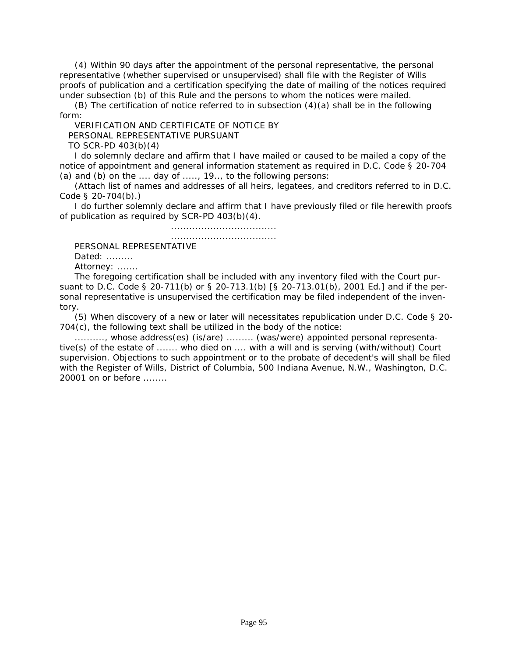(4) Within 90 days after the appointment of the personal representative, the personal representative (whether supervised or unsupervised) shall file with the Register of Wills proofs of publication and a certification specifying the date of mailing of the notices required under subsection (b) of this Rule and the persons to whom the notices were mailed.

(B) The certification of notice referred to in subsection  $(4)(a)$  shall be in the following form:

VERIFICATION AND CERTIFICATE OF NOTICE BY PERSONAL REPRESENTATIVE PURSUANT TO SCR-PD 403(b)(4)

I do solemnly declare and affirm that I have mailed or caused to be mailed a copy of the notice of appointment and general information statement as required in *D.C. Code § 20-704 (a)* and (b) on the .... day of ....., 19.., to the following persons:

(Attach list of names and addresses of all heirs, legatees, and creditors referred to in *D.C. Code § 20-704(b)*.)

I do further solemnly declare and affirm that I have previously filed or file herewith proofs of publication as required by SCR-PD 403(b)(4).

...................................

...................................

PERSONAL REPRESENTATIVE

Dated: .........

Attorney: .......

The foregoing certification shall be included with any inventory filed with the Court pursuant to *D.C. Code § 20-711(b)* or § 20-713.1(b) [*§ 20-713.01(b)*, 2001 Ed.] and if the personal representative is unsupervised the certification may be filed independent of the inventory.

(5) When discovery of a new or later will necessitates republication under *D.C. Code § 20- 704(c)*, the following text shall be utilized in the body of the notice:

.........., whose address(es) (is/are) ......... (was/were) appointed personal representative(s) of the estate of ....... who died on .... with a will and is serving (with/without) Court [supervision. Objections to such appointment or to the probate of decedent's will shall be filed](#page-2-0)  with the Register of Wills, District of Columbia, 500 Indiana Avenue, N.W., Washington, D.C. 20001 on or before ........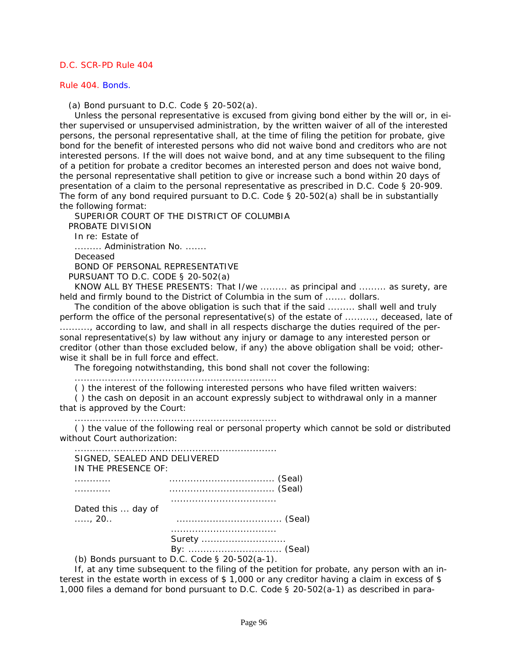#### Rule 404. Bonds.

(a) Bond pursuant to *D.C. Code § 20-502(a)*.

Unless the personal representative is excused from giving bond either by the will or, in either supervised or unsupervised administration, by the written waiver of all of the interested persons, the personal representative shall, at the time of filing the petition for probate, give bond for the benefit of interested persons who did not waive bond and creditors who are not interested persons. If the will does not waive bond, and at any time subsequent to the filing of a petition for probate a creditor becomes an interested person and does not waive bond, the personal representative shall petition to give or increase such a bond within 20 days of presentation of a claim to the personal representative as prescribed in *D.C. Code § 20-909*. The form of any bond required pursuant to *D.C. Code § 20-502(a)* shall be in substantially the following format:

SUPERIOR COURT OF THE DISTRICT OF COLUMBIA PROBATE DIVISION In re: Estate of ......... Administration No. ....... Deceased BOND OF PERSONAL REPRESENTATIVE PURSUANT TO *D.C. CODE § 20-502(a)*

KNOW ALL BY THESE PRESENTS: That I/we ......... as principal and ......... as surety, are held and firmly bound to the District of Columbia in the sum of ....... dollars.

The condition of the above obligation is such that if the said ......... shall well and truly [perform the office of the personal representative\(s\) of the estate of .........., deceased, late of](#page-2-0)  .........., according to law, and shall in all respects discharge the duties required of the personal representative(s) by law without any injury or damage to any interested person or creditor (other than those excluded below, if any) the above obligation shall be void; otherwise it shall be in full force and effect.

The foregoing notwithstanding, this bond shall not cover the following:

...................................................................

( ) the interest of the following interested persons who have filed written waivers:

( ) the cash on deposit in an account expressly subject to withdrawal only in a manner that is approved by the Court:

...................................................................

( ) the value of the following real or personal property which cannot be sold or distributed without Court authorization:

| SIGNED, SEALED AND DELIVERED<br>IN THE PRESENCE OF: |                                                                               |
|-----------------------------------------------------|-------------------------------------------------------------------------------|
|                                                     |                                                                               |
| Dated this  day of<br>$\ldots$ , 20.                |                                                                               |
|                                                     | Surety<br>By:  (Seal)<br>(b) Bonds pursuant to D.C. Code $\zeta$ 20-502(a-1). |

If, at any time subsequent to the filing of the petition for probate, any person with an interest in the estate worth in excess of \$ 1,000 or any creditor having a claim in excess of \$ 1,000 files a demand for bond pursuant to *D.C. Code § 20-502(a-1)* as described in para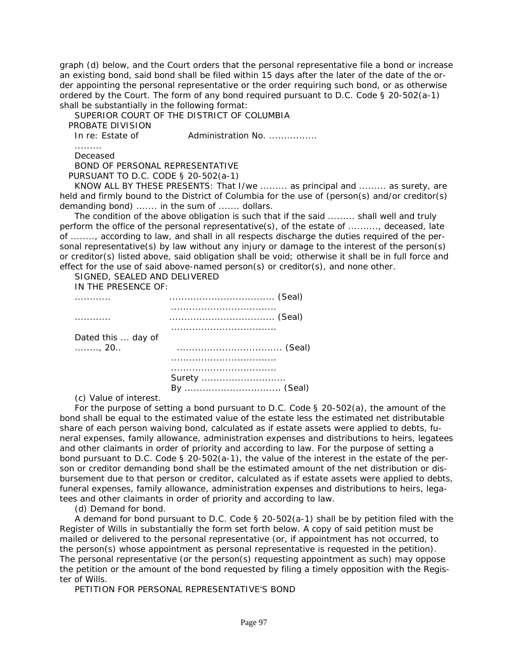graph (d) below, and the Court orders that the personal representative file a bond or increase an existing bond, said bond shall be filed within 15 days after the later of the date of the order appointing the personal representative or the order requiring such bond, or as otherwise ordered by the Court. The form of any bond required pursuant to *D.C. Code § 20-502(a-1)* shall be substantially in the following format:

SUPERIOR COURT OF THE DISTRICT OF COLUMBIA PROBATE DIVISION In re: Estate of Administration No. ................ ......... Deceased BOND OF PERSONAL REPRESENTATIVE PURSUANT TO *D.C. CODE § 20-502(a-1)* KNOW ALL BY THESE PRESENTS: That I/we ......... as principal and ......... as surety, are held and firmly bound to the District of Columbia for the use of (person(s) and/or creditor(s) demanding bond) ....... in the sum of ....... dollars.

The condition of the above obligation is such that if the said ......... shall well and truly perform the office of the personal representative(s), of the estate of .........., deceased, late of ........, according to law, and shall in all respects discharge the duties required of the personal representative(s) by law without any injury or damage to the interest of the person(s) or creditor(s) listed above, said obligation shall be void; otherwise it shall be in full force and effect for the use of said above-named person(s) or creditor(s), and none other.

SIGNED, SEALED AND DELIVERED

IN THE PRESENCE OF:

| .                  |        |
|--------------------|--------|
| .                  |        |
| Dated this  day of |        |
| . 20. .            |        |
|                    |        |
|                    | Surety |
|                    |        |

(c) Value of interest.

For the purpose of setting a bond pursuant to *D.C. Code § 20-502(a)*, the amount of the bond shall be equal to the estimated value of the estate less the estimated net distributable share of each person waiving bond, calculated as if estate assets were applied to debts, fu[neral expenses, family allowance, administration expenses and distributions to heirs, legatees](#page-2-0)  and other claimants in order of priority and according to law. For the purpose of setting a bond pursuant to *D.C. Code § 20-502(a-1)*, the value of the interest in the estate of the person or creditor demanding bond shall be the estimated amount of the net distribution or disbursement due to that person or creditor, calculated as if estate assets were applied to debts, funeral expenses, family allowance, administration expenses and distributions to heirs, legatees and other claimants in order of priority and according to law.

(d) Demand for bond.

A demand for bond pursuant to *D.C. Code § 20-502(a-1)* shall be by petition filed with the Register of Wills in substantially the form set forth below. A copy of said petition must be mailed or delivered to the personal representative (or, if appointment has not occurred, to the person(s) whose appointment as personal representative is requested in the petition). The personal representative (or the person(s) requesting appointment as such) may oppose the petition or the amount of the bond requested by filing a timely opposition with the Register of Wills.

PETITION FOR PERSONAL REPRESENTATIVE'S BOND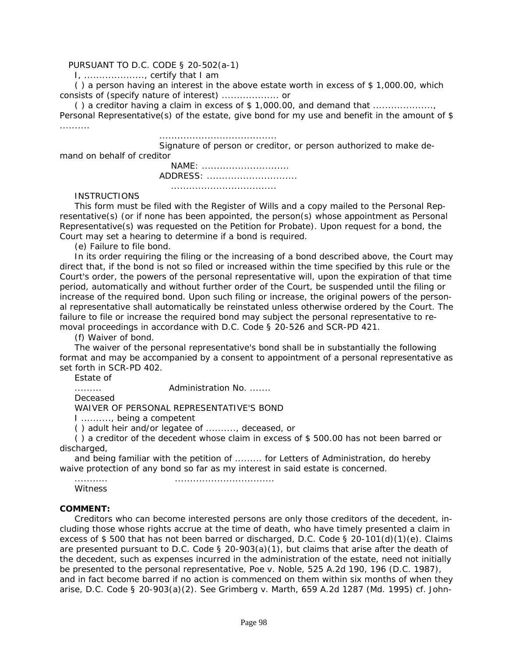#### PURSUANT TO *D.C. CODE § 20-502(a-1)*

I, ...................., certify that I am

( ) a person having an interest in the above estate worth in excess of \$ 1,000.00, which consists of (specify nature of interest) ................... or

() a creditor having a claim in excess of  $$1,000.00$ , and demand that  $\ldots$ ................ Personal Representative(s) of the estate, give bond for my use and benefit in the amount of \$ ..........

.......................................

 Signature of person or creditor, or person authorized to make demand on behalf of creditor

> NAME: ............................. ADDRESS: .............................. ...................................

# **INSTRUCTIONS**

This form must be filed with the Register of Wills and a copy mailed to the Personal Representative(s) (or if none has been appointed, the person(s) whose appointment as Personal Representative(s) was requested on the Petition for Probate). Upon request for a bond, the Court may set a hearing to determine if a bond is required.

(e) Failure to file bond.

In its order requiring the filing or the increasing of a bond described above, the Court may direct that, if the bond is not so filed or increased within the time specified by this rule or the Court's order, the powers of the personal representative will, upon the expiration of that time period, automatically and without further order of the Court, be suspended until the filing or increase of the required bond. Upon such filing or increase, the original powers of the personal representative shall automatically be reinstated unless otherwise ordered by the Court. The failure to file or increase the required bond may subject the personal representative to removal proceedings in accordance with *D.C. Code § 20-526* and SCR-PD 421.

(f) Waiver of bond.

The waiver of the personal representative's bond shall be in substantially the following format and may be accompanied by a consent to appointment of a personal representative as set forth in SCR-PD 402.

Estate of

......... Administration No. .......

Deceased

WAIVER OF PERSONAL REPRESENTATIVE'S BOND

I .........., being a competent

( ) adult heir and/or legatee of .........., deceased, or

( ) a creditor of the decedent whose claim in excess of \$ 500.00 has not been barred or discharged,

and being familiar with the petition of ......... for Letters of Administration, do hereby waive protection of any bond so far as my interest in said estate is concerned.

........... .................................

**Witness** 

#### **COMMENT:**

Creditors who can become interested persons are only those creditors of the decedent, including those whose rights accrue at the time of death, who have timely presented a claim in excess of \$ 500 that has not been barred or discharged, *D.C. Code § 20-101(d)(1)(e)*. Claims are presented pursuant to *D.C. Code § 20-903(a)(1)*, but claims that arise after the death of the decedent, such as expenses incurred in the administration of the estate, need not initially be presented to the personal representative, *Poe v. Noble, 525 A.2d 190, 196 (D.C. 1987),* and in fact become barred if no action is commenced on them within six months of when they arise, *D.C. Code § 20-903(a)(2)*. See *Grimberg v. Marth, 659 A.2d 1287 (Md. 1995)* cf. *John-*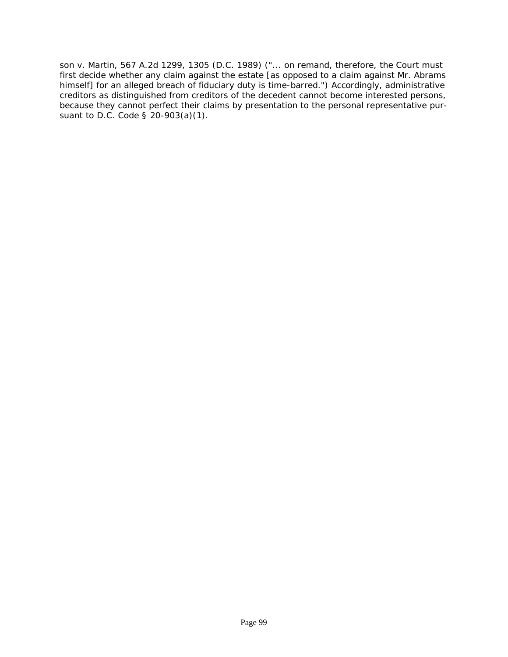*son v. Martin, 567 A.2d 1299, 1305 (D.C. 1989)* ("... on remand, therefore, the Court must first decide whether any claim against the estate [as opposed to a claim against Mr. Abrams himself] for an alleged breach of fiduciary duty is time-barred.") Accordingly, administrative [creditors as distinguished from creditors of the decedent cannot become interested persons,](#page-2-0)  because they cannot perfect their claims by presentation to the personal representative pursuant to *D.C. Code § 20-903(a)(1)*.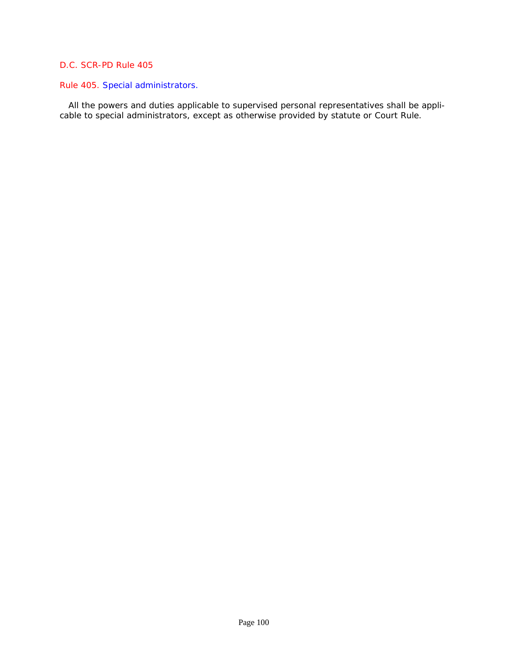## Rule 405. Special administrators.

 [All the powers and duties applicable to supervised personal representatives shall be appli](#page-2-0)cable to special administrators, except as otherwise provided by statute or Court Rule.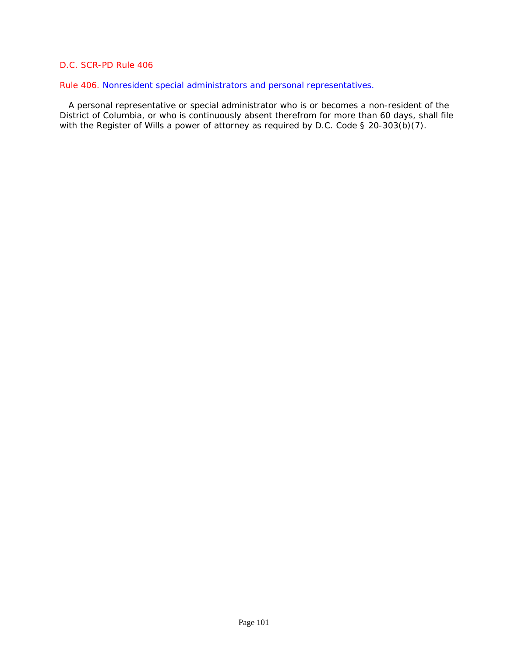## Rule 406. Nonresident special administrators and personal representatives.

 A personal representative or special administrator who is or becomes a non-resident of the [District of Columbia, or who is continuously absent therefrom for more than 60 days, shall file](#page-2-0)  with the Register of Wills a power of attorney as required by *D.C. Code § 20-303(b)(7)*.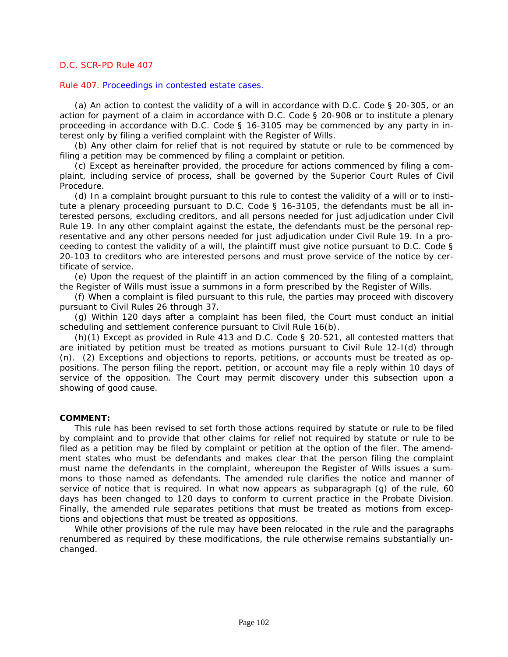#### Rule 407. Proceedings in contested estate cases.

(a) An action to contest the validity of a will in accordance with D.C. Code § 20-305, or an action for payment of a claim in accordance with D.C. Code § 20-908 or to institute a plenary proceeding in accordance with D.C. Code § 16-3105 may be commenced by any party in interest only by filing a verified complaint with the Register of Wills.

(b) Any other claim for relief that is not required by statute or rule to be commenced by filing a petition may be commenced by filing a complaint or petition.

(c) Except as hereinafter provided, the procedure for actions commenced by filing a complaint, including service of process, shall be governed by the Superior Court Rules of Civil Procedure.

(d) In a complaint brought pursuant to this rule to contest the validity of a will or to institute a plenary proceeding pursuant to D.C. Code § 16-3105, the defendants must be all interested persons, excluding creditors, and all persons needed for just adjudication under Civil Rule 19. In any other complaint against the estate, the defendants must be the personal representative and any other persons needed for just adjudication under Civil Rule 19. In a proceeding to contest the validity of a will, the plaintiff must give notice pursuant to D.C. Code § 20-103 to creditors who are interested persons and must prove service of the notice by certificate of service.

(e) Upon the request of the plaintiff in an action commenced by the filing of a complaint, the Register of Wills must issue a summons in a form prescribed by the Register of Wills.

(f) When a complaint is filed pursuant to this rule, the parties may proceed with discovery pursuant to Civil Rules 26 through 37.

(g) Within 120 days after a complaint has been filed, the Court must conduct an initial scheduling and settlement conference pursuant to Civil Rule 16(b).

(h)(1) Except as provided in Rule 413 and D.C. Code § 20-521, all contested matters that are initiated by petition must be treated as motions pursuant to Civil Rule 12-I(d) through (n). (2) Exceptions and objections to reports, petitions, or accounts must be treated as oppositions. The person filing the report, petition, or account may file a reply within 10 days of service of the opposition. The Court may permit discovery under this subsection upon a showing of good cause.

#### **COMMENT:**

This rule has been revised to set forth those actions required by statute or rule to be filed [by complaint and to provide that other claims for relief not required by statute or rule to be](#page-2-0)  filed as a petition may be filed by complaint or petition at the option of the filer. The amendment states who must be defendants and makes clear that the person filing the complaint must name the defendants in the complaint, whereupon the Register of Wills issues a summons to those named as defendants. The amended rule clarifies the notice and manner of service of notice that is required. In what now appears as subparagraph (g) of the rule, 60 days has been changed to 120 days to conform to current practice in the Probate Division. Finally, the amended rule separates petitions that must be treated as motions from exceptions and objections that must be treated as oppositions.

While other provisions of the rule may have been relocated in the rule and the paragraphs renumbered as required by these modifications, the rule otherwise remains substantially unchanged.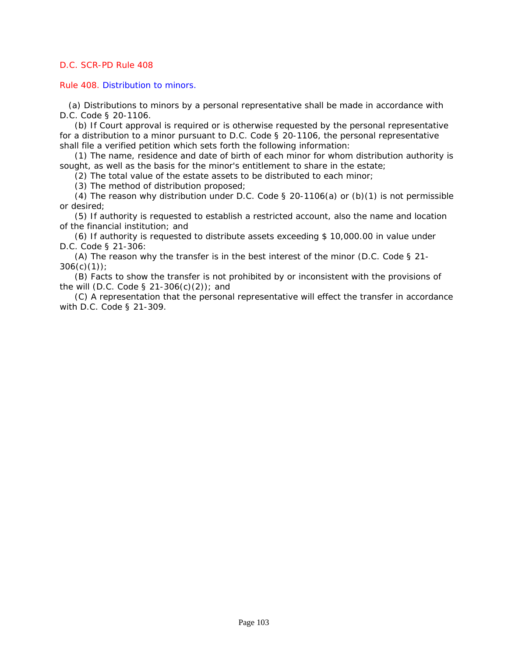Rule 408. Distribution to minors.

 [\(a\) Distributions to minors by a personal representative shall be made in accordance with](#page-2-0)  *D.C. Code § 20-1106*.

(b) If Court approval is required or is otherwise requested by the personal representative for a distribution to a minor pursuant to *D.C. Code § 20-1106*, the personal representative shall file a verified petition which sets forth the following information:

(1) The name, residence and date of birth of each minor for whom distribution authority is sought, as well as the basis for the minor's entitlement to share in the estate;

(2) The total value of the estate assets to be distributed to each minor;

(3) The method of distribution proposed;

(4) The reason why distribution under *D.C. Code § 20-1106(a)* or (b)(1) is not permissible or desired;

(5) If authority is requested to establish a restricted account, also the name and location of the financial institution; and

(6) If authority is requested to distribute assets exceeding \$ 10,000.00 in value under *D.C. Code § 21-306*:

(A) The reason why the transfer is in the best interest of the minor (*D.C. Code § 21- 306(c)(1)*);

(B) Facts to show the transfer is not prohibited by or inconsistent with the provisions of the will (*D.C. Code § 21-306(c)(2)*); and

(C) A representation that the personal representative will effect the transfer in accordance with *D.C. Code § 21-309*.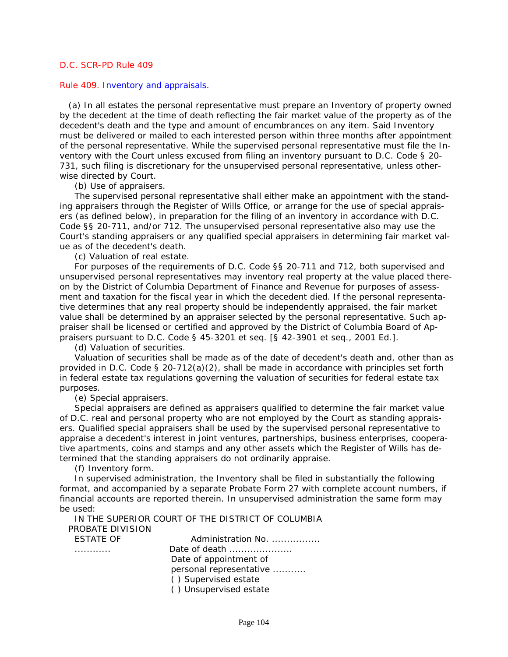#### Rule 409. Inventory and appraisals.

 (a) In all estates the personal representative must prepare an Inventory of property owned by the decedent at the time of death reflecting the fair market value of the property as of the decedent's death and the type and amount of encumbrances on any item. Said Inventory [must be delivered or mailed to each interested person within three months after appointment](#page-3-0)  of the personal representative. While the supervised personal representative must file the Inventory with the Court unless excused from filing an inventory pursuant to *D.C. Code § 20- 731*, such filing is discretionary for the unsupervised personal representative, unless otherwise directed by Court.

(b) Use of appraisers.

The supervised personal representative shall either make an appointment with the standing appraisers through the Register of Wills Office, or arrange for the use of special appraisers (as defined below), in preparation for the filing of an inventory in accordance with *D.C. Code §§ 20-711*, and/or 712. The unsupervised personal representative also may use the Court's standing appraisers or any qualified special appraisers in determining fair market value as of the decedent's death.

(c) Valuation of real estate.

For purposes of the requirements of *D.C. Code §§ 20-711* and *712*, both supervised and unsupervised personal representatives may inventory real property at the value placed thereon by the District of Columbia Department of Finance and Revenue for purposes of assessment and taxation for the fiscal year in which the decedent died. If the personal representative determines that any real property should be independently appraised, the fair market value shall be determined by an appraiser selected by the personal representative. Such appraiser shall be licensed or certified and approved by the District of Columbia Board of Appraisers pursuant to D.C. Code § 45-3201 et seq. [*§ 42-3901* et seq., 2001 Ed.].

(d) Valuation of securities.

Valuation of securities shall be made as of the date of decedent's death and, other than as provided in *D.C. Code § 20-712(a)(2)*, shall be made in accordance with principles set forth in federal estate tax regulations governing the valuation of securities for federal estate tax purposes.

(e) Special appraisers.

Special appraisers are defined as appraisers qualified to determine the fair market value of D.C. real and personal property who are not employed by the Court as standing appraisers. Qualified special appraisers shall be used by the supervised personal representative to appraise a decedent's interest in joint ventures, partnerships, business enterprises, cooperative apartments, coins and stamps and any other assets which the Register of Wills has determined that the standing appraisers do not ordinarily appraise.

(f) Inventory form.

In supervised administration, the Inventory shall be filed in substantially the following format, and accompanied by a separate Probate Form 27 with complete account numbers, if financial accounts are reported therein. In unsupervised administration the same form may be used:

IN THE SUPERIOR COURT OF THE DISTRICT OF COLUMBIA PROBATE DIVISION

| ESTATE OF | Administration No.                           |
|-----------|----------------------------------------------|
|           | Date of death $\ldots$ , $\ldots$ , $\ldots$ |
|           | Date of appointment of                       |
|           | personal representative                      |
|           | () Supervised estate                         |
|           | () Unsupervised estate                       |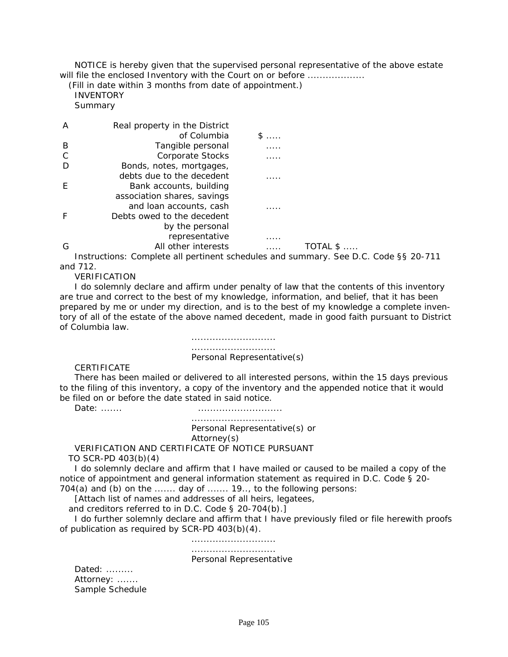NOTICE is hereby given that the supervised personal representative of the above estate will file the enclosed Inventory with the Court on or before ..................

 (Fill in date within 3 months from date of appointment.) INVENTORY Summary

 A Real property in the District of Columbia \$ ..... B Tangible personal 2001. C Corporate Stocks ..... D Bonds, notes, mortgages, debts due to the decedent ..... E Bank accounts, building association shares, savings and loan accounts, cash ..... F Debts owed to the decedent by the personal representative ..... G All other interests ..... TOTAL \$ .....

Instructions: Complete all pertinent schedules and summary. See *D.C. Code §§ 20-711* and *712*.

VERIFICATION

I do solemnly declare and affirm under penalty of law that the contents of this inventory are true and correct to the best of my knowledge, information, and belief, that it has been prepared by me or under my direction, and is to the best of my knowledge a complete inven[tory of all of the estate of the above named decedent, made in good faith pursuant to District](#page-3-0)  of Columbia law.

> ............................ ............................ Personal Representative(s)

CERTIFICATE

There has been mailed or delivered to all interested persons, within the 15 days previous to the filing of this inventory, a copy of the inventory and the appended notice that it would be filed on or before the date stated in said notice.

Date: ....... ............................

 ............................ Personal Representative(s) or Attorney(s) VERIFICATION AND CERTIFICATE OF NOTICE PURSUANT

TO SCR-PD 403(b)(4)

I do solemnly declare and affirm that I have mailed or caused to be mailed a copy of the notice of appointment and general information statement as required in *D.C. Code § 20- 704(a)* and (b) on the ....... day of ....... 19.., to the following persons:

[Attach list of names and addresses of all heirs, legatees,

and creditors referred to in *D.C. Code § 20-704(b)*.]

I do further solemnly declare and affirm that I have previously filed or file herewith proofs of publication as required by SCR-PD 403(b)(4).

............................

#### ............................

#### Personal Representative

Dated: ......... Attorney: ....... Sample Schedule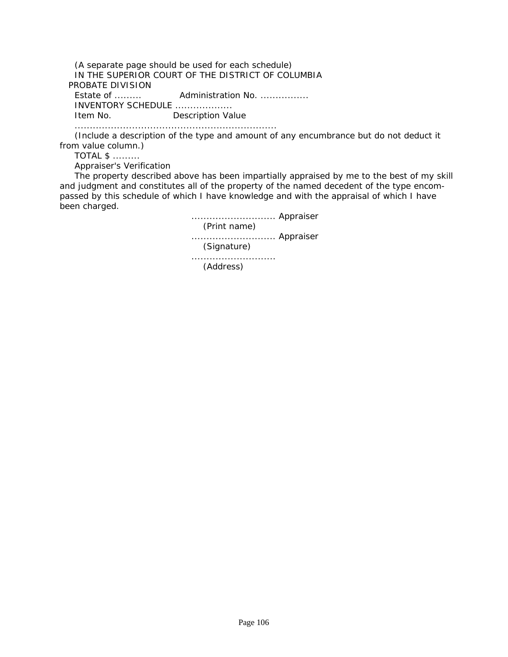(A separate page should be used for each schedule) IN THE SUPERIOR COURT OF THE DISTRICT OF COLUMBIA PROBATE DIVISION Estate of ......... Administration No. ................ INVENTORY SCHEDULE ................... Item No. Description Value

...................................................................

(Include a description of the type and amount of any encumbrance but do not deduct it from value column.)

TOTAL \$ .........

Appraiser's Verification

The property described above has been impartially appraised by me to the best of my skill [and judgment and constitutes all of the property of the named decedent of the type encom](#page-3-0)passed by this schedule of which I have knowledge and with the appraisal of which I have been charged.

> ............................ Appraiser (Print name) ............................ Appraiser (Signature) ............................ (Address)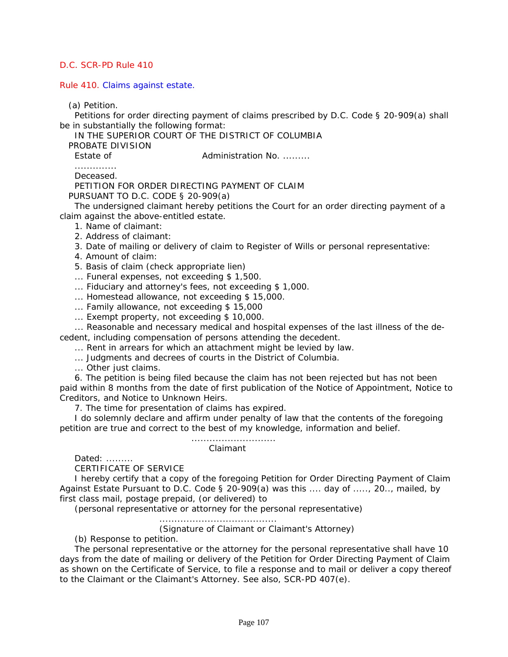Rule 410. Claims against estate.

(a) Petition.

Petitions for order directing payment of claims prescribed by *D.C. Code § 20-909(a)* shall be in substantially the following format:

IN THE SUPERIOR COURT OF THE DISTRICT OF COLUMBIA

PROBATE DIVISION

Estate of **Administration No. ........** 

.............. Deceased.

PETITION FOR ORDER DIRECTING PAYMENT OF CLAIM

PURSUANT TO *D.C. CODE § 20-909(a)*

The undersigned claimant hereby petitions the Court for an order directing payment of a claim against the above-entitled estate.

1. Name of claimant:

2. Address of claimant:

3. Date of mailing or delivery of claim to Register of Wills or personal representative:

4. Amount of claim:

5. Basis of claim (check appropriate lien)

... Funeral expenses, not exceeding \$ 1,500.

... Fiduciary and attorney's fees, not exceeding \$ 1,000.

... Homestead allowance, not exceeding \$ 15,000.

... Family allowance, not exceeding \$ 15,000

... Exempt property, not exceeding \$ 10,000.

... Reasonable and necessary medical and hospital expenses of the last illness of the decedent, including compensation of persons attending the decedent.

... Rent in arrears for which an attachment might be levied by law.

... Judgments and decrees of courts in the District of Columbia.

... Other just claims.

6. The petition is being filed because the claim has not been rejected but has not been [paid within 8 months from the date of first publication of the Notice of Appointment, Notice to](#page-3-0)  Creditors, and Notice to Unknown Heirs.

7. The time for presentation of claims has expired.

I do solemnly declare and affirm under penalty of law that the contents of the foregoing petition are true and correct to the best of my knowledge, information and belief.

> ............................ Claimant

Dated: .........

CERTIFICATE OF SERVICE

I hereby certify that a copy of the foregoing Petition for Order Directing Payment of Claim Against Estate Pursuant to *D.C. Code § 20-909(a)* was this .... day of ....., 20.., mailed, by first class mail, postage prepaid, (or delivered) to

(personal representative or attorney for the personal representative)

.......................................

(Signature of Claimant or Claimant's Attorney)

(b) Response to petition.

The personal representative or the attorney for the personal representative shall have 10 days from the date of mailing or delivery of the Petition for Order Directing Payment of Claim as shown on the Certificate of Service, to file a response and to mail or deliver a copy thereof to the Claimant or the Claimant's Attorney. See also, SCR-PD 407(e).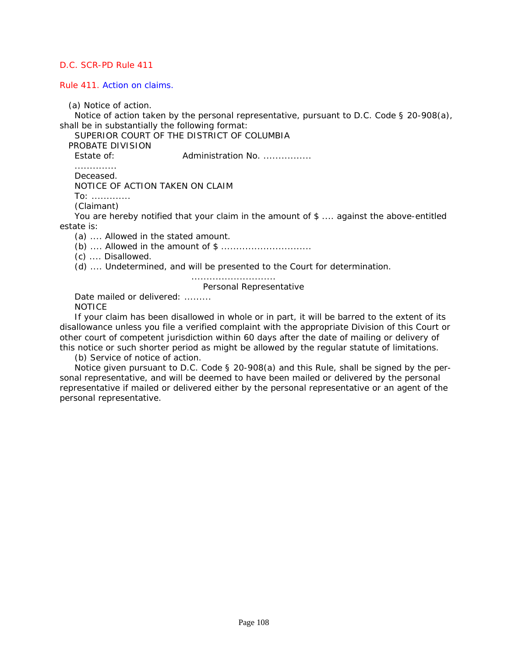Rule 411. Action on claims.

(a) Notice of action.

Notice of action taken by the personal representative, pursuant to *D.C. Code § 20-908(a)*, shall be in substantially the following format:

SUPERIOR COURT OF THE DISTRICT OF COLUMBIA

PROBATE DIVISION

Estate of: **Administration No. ...............** 

..............

Deceased. NOTICE OF ACTION TAKEN ON CLAIM To: ............. (Claimant)

You are hereby notified that your claim in the amount of \$ .... against the above-entitled estate is:

(a) .... Allowed in the stated amount.

(b) .... Allowed in the amount of \$ ..............................

(c) .... Disallowed.

(d) .... Undetermined, and will be presented to the Court for determination.

............................

Personal Representative

Date mailed or delivered: ......... NOTICE

If your claim has been disallowed in whole or in part, it will be barred to the extent of its [disallowance unless you file a verified complaint with the appropriate Division of this Court or](#page-3-0)  other court of competent jurisdiction within 60 days after the date of mailing or delivery of this notice or such shorter period as might be allowed by the regular statute of limitations.

(b) Service of notice of action.

Notice given pursuant to *D.C. Code § 20-908(a)* and this Rule, shall be signed by the personal representative, and will be deemed to have been mailed or delivered by the personal representative if mailed or delivered either by the personal representative or an agent of the personal representative.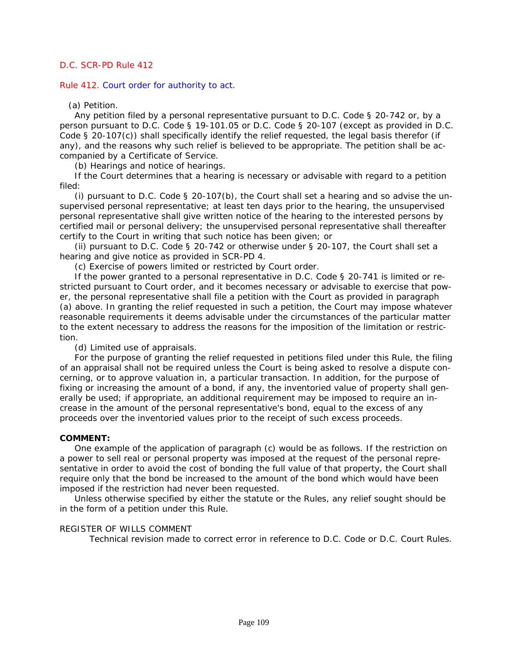Rule 412. Court order for authority to act.

#### (a) Petition.

Any petition filed by a personal representative pursuant to *D.C. Code § 20-742* or, by a person pursuant to D.C. Code *§ 19-101.05* or *D.C. Code § 20-107* (except as provided in *D.C. Code § 20-107(c)*) shall specifically identify the relief requested, the legal basis therefor (if any), and the reasons why such relief is believed to be appropriate. The petition shall be accompanied by a Certificate of Service.

(b) Hearings and notice of hearings.

If the Court determines that a hearing is necessary or advisable with regard to a petition filed:

(i) pursuant to *D.C. Code § 20-107(b)*, the Court shall set a hearing and so advise the unsupervised personal representative; at least ten days prior to the hearing, the unsupervised personal representative shall give written notice of the hearing to the interested persons by certified mail or personal delivery; the unsupervised personal representative shall thereafter certify to the Court in writing that such notice has been given; or

(ii) pursuant to *D.C. Code § 20-742* or otherwise under *§ 20-107*, the Court shall set a hearing and give notice as provided in SCR-PD 4.

(c) Exercise of powers limited or restricted by Court order.

If the power granted to a personal representative in *D.C. Code § 20-741* is limited or restricted pursuant to Court order, and it becomes necessary or advisable to exercise that power, the personal representative shall file a petition with the Court as provided in paragraph [\(a\) above. In granting the relief requested in such a petition, the Court may impose whatever](#page-3-0)  reasonable requirements it deems advisable under the circumstances of the particular matter to the extent necessary to address the reasons for the imposition of the limitation or restriction.

(d) Limited use of appraisals.

For the purpose of granting the relief requested in petitions filed under this Rule, the filing of an appraisal shall not be required unless the Court is being asked to resolve a dispute concerning, or to approve valuation in, a particular transaction. In addition, for the purpose of fixing or increasing the amount of a bond, if any, the inventoried value of property shall generally be used; if appropriate, an additional requirement may be imposed to require an increase in the amount of the personal representative's bond, equal to the excess of any proceeds over the inventoried values prior to the receipt of such excess proceeds.

#### **COMMENT:**

One example of the application of paragraph (c) would be as follows. If the restriction on a power to sell real or personal property was imposed at the request of the personal representative in order to avoid the cost of bonding the full value of that property, the Court shall require only that the bond be increased to the amount of the bond which would have been imposed if the restriction had never been requested.

Unless otherwise specified by either the statute or the Rules, any relief sought should be in the form of a petition under this Rule.

#### REGISTER OF WILLS COMMENT

Technical revision made to correct error in reference to D.C. Code or D.C. Court Rules.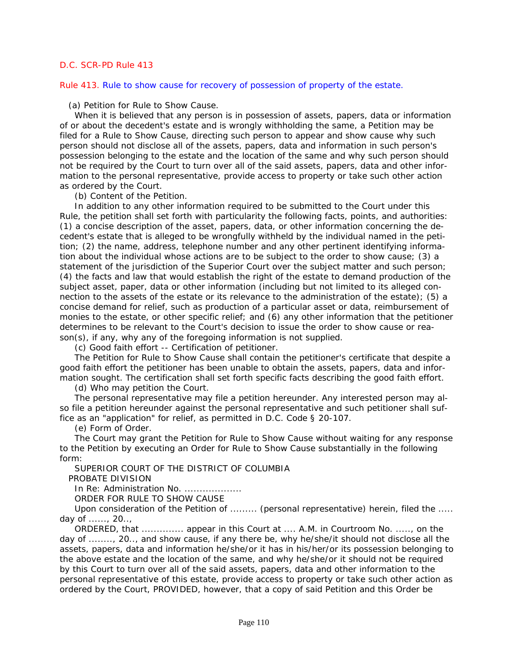Rule 413. Rule to show cause for recovery of possession of property of the estate.

(a) Petition for Rule to Show Cause.

When it is believed that any person is in possession of assets, papers, data or information of or about the decedent's estate and is wrongly withholding the same, a Petition may be filed for a Rule to Show Cause, directing such person to appear and show cause why such person should not disclose all of the assets, papers, data and information in such person's possession belonging to the estate and the location of the same and why such person should not be required by the Court to turn over all of the said assets, papers, data and other information to the personal representative, provide access to property or take such other action as ordered by the Court.

(b) Content of the Petition.

In addition to any other information required to be submitted to the Court under this Rule, the petition shall set forth with particularity the following facts, points, and authorities: (1) a concise description of the asset, papers, data, or other information concerning the decedent's estate that is alleged to be wrongfully withheld by the individual named in the petition; (2) the name, address, telephone number and any other pertinent identifying information about the individual whose actions are to be subject to the order to show cause; (3) a statement of the jurisdiction of the Superior Court over the subject matter and such person; (4) the facts and law that would establish the right of the estate to demand production of the subject asset, paper, data or other information (including but not limited to its alleged connection to the assets of the estate or its relevance to the administration of the estate); (5) a concise demand for relief, such as production of a particular asset or data, reimbursement of monies to the estate, or other specific relief; and (6) any other information that the petitioner determines to be relevant to the Court's decision to issue the order to show cause or reason(s), if any, why any of the foregoing information is not supplied.

(c) Good faith effort -- Certification of petitioner.

The Petition for Rule to Show Cause shall contain the petitioner's certificate that despite a good faith effort the petitioner has been unable to obtain the assets, papers, data and information sought. The certification shall set forth specific facts describing the good faith effort.

(d) Who may petition the Court.

The personal representative may file a petition hereunder. Any interested person may also file a petition hereunder against the personal representative and such petitioner shall suffice as an "application" for relief, as permitted in *D.C. Code § 20-107*.

(e) Form of Order.

The Court may grant the Petition for Rule to Show Cause without waiting for any response to the Petition by executing an Order for Rule to Show Cause substantially in the following form:

SUPERIOR COURT OF THE DISTRICT OF COLUMBIA

PROBATE DIVISION

In Re: Administration No. ..................

ORDER FOR RULE TO SHOW CAUSE

Upon consideration of the Petition of ......... (personal representative) herein, filed the ..... day of ......, 20..,

ORDERED, that .............. appear in this Court at .... A.M. in Courtroom No. ....., on the day of ........, 20.., and show cause, if any there be, why he/she/it should not disclose all the [assets, papers, data and information he/she/or it has in his/her/or its possession belonging to](#page-3-0)  the above estate and the location of the same, and why he/she/or it should not be required by this Court to turn over all of the said assets, papers, data and other information to the personal representative of this estate, provide access to property or take such other action as ordered by the Court, PROVIDED, however, that a copy of said Petition and this Order be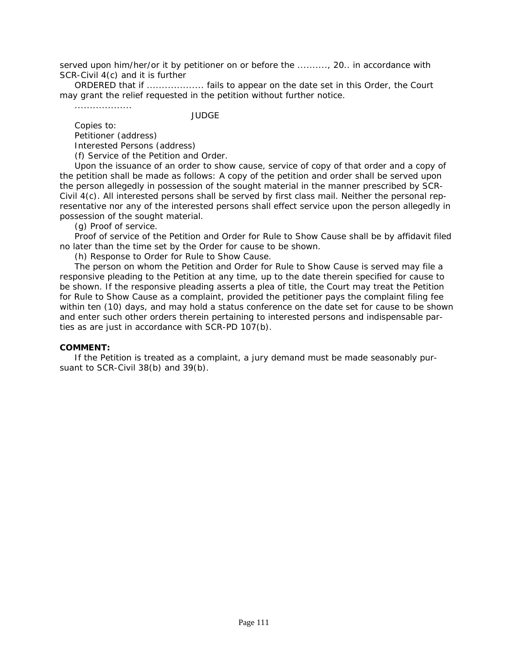served upon him/her/or it by petitioner on or before the .........., 20.. in accordance with SCR-Civil 4(c) and it is further

ORDERED that if ................... fails to appear on the date set in this Order, the Court may grant the relief requested in the petition without further notice.

...................

JUDGE

Copies to: Petitioner (address) Interested Persons (address)

(f) Service of the Petition and Order.

Upon the issuance of an order to show cause, service of copy of that order and a copy of the petition shall be made as follows: A copy of the petition and order shall be served upon the person allegedly in possession of the sought material in the manner prescribed by SCR-Civil 4(c). All interested persons shall be served by first class mail. Neither the personal representative nor any of the interested persons shall effect service upon the person allegedly in possession of the sought material.

(g) Proof of service.

Proof of service of the Petition and Order for Rule to Show Cause shall be by affidavit filed no later than the time set by the Order for cause to be shown.

(h) Response to Order for Rule to Show Cause.

The person on whom the Petition and Order for Rule to Show Cause is served may file a responsive pleading to the Petition at any time, up to the date therein specified for cause to be shown. If the responsive pleading asserts a plea of title, the Court may treat the Petition for Rule to Show Cause as a complaint, provided the petitioner pays the complaint filing fee [within ten \(10\) days, and may hold a status conference on the date set for cause to be shown](#page-3-0)  and enter such other orders therein pertaining to interested persons and indispensable parties as are just in accordance with SCR-PD 107(b).

#### **COMMENT:**

If the Petition is treated as a complaint, a jury demand must be made seasonably pursuant to SCR-Civil 38(b) and 39(b).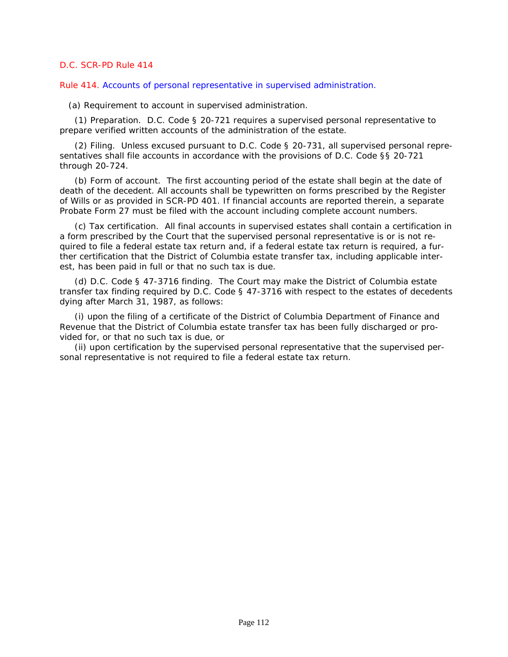Rule 414. Accounts of personal representative in supervised administration.

(a) Requirement to account in supervised administration.

(1) Preparation. *D.C. Code § 20-721* requires a supervised personal representative to prepare verified written accounts of the administration of the estate.

(2) Filing. Unless excused pursuant to *D.C. Code § 20-731*, all supervised personal representatives shall file accounts in accordance with the provisions of *D.C. Code §§ 20-721 through 20-724*.

(b) Form of account. The first accounting period of the estate shall begin at the date of [death of the decedent. All accounts shall be typewritten on forms prescribed by the Register](#page-3-0)  of Wills or as provided in SCR-PD 401. If financial accounts are reported therein, a separate Probate Form 27 must be filed with the account including complete account numbers.

(c) Tax certification. All final accounts in supervised estates shall contain a certification in a form prescribed by the Court that the supervised personal representative is or is not required to file a federal estate tax return and, if a federal estate tax return is required, a further certification that the District of Columbia estate transfer tax, including applicable interest, has been paid in full or that no such tax is due.

(d) *D.C. Code § 47-3716* finding. The Court may make the District of Columbia estate transfer tax finding required by *D.C. Code § 47-3716* with respect to the estates of decedents dying after March 31, 1987, as follows:

(i) upon the filing of a certificate of the District of Columbia Department of Finance and Revenue that the District of Columbia estate transfer tax has been fully discharged or provided for, or that no such tax is due, or

(ii) upon certification by the supervised personal representative that the supervised personal representative is not required to file a federal estate tax return.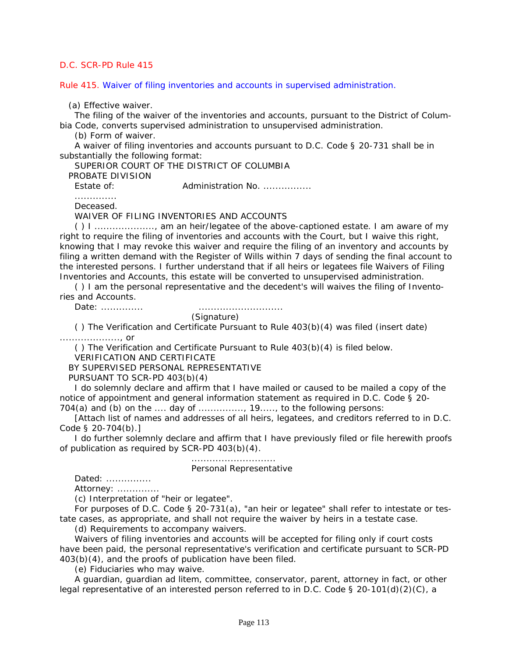Rule 415. Waiver of filing inventories and accounts in supervised administration.

(a) Effective waiver.

The filing of the waiver of the inventories and accounts, pursuant to the District of Columbia Code, converts supervised administration to unsupervised administration.

(b) Form of waiver.

A waiver of filing inventories and accounts pursuant to *D.C. Code § 20-731* shall be in substantially the following format:

SUPERIOR COURT OF THE DISTRICT OF COLUMBIA

PROBATE DIVISION

Estate of: **Administration No. ...............** 

..............

Deceased.

WAIVER OF FILING INVENTORIES AND ACCOUNTS

( ) I ...................., am an heir/legatee of the above-captioned estate. I am aware of my right to require the filing of inventories and accounts with the Court, but I waive this right, knowing that I may revoke this waiver and require the filing of an inventory and accounts by [filing a written demand with the Register of Wills within 7 days of sending the final account to](#page-3-0)  the interested persons. I further understand that if all heirs or legatees file Waivers of Filing Inventories and Accounts, this estate will be converted to unsupervised administration.

( ) I am the personal representative and the decedent's will waives the filing of Inventories and Accounts.

Date: .............. ............................

(Signature)

( ) The Verification and Certificate Pursuant to Rule 403(b)(4) was filed (insert date)

...................., or

( ) The Verification and Certificate Pursuant to Rule 403(b)(4) is filed below.

VERIFICATION AND CERTIFICATE

BY SUPERVISED PERSONAL REPRESENTATIVE

PURSUANT TO SCR-PD 403(b)(4)

I do solemnly declare and affirm that I have mailed or caused to be mailed a copy of the notice of appointment and general information statement as required in *D.C. Code § 20-*

*704(a)* and (b) on the .... day of ..............., 19....., to the following persons:

[Attach list of names and addresses of all heirs, legatees, and creditors referred to in *D.C. Code § 20-704(b)*.]

I do further solemnly declare and affirm that I have previously filed or file herewith proofs of publication as required by SCR-PD 403(b)(4).

............................

Personal Representative

Dated: ...............

Attorney: ...............

(c) Interpretation of "heir or legatee".

For purposes of *D.C. Code § 20-731(a)*, "an heir or legatee" shall refer to intestate or testate cases, as appropriate, and shall not require the waiver by heirs in a testate case.

(d) Requirements to accompany waivers.

Waivers of filing inventories and accounts will be accepted for filing only if court costs have been paid, the personal representative's verification and certificate pursuant to SCR-PD 403(b)(4), and the proofs of publication have been filed.

(e) Fiduciaries who may waive.

A guardian, guardian ad litem, committee, conservator, parent, attorney in fact, or other legal representative of an interested person referred to in *D.C. Code § 20-101(d)(2)(C)*, a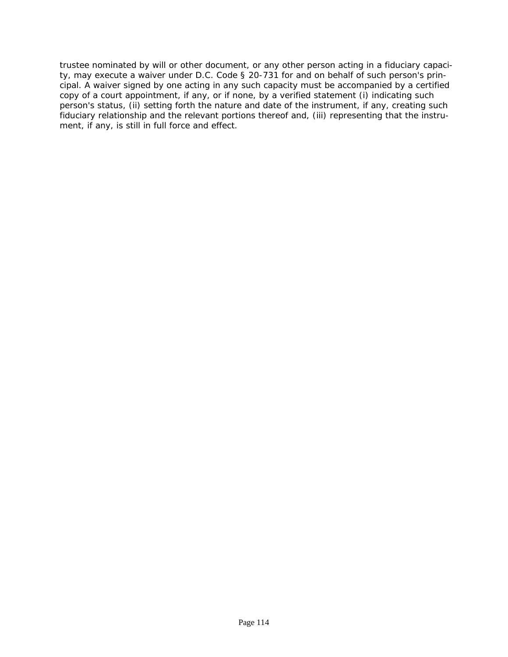[trustee nominated by will or other document, or any other person acting in a fiduciary capaci](#page-3-0)ty, may execute a waiver under *D.C. Code § 20-731* for and on behalf of such person's principal. A waiver signed by one acting in any such capacity must be accompanied by a certified copy of a court appointment, if any, or if none, by a verified statement (i) indicating such person's status, (ii) setting forth the nature and date of the instrument, if any, creating such fiduciary relationship and the relevant portions thereof and, (iii) representing that the instrument, if any, is still in full force and effect.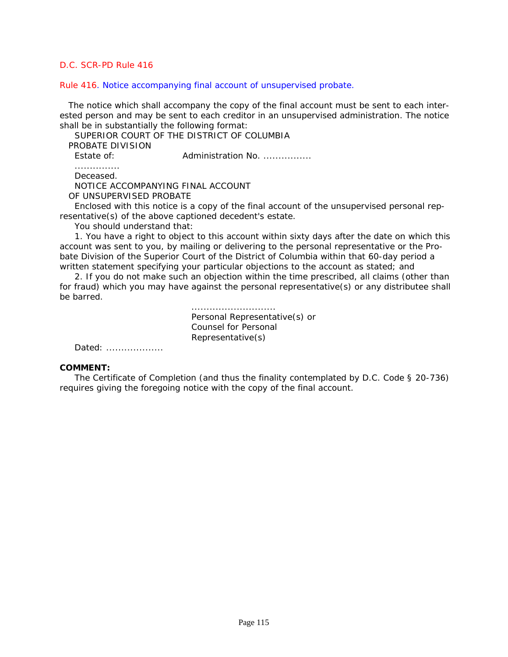#### Rule 416. Notice accompanying final account of unsupervised probate.

 The notice which shall accompany the copy of the final account must be sent to each interested person and may be sent to each creditor in an unsupervised administration. The notice shall be in substantially the following format:

SUPERIOR COURT OF THE DISTRICT OF COLUMBIA

PROBATE DIVISION

Estate of: **Administration No. ...............** 

............... Deceased.

NOTICE ACCOMPANYING FINAL ACCOUNT

OF UNSUPERVISED PROBATE

Enclosed with this notice is a copy of the final account of the unsupervised personal representative(s) of the above captioned decedent's estate.

You should understand that:

1. You have a right to object to this account within sixty days after the date on which this account was sent to you, by mailing or delivering to the personal representative or the Probate Division of the Superior Court of the District of Columbia within that 60-day period a written statement specifying your particular objections to the account as stated; and

2. If you do not make such an objection within the time prescribed, all claims (other than [for fraud\) which you may have against the personal representative\(s\) or any distributee shall](#page-3-0)  be barred.

> ............................ Personal Representative(s) or Counsel for Personal Representative(s)

Dated: ....................

#### **COMMENT:**

The Certificate of Completion (and thus the finality contemplated by *D.C. Code § 20-736*) requires giving the foregoing notice with the copy of the final account.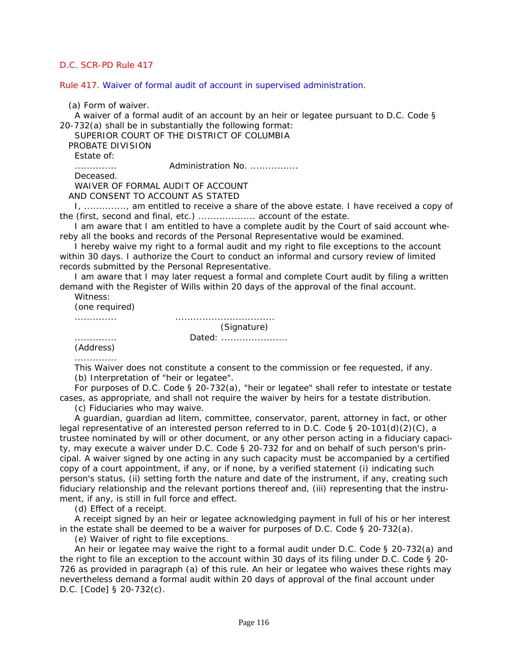Rule 417. Waiver of formal audit of account in supervised administration.

(a) Form of waiver.

A waiver of a formal audit of an account by an heir or legatee pursuant to *D.C. Code § 20-732(a)* shall be in substantially the following format:

SUPERIOR COURT OF THE DISTRICT OF COLUMBIA

PROBATE DIVISION

Estate of:

.............. Administration No. ................

Deceased.

WAIVER OF FORMAL AUDIT OF ACCOUNT

AND CONSENT TO ACCOUNT AS STATED

I, .............., am entitled to receive a share of the above estate. I have received a copy of the (first, second and final, etc.) ................... account of the estate.

I am aware that I am entitled to have a complete audit by the Court of said account whereby all the books and records of the Personal Representative would be examined.

I hereby waive my right to a formal audit and my right to file exceptions to the account within 30 days. I authorize the Court to conduct an informal and cursory review of limited records submitted by the Personal Representative.

I am aware that I may later request a formal and complete Court audit by filing a written demand with the Register of Wills within 20 days of the approval of the final account.

Witness:

(one required)

.............. ................................. (Signature) .............. Dated: ......................

(Address)

..............

This Waiver does not constitute a consent to the commission or fee requested, if any. (b) Interpretation of "heir or legatee".

For purposes of *D.C. Code § 20-732(a)*, "heir or legatee" shall refer to intestate or testate cases, as appropriate, and shall not require the waiver by heirs for a testate distribution.

(c) Fiduciaries who may waive.

A guardian, guardian ad litem, committee, conservator, parent, attorney in fact, or other legal representative of an interested person referred to in *D.C. Code § 20-101(d)(2)(C)*, a [trustee nominated by will or other document, or any other person acting in a fiduciary capaci](#page-3-0)ty, may execute a waiver under *D.C. Code § 20-732* for and on behalf of such person's principal. A waiver signed by one acting in any such capacity must be accompanied by a certified copy of a court appointment, if any, or if none, by a verified statement (i) indicating such person's status, (ii) setting forth the nature and date of the instrument, if any, creating such fiduciary relationship and the relevant portions thereof and, (iii) representing that the instrument, if any, is still in full force and effect.

(d) Effect of a receipt.

A receipt signed by an heir or legatee acknowledging payment in full of his or her interest in the estate shall be deemed to be a waiver for purposes of *D.C. Code § 20-732(a)*.

(e) Waiver of right to file exceptions.

An heir or legatee may waive the right to a formal audit under *D.C. Code § 20-732(a)* and the right to file an exception to the account within 30 days of its filing under *D.C. Code § 20- 726* as provided in paragraph (a) of this rule. An heir or legatee who waives these rights may nevertheless demand a formal audit within 20 days of approval of the final account under *D.C. [Code] § 20-732(c)*.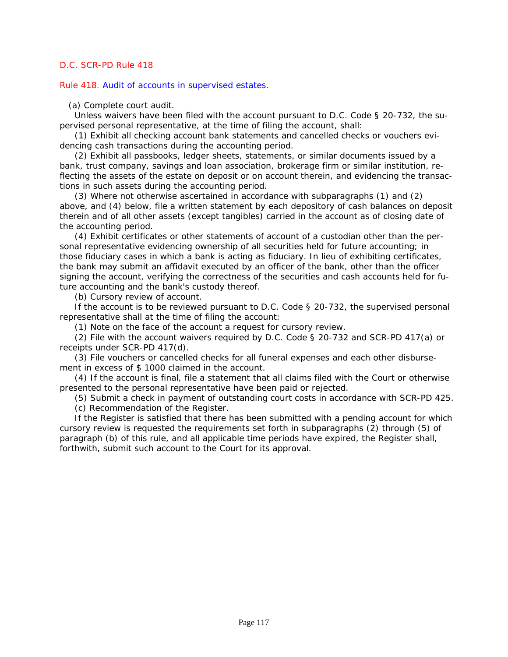Rule 418. Audit of accounts in supervised estates.

(a) Complete court audit.

Unless waivers have been filed with the account pursuant to *D.C. Code § 20-732*, the supervised personal representative, at the time of filing the account, shall:

(1) Exhibit all checking account bank statements and cancelled checks or vouchers evidencing cash transactions during the accounting period.

(2) Exhibit all passbooks, ledger sheets, statements, or similar documents issued by a bank, trust company, savings and loan association, brokerage firm or similar institution, reflecting the assets of the estate on deposit or on account therein, and evidencing the transactions in such assets during the accounting period.

(3) Where not otherwise ascertained in accordance with subparagraphs (1) and (2) [above, and \(4\) below, file a written statement by each depository of cash balances on deposit](#page-3-0)  therein and of all other assets (except tangibles) carried in the account as of closing date of the accounting period.

(4) Exhibit certificates or other statements of account of a custodian other than the personal representative evidencing ownership of all securities held for future accounting; in those fiduciary cases in which a bank is acting as fiduciary. In lieu of exhibiting certificates, the bank may submit an affidavit executed by an officer of the bank, other than the officer signing the account, verifying the correctness of the securities and cash accounts held for future accounting and the bank's custody thereof.

(b) Cursory review of account.

If the account is to be reviewed pursuant to *D.C. Code § 20-732*, the supervised personal representative shall at the time of filing the account:

(1) Note on the face of the account a request for cursory review.

(2) File with the account waivers required by *D.C. Code § 20-732* and SCR-PD 417(a) or receipts under SCR-PD 417(d).

(3) File vouchers or cancelled checks for all funeral expenses and each other disbursement in excess of \$ 1000 claimed in the account.

(4) If the account is final, file a statement that all claims filed with the Court or otherwise presented to the personal representative have been paid or rejected.

(5) Submit a check in payment of outstanding court costs in accordance with SCR-PD 425.

(c) Recommendation of the Register.

If the Register is satisfied that there has been submitted with a pending account for which cursory review is requested the requirements set forth in subparagraphs (2) through (5) of paragraph (b) of this rule, and all applicable time periods have expired, the Register shall, forthwith, submit such account to the Court for its approval.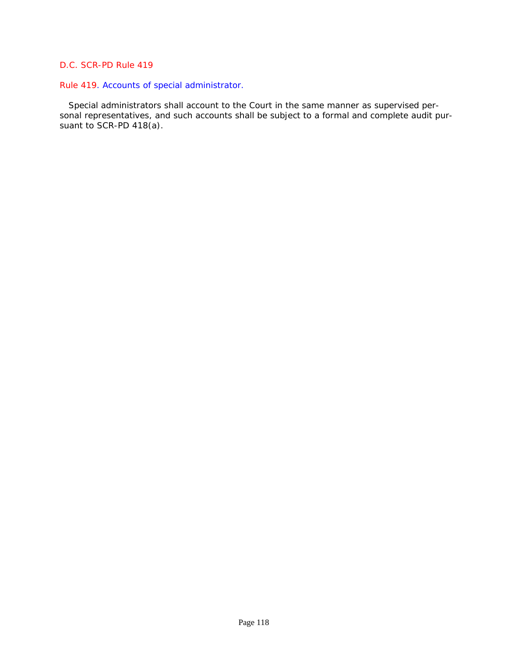# Rule 419. Accounts of special administrator.

 Special administrators shall account to the Court in the same manner as supervised per[sonal representatives, and such accounts shall be subject to a formal and complete audit pur](#page-3-0)suant to SCR-PD 418(a).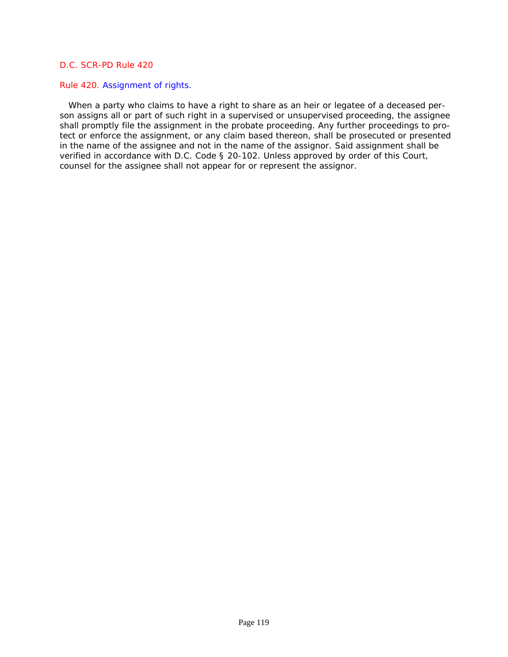#### Rule 420. Assignment of rights.

 When a party who claims to have a right to share as an heir or legatee of a deceased person assigns all or part of such right in a supervised or unsupervised proceeding, the assignee shall promptly file the assignment in the probate proceeding. Any further proceedings to pro[tect or enforce the assignment, or any claim based thereon, shall be prosecuted or presented](#page-3-0)  in the name of the assignee and not in the name of the assignor. Said assignment shall be verified in accordance with *D.C. Code § 20-102*. Unless approved by order of this Court, counsel for the assignee shall not appear for or represent the assignor.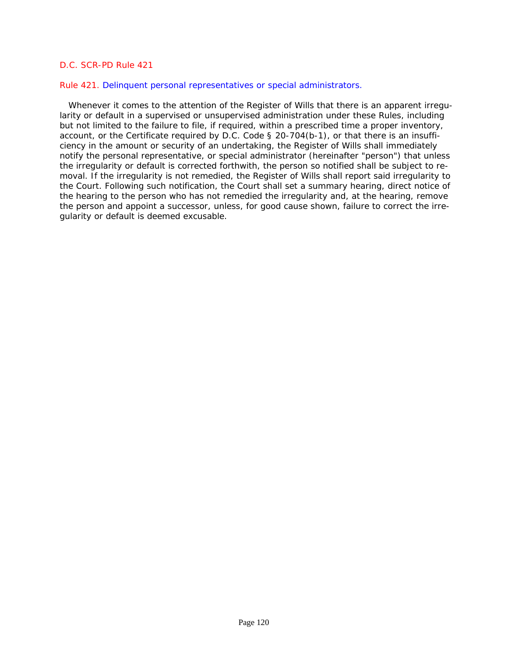#### Rule 421. Delinquent personal representatives or special administrators.

 Whenever it comes to the attention of the Register of Wills that there is an apparent irregularity or default in a supervised or unsupervised administration under these Rules, including but not limited to the failure to file, if required, within a prescribed time a proper inventory, account, or the Certificate required by *D.C. Code § 20-704(b-1)*, or that there is an insufficiency in the amount or security of an undertaking, the Register of Wills shall immediately notify the personal representative, or special administrator (hereinafter "person") that unless the irregularity or default is corrected forthwith, the person so notified shall be subject to re[moval. If the irregularity is not remedied, the Register of Wills shall report said irregularity to](#page-3-0)  the Court. Following such notification, the Court shall set a summary hearing, direct notice of the hearing to the person who has not remedied the irregularity and, at the hearing, remove the person and appoint a successor, unless, for good cause shown, failure to correct the irregularity or default is deemed excusable.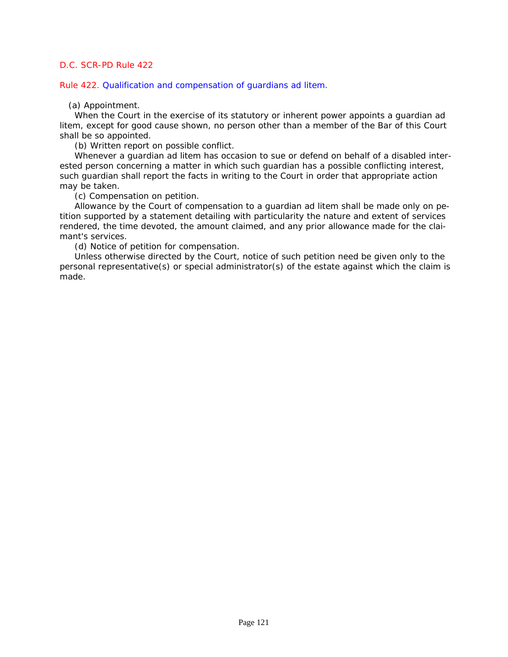Rule 422. Qualification and compensation of guardians ad litem.

(a) Appointment.

When the Court in the exercise of its statutory or inherent power appoints a guardian ad litem, except for good cause shown, no person other than a member of the Bar of this Court shall be so appointed.

(b) Written report on possible conflict.

Whenever a guardian ad litem has occasion to sue or defend on behalf of a disabled interested person concerning a matter in which such guardian has a possible conflicting interest, such guardian shall report the facts in writing to the Court in order that appropriate action may be taken.

(c) Compensation on petition.

Allowance by the Court of compensation to a guardian ad litem shall be made only on petition supported by a statement detailing with particularity the nature and extent of services rendered, the time devoted, the amount claimed, and any prior allowance made for the claimant's services.

(d) Notice of petition for compensation.

Unless otherwise directed by the Court, notice of such petition need be given only to the [personal representative\(s\) or special administrator\(s\) of the estate against which the claim is](#page-3-0)  made.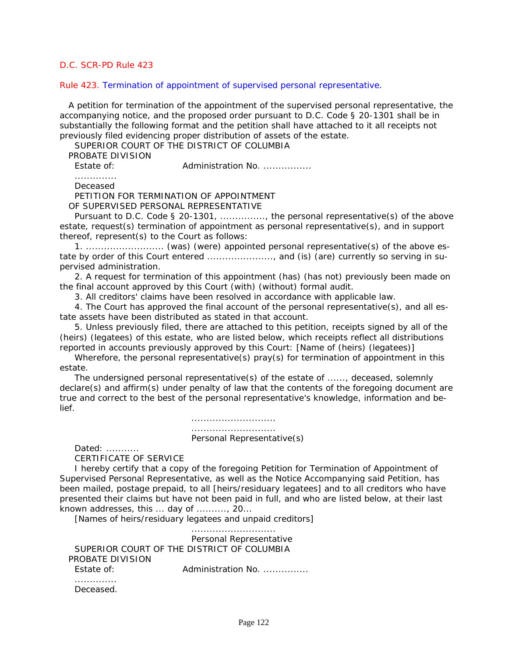#### Rule 423. Termination of appointment of supervised personal representative.

 [A petition for termination of the appointment of the supervised personal representative, the](#page-3-0)  accompanying notice, and the proposed order pursuant to *D.C. Code § 20-1301* shall be in substantially the following format and the petition shall have attached to it all receipts not previously filed evidencing proper distribution of assets of the estate.

SUPERIOR COURT OF THE DISTRICT OF COLUMBIA

PROBATE DIVISION

Estate of: **Administration No. ...............** 

.............. Deceased

PETITION FOR TERMINATION OF APPOINTMENT

OF SUPERVISED PERSONAL REPRESENTATIVE

Pursuant to *D.C. Code § 20-1301*, ..............., the personal representative(s) of the above estate, request(s) termination of appointment as personal representative(s), and in support thereof, represent(s) to the Court as follows:

1. .......................... (was) (were) appointed personal representative(s) of the above estate by order of this Court entered ......................, and (is) (are) currently so serving in supervised administration.

2. A request for termination of this appointment (has) (has not) previously been made on the final account approved by this Court (with) (without) formal audit.

3. All creditors' claims have been resolved in accordance with applicable law.

4. The Court has approved the final account of the personal representative(s), and all estate assets have been distributed as stated in that account.

5. Unless previously filed, there are attached to this petition, receipts signed by all of the (heirs) (legatees) of this estate, who are listed below, which receipts reflect all distributions reported in accounts previously approved by this Court: [Name of (heirs) (legatees)]

Wherefore, the personal representative(s) pray(s) for termination of appointment in this estate.

The undersigned personal representative(s) of the estate of ......, deceased, solemnly declare(s) and affirm(s) under penalty of law that the contents of the foregoing document are true and correct to the best of the personal representative's knowledge, information and belief.

> ............................ ............................ Personal Representative(s)

Dated: ...........

CERTIFICATE OF SERVICE

I hereby certify that a copy of the foregoing Petition for Termination of Appointment of Supervised Personal Representative, as well as the Notice Accompanying said Petition, has been mailed, postage prepaid, to all [heirs/residuary legatees] and to all creditors who have presented their claims but have not been paid in full, and who are listed below, at their last known addresses, this ... day of .........., 20...

[Names of heirs/residuary legatees and unpaid creditors]

 ............................ Personal Representative SUPERIOR COURT OF THE DISTRICT OF COLUMBIA PROBATE DIVISION Estate of: **Administration No. ..............** .............. Deceased.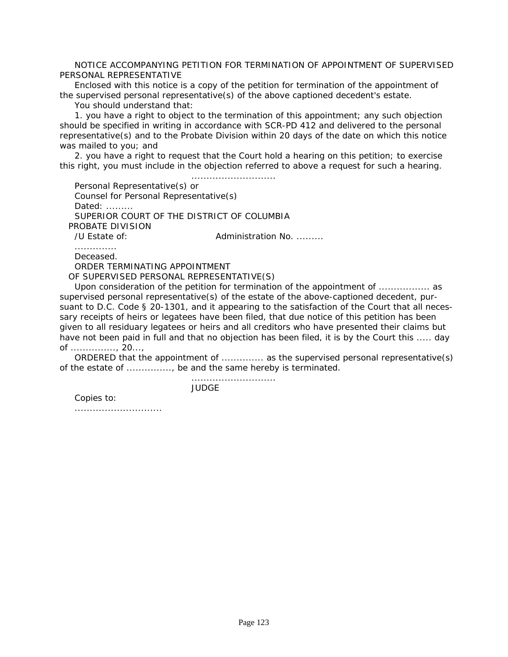NOTICE ACCOMPANYING PETITION FOR TERMINATION OF APPOINTMENT OF SUPERVISED PERSONAL REPRESENTATIVE

Enclosed with this notice is a copy of the petition for termination of the appointment of the supervised personal representative(s) of the above captioned decedent's estate.

You should understand that:

1. you have a right to object to the termination of this appointment; any such objection should be specified in writing in accordance with SCR-PD 412 and delivered to the personal representative(s) and to the Probate Division within 20 days of the date on which this notice was mailed to you; and

2. you have a right to request that the Court hold a hearing on this petition; to exercise this right, you must include in the objection referred to above a request for such a hearing.

 ............................ Personal Representative(s) or Counsel for Personal Representative(s) Dated: ......... SUPERIOR COURT OF THE DISTRICT OF COLUMBIA PROBATE DIVISION /U Estate of: The Communistration No. ......... ..............

Deceased.

ORDER TERMINATING APPOINTMENT

OF SUPERVISED PERSONAL REPRESENTATIVE(S)

Upon consideration of the petition for termination of the appointment of ................. as supervised personal representative(s) of the estate of the above-captioned decedent, pursuant to *D.C. Code § 20-1301*, and it appearing to the satisfaction of the Court that all necessary receipts of heirs or legatees have been filed, that due notice of this petition has been given to all residuary legatees or heirs and all creditors who have presented their claims but have not been paid in full and that no objection has been filed, it is by the Court this ..... day of ..............., 20...,

ORDERED that the appointment of .............. as the supervised personal representative(s) of the estate of ..............., be and the same hereby is terminated.

............................

JUDGE

Copies to:

.............................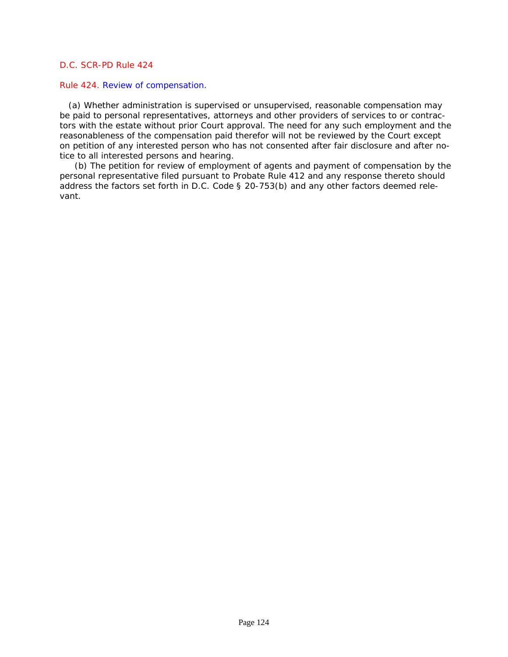#### Rule 424. Review of compensation.

 (a) Whether administration is supervised or unsupervised, reasonable compensation may be paid to personal representatives, attorneys and other providers of services to or contrac[tors with the estate without prior Court approval. The need for any such employment and the](#page-3-0)  reasonableness of the compensation paid therefor will not be reviewed by the Court except on petition of any interested person who has not consented after fair disclosure and after notice to all interested persons and hearing.

(b) The petition for review of employment of agents and payment of compensation by the personal representative filed pursuant to Probate Rule 412 and any response thereto should address the factors set forth in *D.C. Code § 20-753(b)* and any other factors deemed relevant.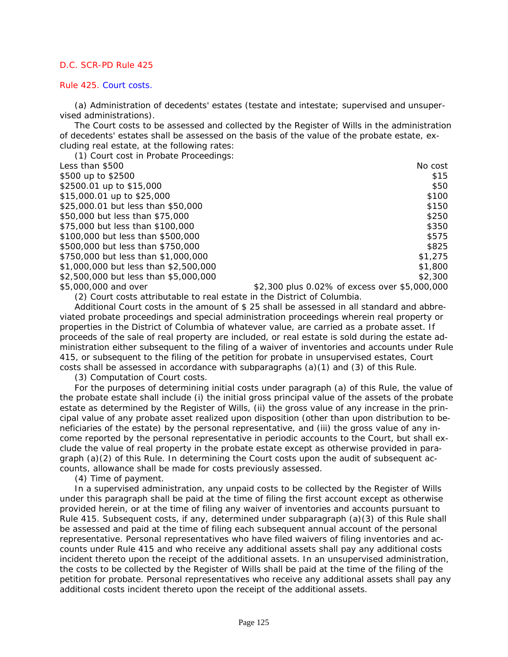#### Rule 425. Court costs.

(a) Administration of decedents' estates (testate and intestate; supervised and unsupervised administrations).

The Court costs to be assessed and collected by the Register of Wills in the administration of decedents' estates shall be assessed on the basis of the value of the probate estate, excluding real estate, at the following rates:

| (1) Court cost in Probate Proceedings: |                                               |
|----------------------------------------|-----------------------------------------------|
| Less than \$500                        | No cost                                       |
| \$500 up to \$2500                     | \$15                                          |
| \$2500.01 up to \$15,000               | \$50                                          |
| \$15,000.01 up to \$25,000             | \$100                                         |
| \$25,000.01 but less than \$50,000     | \$150                                         |
| \$50,000 but less than \$75,000        | \$250                                         |
| \$75,000 but less than \$100,000       | \$350                                         |
| \$100,000 but less than \$500,000      | \$575                                         |
| \$500,000 but less than \$750,000      | \$825                                         |
| \$750,000 but less than \$1,000,000    | \$1,275                                       |
| \$1,000,000 but less than \$2,500,000  | \$1,800                                       |
| \$2,500,000 but less than \$5,000,000  | \$2,300                                       |
| \$5,000,000 and over                   | \$2,300 plus 0.02% of excess over \$5,000,000 |

(2) Court costs attributable to real estate in the District of Columbia.

Additional Court costs in the amount of \$ 25 shall be assessed in all standard and abbreviated probate proceedings and special administration proceedings wherein real property or properties in the District of Columbia of whatever value, are carried as a probate asset. If proceeds of the sale of real property are included, or real estate is sold during the estate ad[ministration either subsequent to the filing of a waiver of inventories and accounts under Rule](#page-3-0)  415, or subsequent to the filing of the petition for probate in unsupervised estates, Court costs shall be assessed in accordance with subparagraphs (a)(1) and (3) of this Rule.

(3) Computation of Court costs.

For the purposes of determining initial costs under paragraph (a) of this Rule, the value of the probate estate shall include (i) the initial gross principal value of the assets of the probate estate as determined by the Register of Wills, (ii) the gross value of any increase in the principal value of any probate asset realized upon disposition (other than upon distribution to beneficiaries of the estate) by the personal representative, and (iii) the gross value of any income reported by the personal representative in periodic accounts to the Court, but shall exclude the value of real property in the probate estate except as otherwise provided in paragraph (a)(2) of this Rule. In determining the Court costs upon the audit of subsequent accounts, allowance shall be made for costs previously assessed.

(4) Time of payment.

In a supervised administration, any unpaid costs to be collected by the Register of Wills under this paragraph shall be paid at the time of filing the first account except as otherwise provided herein, or at the time of filing any waiver of inventories and accounts pursuant to Rule 415. Subsequent costs, if any, determined under subparagraph (a)(3) of this Rule shall be assessed and paid at the time of filing each subsequent annual account of the personal representative. Personal representatives who have filed waivers of filing inventories and accounts under Rule 415 and who receive any additional assets shall pay any additional costs incident thereto upon the receipt of the additional assets. In an unsupervised administration, the costs to be collected by the Register of Wills shall be paid at the time of the filing of the petition for probate. Personal representatives who receive any additional assets shall pay any additional costs incident thereto upon the receipt of the additional assets.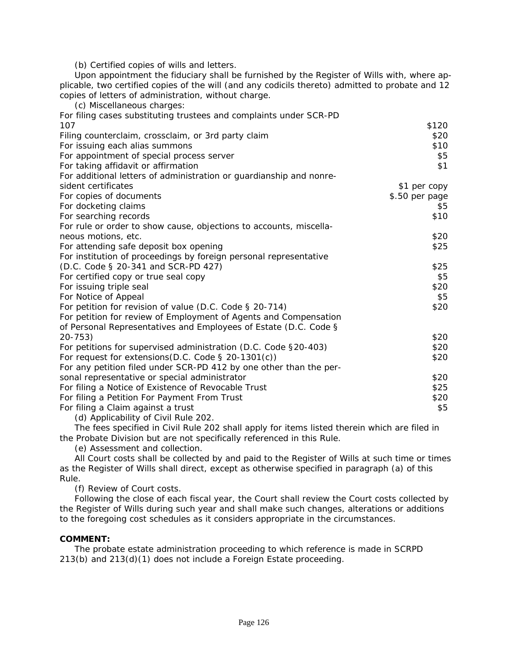(b) Certified copies of wills and letters.

Upon appointment the fiduciary shall be furnished by the Register of Wills with, where ap[plicable, two certified copies of the will \(and any codicils thereto\) admitted to probate and 12](#page-3-0)  copies of letters of administration, without charge.

| (c) Miscellaneous charges:                                          |                |
|---------------------------------------------------------------------|----------------|
| For filing cases substituting trustees and complaints under SCR-PD  |                |
| 107                                                                 | \$120          |
| Filing counterclaim, crossclaim, or 3rd party claim                 | \$20           |
| For issuing each alias summons                                      | \$10           |
| For appointment of special process server                           | \$5            |
| For taking affidavit or affirmation                                 | \$1            |
| For additional letters of administration or guardianship and nonre- |                |
| sident certificates                                                 | \$1 per copy   |
| For copies of documents                                             | \$.50 per page |
| For docketing claims                                                | \$5            |
| For searching records                                               | \$10           |
| For rule or order to show cause, objections to accounts, miscella-  |                |
| neous motions, etc.                                                 | \$20           |
| For attending safe deposit box opening                              | \$25           |
| For institution of proceedings by foreign personal representative   |                |
| (D.C. Code § 20-341 and SCR-PD 427)                                 | \$25           |
| For certified copy or true seal copy                                | \$5            |
| For issuing triple seal                                             | \$20           |
| For Notice of Appeal                                                | \$5            |
| For petition for revision of value (D.C. Code § 20-714)             | \$20           |
| For petition for review of Employment of Agents and Compensation    |                |
| of Personal Representatives and Employees of Estate (D.C. Code §    |                |
| $20 - 753$                                                          | \$20           |
| For petitions for supervised administration (D.C. Code §20-403)     | \$20           |
| For request for extensions (D.C. Code $\S$ 20-1301(c))              | \$20           |
| For any petition filed under SCR-PD 412 by one other than the per-  |                |
| sonal representative or special administrator                       | \$20           |
| For filing a Notice of Existence of Revocable Trust                 | \$25           |
| For filing a Petition For Payment From Trust                        | \$20           |
| For filing a Claim against a trust                                  | \$5            |
| (d) Applicability of Civil Rule 202.                                |                |

The fees specified in Civil Rule 202 shall apply for items listed therein which are filed in the Probate Division but are not specifically referenced in this Rule.

(e) Assessment and collection.

All Court costs shall be collected by and paid to the Register of Wills at such time or times as the Register of Wills shall direct, except as otherwise specified in paragraph (a) of this Rule.

(f) Review of Court costs.

Following the close of each fiscal year, the Court shall review the Court costs collected by the Register of Wills during such year and shall make such changes, alterations or additions to the foregoing cost schedules as it considers appropriate in the circumstances.

# **COMMENT:**

The probate estate administration proceeding to which reference is made in SCRPD 213(b) and 213(d)(1) does not include a Foreign Estate proceeding.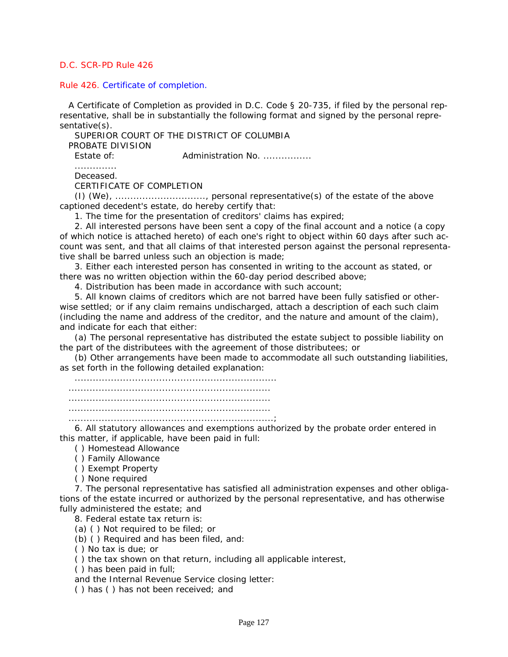Rule 426. Certificate of completion.

 A Certificate of Completion as provided in *D.C. Code § 20-735*, if filed by the personal representative, shall be in substantially the following format and signed by the personal representative(s).

SUPERIOR COURT OF THE DISTRICT OF COLUMBIA

PROBATE DIVISION

Estate of: **Administration No. ...............** 

..............

Deceased.

CERTIFICATE OF COMPLETION

(I) (We), .............................., personal representative(s) of the estate of the above captioned decedent's estate, do hereby certify that:

1. The time for the presentation of creditors' claims has expired;

2. All interested persons have been sent a copy of the final account and a notice (a copy of which notice is attached hereto) of each one's right to object within 60 days after such ac[count was sent, and that all claims of that interested person against the personal representa](#page-3-0)tive shall be barred unless such an objection is made;

3. Either each interested person has consented in writing to the account as stated, or there was no written objection within the 60-day period described above;

4. Distribution has been made in accordance with such account;

5. All known claims of creditors which are not barred have been fully satisfied or otherwise settled; or if any claim remains undischarged, attach a description of each such claim (including the name and address of the creditor, and the nature and amount of the claim), and indicate for each that either:

(a) The personal representative has distributed the estate subject to possible liability on the part of the distributees with the agreement of those distributees; or

(b) Other arrangements have been made to accommodate all such outstanding liabilities, as set forth in the following detailed explanation:

................................................................... ................................................................... ................................................................... ...................................................................

....................................................................;

6. All statutory allowances and exemptions authorized by the probate order entered in this matter, if applicable, have been paid in full:

( ) Homestead Allowance

( ) Family Allowance

( ) Exempt Property

( ) None required

7. The personal representative has satisfied all administration expenses and other obligations of the estate incurred or authorized by the personal representative, and has otherwise fully administered the estate; and

8. Federal estate tax return is:

(a) ( ) Not required to be filed; or

(b) ( ) Required and has been filed, and:

( ) No tax is due; or

( ) the tax shown on that return, including all applicable interest,

( ) has been paid in full;

and the Internal Revenue Service closing letter:

( ) has ( ) has not been received; and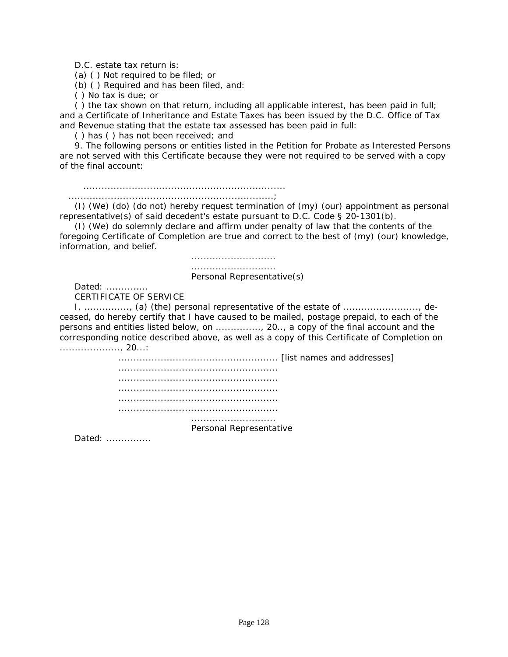D.C. estate tax return is:

(a) ( ) Not required to be filed; or

(b) ( ) Required and has been filed, and:

( ) No tax is due; or

( ) the tax shown on that return, including all applicable interest, has been paid in full; and a Certificate of Inheritance and Estate Taxes has been issued by the D.C. Office of Tax and Revenue stating that the estate tax assessed has been paid in full:

( ) has ( ) has not been received; and

9. The following persons or entities listed in the Petition for Probate as Interested Persons are not served with this Certificate because they were not required to be served with a copy of the final account:

 ................................................................... ....................................................................;

(I) (We) (do) (do not) hereby request termination of (my) (our) appointment as personal representative(s) of said decedent's estate pursuant to *D.C. Code § 20-1301(b)*.

(I) (We) do solemnly declare and affirm under penalty of law that the contents of the [foregoing Certificate of Completion are true and correct to the best of \(my\) \(our\) knowledge,](#page-3-0)  information, and belief.

> ............................ ............................ Personal Representative(s)

Dated: .............. CERTIFICATE OF SERVICE

I, ..............., (a) (the) personal representative of the estate of ........................., deceased, do hereby certify that I have caused to be mailed, postage prepaid, to each of the persons and entities listed below, on ..............., 20.., a copy of the final account and the corresponding notice described above, as well as a copy of this Certificate of Completion on ...................., 20...:

> ..................................................... [list names and addresses] ..................................................... ..................................................... ..................................................... ..................................................... ..................................................... ............................

> > Personal Representative

Dated: ...............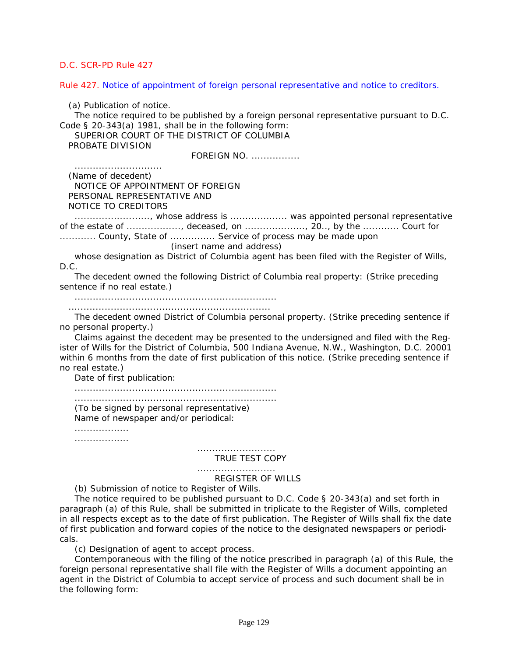Rule 427. Notice of appointment of foreign personal representative and notice to creditors.

(a) Publication of notice.

The notice required to be published by a foreign personal representative pursuant to *D.C. Code § 20-343(a)* 1981, shall be in the following form:

SUPERIOR COURT OF THE DISTRICT OF COLUMBIA PROBATE DIVISION

FOREIGN NO. ................

.............................

 (Name of decedent) NOTICE OF APPOINTMENT OF FOREIGN PERSONAL REPRESENTATIVE AND NOTICE TO CREDITORS

........................., whose address is ................... was appointed personal representative of the estate of .................., deceased, on ...................., 20.., by the ............ Court for

............. County, State of ................ Service of process may be made upon

(insert name and address)

whose designation as District of Columbia agent has been filed with the Register of Wills, D.C.

The decedent owned the following District of Columbia real property: (Strike preceding sentence if no real estate.)

...................................................................

...................................................................

The decedent owned District of Columbia personal property. (Strike preceding sentence if no personal property.)

Claims against the decedent may be presented to the undersigned and filed with the Reg[ister of Wills for the District of Columbia, 500 Indiana Avenue, N.W., Washington, D.C. 20001](#page-3-0)  within 6 months from the date of first publication of this notice. (Strike preceding sentence if no real estate.)

Date of first publication:

...................................................................

................................................................... (To be signed by personal representative) Name of newspaper and/or periodical:

..................

..................

#### TRUE TEST COPY

# ..........................

..........................

# REGISTER OF WILLS

(b) Submission of notice to Register of Wills.

The notice required to be published pursuant to *D.C. Code § 20-343(a)* and set forth in paragraph (a) of this Rule, shall be submitted in triplicate to the Register of Wills, completed in all respects except as to the date of first publication. The Register of Wills shall fix the date of first publication and forward copies of the notice to the designated newspapers or periodicals.

(c) Designation of agent to accept process.

Contemporaneous with the filing of the notice prescribed in paragraph (a) of this Rule, the foreign personal representative shall file with the Register of Wills a document appointing an agent in the District of Columbia to accept service of process and such document shall be in the following form: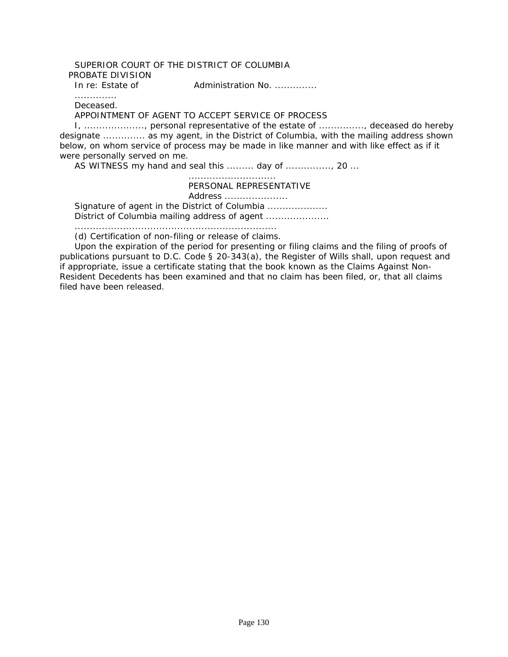#### SUPERIOR COURT OF THE DISTRICT OF COLUMBIA PROBATE DIVISION

In re: Estate of Administration No. ...............

.............. Deceased.

APPOINTMENT OF AGENT TO ACCEPT SERVICE OF PROCESS

I, ...................., personal representative of the estate of ..............., deceased do hereby designate .............. as my agent, in the District of Columbia, with the mailing address shown below, on whom service of process may be made in like manner and with like effect as if it were personally served on me.

AS WITNESS my hand and seal this ......... day of ..............., 20 ...

 ............................. PERSONAL REPRESENTATIVE Address ..................... Signature of agent in the District of Columbia ...................

District of Columbia mailing address of agent ....................

...................................................................

(d) Certification of non-filing or release of claims.

Upon the expiration of the period for presenting or filing claims and the filing of proofs of publications pursuant to *D.C. Code § 20-343(a)*, the Register of Wills shall, upon request and if appropriate, issue a certificate stating that the book known as the Claims Against Non-Resident Decedents has been examined and that no claim has been filed, or, that all claims filed have been released.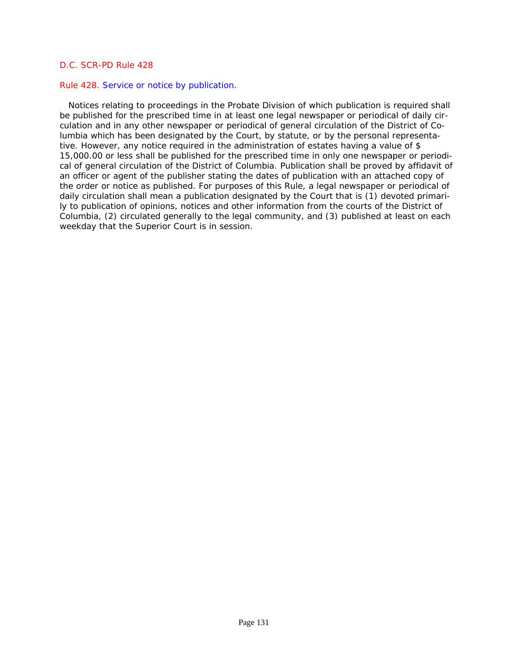#### Rule 428. Service or notice by publication.

 Notices relating to proceedings in the Probate Division of which publication is required shall be published for the prescribed time in at least one legal newspaper or periodical of daily circulation and in any other newspaper or periodical of general circulation of the District of Columbia which has been designated by the Court, by statute, or by the personal representative. However, any notice required in the administration of estates having a value of \$ 15,000.00 or less shall be published for the prescribed time in only one newspaper or periodi[cal of general circulation of the District of Columbia. Publication shall be proved by affidavit of](#page-3-0)  an officer or agent of the publisher stating the dates of publication with an attached copy of the order or notice as published. For purposes of this Rule, a legal newspaper or periodical of daily circulation shall mean a publication designated by the Court that is (1) devoted primarily to publication of opinions, notices and other information from the courts of the District of Columbia, (2) circulated generally to the legal community, and (3) published at least on each weekday that the Superior Court is in session.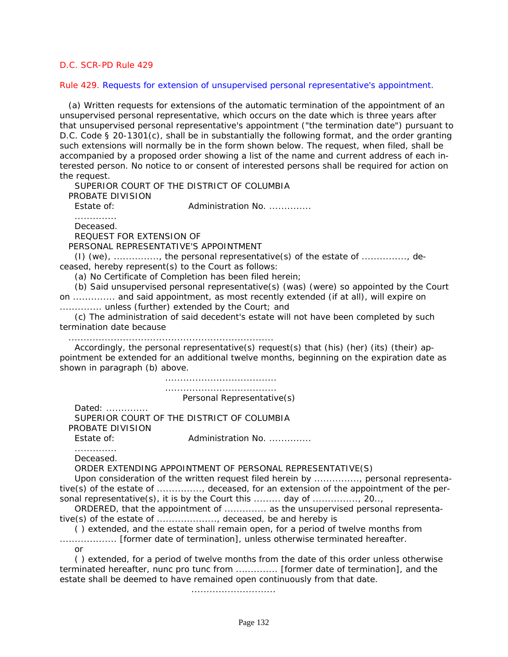#### Rule 429. Requests for extension of unsupervised personal representative's appointment.

 (a) Written requests for extensions of the automatic termination of the appointment of an unsupervised personal representative, which occurs on the date which is three years after [that unsupervised personal representative's appointment \("the termination date"\) pursuant to](#page-3-0)  *D.C. Code § 20-1301(c)*, shall be in substantially the following format, and the order granting such extensions will normally be in the form shown below. The request, when filed, shall be accompanied by a proposed order showing a list of the name and current address of each interested person. No notice to or consent of interested persons shall be required for action on the request.

SUPERIOR COURT OF THE DISTRICT OF COLUMBIA PROBATE DIVISION

Estate of: **Administration No. .............** 

.............. Deceased.

REQUEST FOR EXTENSION OF

PERSONAL REPRESENTATIVE'S APPOINTMENT

(I) (we), ..............., the personal representative(s) of the estate of ..............., deceased, hereby represent(s) to the Court as follows:

(a) No Certificate of Completion has been filed herein;

(b) Said unsupervised personal representative(s) (was) (were) so appointed by the Court on .............. and said appointment, as most recently extended (if at all), will expire on .............. unless (further) extended by the Court; and

(c) The administration of said decedent's estate will not have been completed by such termination date because

....................................................................

Accordingly, the personal representative(s) request(s) that (his) (her) (its) (their) appointment be extended for an additional twelve months, beginning on the expiration date as shown in paragraph (b) above.

> ..................................... ..................................... Personal Representative(s)

Dated: ...............

SUPERIOR COURT OF THE DISTRICT OF COLUMBIA PROBATE DIVISION

Estate of: **Administration No. .............** ..............

Deceased.

ORDER EXTENDING APPOINTMENT OF PERSONAL REPRESENTATIVE(S)

Upon consideration of the written request filed herein by ..............., personal representative(s) of the estate of ..............., deceased, for an extension of the appointment of the personal representative(s), it is by the Court this ......... day of ..............., 20..,

ORDERED, that the appointment of .............. as the unsupervised personal representative(s) of the estate of ...................., deceased, be and hereby is

( ) extended, and the estate shall remain open, for a period of twelve months from ................... [former date of termination], unless otherwise terminated hereafter.

or

( ) extended, for a period of twelve months from the date of this order unless otherwise terminated hereafter, nunc pro tunc from .............. [former date of termination], and the estate shall be deemed to have remained open continuously from that date.

............................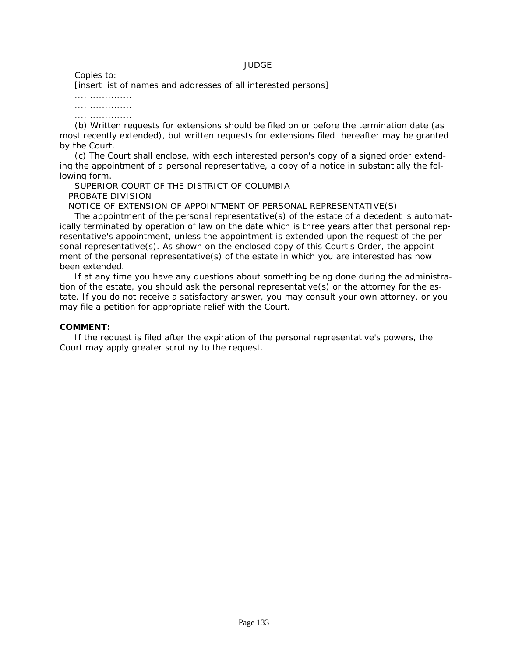#### JUDGE

Copies to:

[insert list of names and addresses of all interested persons]

...................

...................

...................

(b) Written requests for extensions should be filed on or before the termination date (as [most recently extended\), but written requests for extensions filed thereafter may be granted](#page-3-0)  by the Court.

(c) The Court shall enclose, with each interested person's copy of a signed order extending the appointment of a personal representative, a copy of a notice in substantially the following form.

SUPERIOR COURT OF THE DISTRICT OF COLUMBIA PROBATE DIVISION

NOTICE OF EXTENSION OF APPOINTMENT OF PERSONAL REPRESENTATIVE(S)

The appointment of the personal representative(s) of the estate of a decedent is automatically terminated by operation of law on the date which is three years after that personal representative's appointment, unless the appointment is extended upon the request of the personal representative(s). As shown on the enclosed copy of this Court's Order, the appointment of the personal representative(s) of the estate in which you are interested has now been extended.

If at any time you have any questions about something being done during the administration of the estate, you should ask the personal representative(s) or the attorney for the estate. If you do not receive a satisfactory answer, you may consult your own attorney, or you may file a petition for appropriate relief with the Court.

#### **COMMENT:**

If the request is filed after the expiration of the personal representative's powers, the Court may apply greater scrutiny to the request.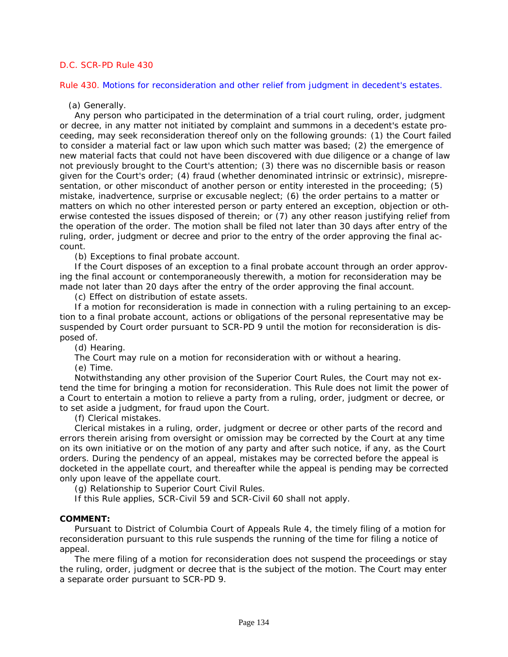Rule 430. Motions for reconsideration and other relief from judgment in decedent's estates.

(a) Generally.

Any person who participated in the determination of a trial court ruling, order, judgment or decree, in any matter not initiated by complaint and summons in a decedent's estate pro[ceeding, may seek reconsideration thereof only on the following grounds: \(1\) the Court failed](#page-3-0)  to consider a material fact or law upon which such matter was based; (2) the emergence of new material facts that could not have been discovered with due diligence or a change of law not previously brought to the Court's attention; (3) there was no discernible basis or reason given for the Court's order; (4) fraud (whether denominated intrinsic or extrinsic), misrepresentation, or other misconduct of another person or entity interested in the proceeding; (5) mistake, inadvertence, surprise or excusable neglect; (6) the order pertains to a matter or matters on which no other interested person or party entered an exception, objection or otherwise contested the issues disposed of therein; or (7) any other reason justifying relief from the operation of the order. The motion shall be filed not later than 30 days after entry of the ruling, order, judgment or decree and prior to the entry of the order approving the final account.

(b) Exceptions to final probate account.

If the Court disposes of an exception to a final probate account through an order approving the final account or contemporaneously therewith, a motion for reconsideration may be made not later than 20 days after the entry of the order approving the final account.

(c) Effect on distribution of estate assets.

If a motion for reconsideration is made in connection with a ruling pertaining to an exception to a final probate account, actions or obligations of the personal representative may be suspended by Court order pursuant to SCR-PD 9 until the motion for reconsideration is disposed of.

(d) Hearing.

The Court may rule on a motion for reconsideration with or without a hearing.

(e) Time.

Notwithstanding any other provision of the Superior Court Rules, the Court may not extend the time for bringing a motion for reconsideration. This Rule does not limit the power of a Court to entertain a motion to relieve a party from a ruling, order, judgment or decree, or to set aside a judgment, for fraud upon the Court.

(f) Clerical mistakes.

Clerical mistakes in a ruling, order, judgment or decree or other parts of the record and errors therein arising from oversight or omission may be corrected by the Court at any time on its own initiative or on the motion of any party and after such notice, if any, as the Court orders. During the pendency of an appeal, mistakes may be corrected before the appeal is docketed in the appellate court, and thereafter while the appeal is pending may be corrected only upon leave of the appellate court.

(g) Relationship to Superior Court Civil Rules.

If this Rule applies, SCR-Civil 59 and SCR-Civil 60 shall not apply.

#### **COMMENT:**

Pursuant to District of Columbia Court of Appeals Rule 4, the timely filing of a motion for reconsideration pursuant to this rule suspends the running of the time for filing a notice of appeal.

The mere filing of a motion for reconsideration does not suspend the proceedings or stay the ruling, order, judgment or decree that is the subject of the motion. The Court may enter a separate order pursuant to SCR-PD 9.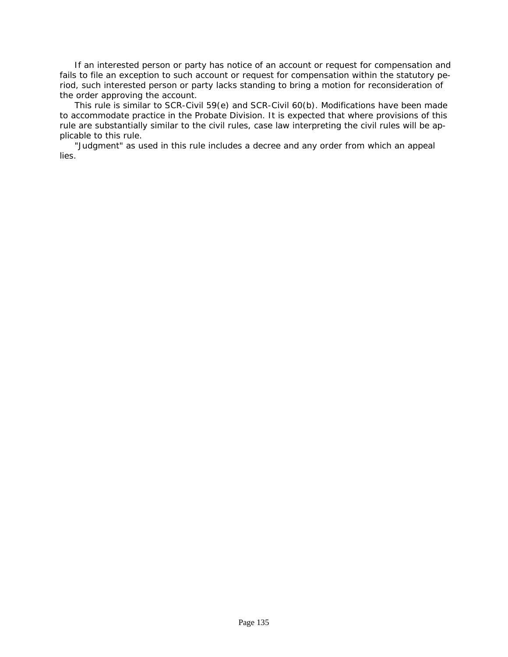If an interested person or party has notice of an account or request for compensation and [fails to file an exception to such account or request for compensation within the statutory pe](#page-3-0)riod, such interested person or party lacks standing to bring a motion for reconsideration of the order approving the account.

This rule is similar to SCR-Civil 59(e) and SCR-Civil 60(b). Modifications have been made to accommodate practice in the Probate Division. It is expected that where provisions of this rule are substantially similar to the civil rules, case law interpreting the civil rules will be applicable to this rule.

"Judgment" as used in this rule includes a decree and any order from which an appeal lies.